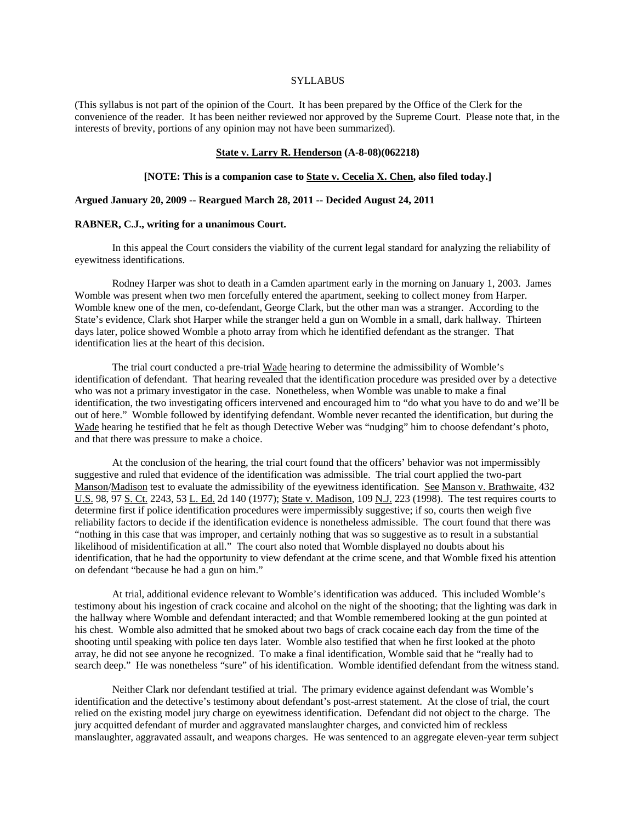#### **SYLLABUS**

(This syllabus is not part of the opinion of the Court. It has been prepared by the Office of the Clerk for the convenience of the reader. It has been neither reviewed nor approved by the Supreme Court. Please note that, in the interests of brevity, portions of any opinion may not have been summarized).

#### **State v. Larry R. Henderson (A-8-08)(062218)**

#### **[NOTE: This is a companion case to State v. Cecelia X. Chen, also filed today.]**

#### **Argued January 20, 2009 -- Reargued March 28, 2011 -- Decided August 24, 2011**

#### **RABNER, C.J., writing for a unanimous Court.**

 In this appeal the Court considers the viability of the current legal standard for analyzing the reliability of eyewitness identifications.

 Rodney Harper was shot to death in a Camden apartment early in the morning on January 1, 2003. James Womble was present when two men forcefully entered the apartment, seeking to collect money from Harper. Womble knew one of the men, co-defendant, George Clark, but the other man was a stranger. According to the State's evidence, Clark shot Harper while the stranger held a gun on Womble in a small, dark hallway. Thirteen days later, police showed Womble a photo array from which he identified defendant as the stranger. That identification lies at the heart of this decision.

 The trial court conducted a pre-trial Wade hearing to determine the admissibility of Womble's identification of defendant. That hearing revealed that the identification procedure was presided over by a detective who was not a primary investigator in the case. Nonetheless, when Womble was unable to make a final identification, the two investigating officers intervened and encouraged him to "do what you have to do and we'll be out of here." Womble followed by identifying defendant. Womble never recanted the identification, but during the Wade hearing he testified that he felt as though Detective Weber was "nudging" him to choose defendant's photo, and that there was pressure to make a choice.

 At the conclusion of the hearing, the trial court found that the officers' behavior was not impermissibly suggestive and ruled that evidence of the identification was admissible. The trial court applied the two-part Manson/Madison test to evaluate the admissibility of the eyewitness identification. See Manson v. Brathwaite, 432 U.S. 98, 97 S. Ct. 2243, 53 L. Ed. 2d 140 (1977); State v. Madison, 109 N.J. 223 (1998). The test requires courts to determine first if police identification procedures were impermissibly suggestive; if so, courts then weigh five reliability factors to decide if the identification evidence is nonetheless admissible. The court found that there was "nothing in this case that was improper, and certainly nothing that was so suggestive as to result in a substantial likelihood of misidentification at all." The court also noted that Womble displayed no doubts about his identification, that he had the opportunity to view defendant at the crime scene, and that Womble fixed his attention on defendant "because he had a gun on him."

At trial, additional evidence relevant to Womble's identification was adduced. This included Womble's testimony about his ingestion of crack cocaine and alcohol on the night of the shooting; that the lighting was dark in the hallway where Womble and defendant interacted; and that Womble remembered looking at the gun pointed at his chest. Womble also admitted that he smoked about two bags of crack cocaine each day from the time of the shooting until speaking with police ten days later. Womble also testified that when he first looked at the photo array, he did not see anyone he recognized. To make a final identification, Womble said that he "really had to search deep." He was nonetheless "sure" of his identification. Womble identified defendant from the witness stand.

Neither Clark nor defendant testified at trial. The primary evidence against defendant was Womble's identification and the detective's testimony about defendant's post-arrest statement. At the close of trial, the court relied on the existing model jury charge on eyewitness identification. Defendant did not object to the charge. The jury acquitted defendant of murder and aggravated manslaughter charges, and convicted him of reckless manslaughter, aggravated assault, and weapons charges. He was sentenced to an aggregate eleven-year term subject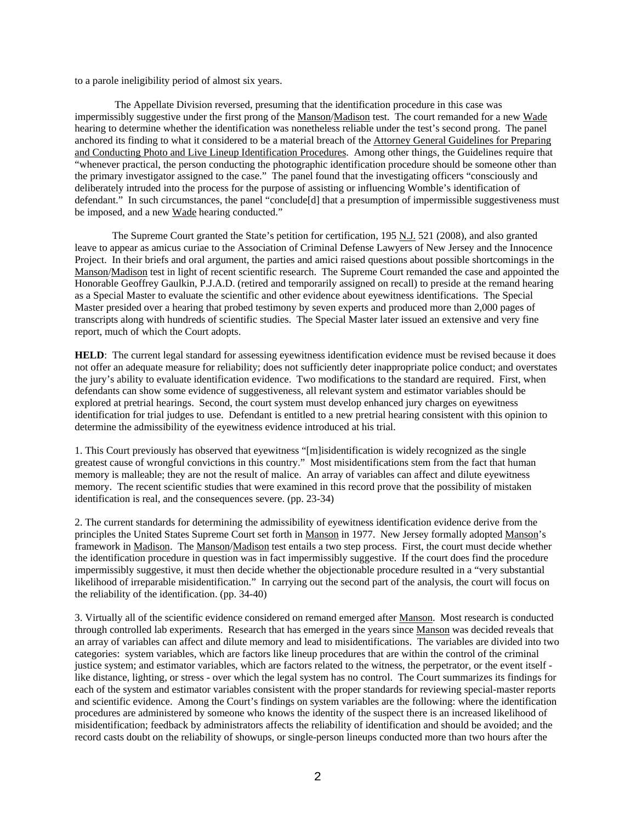to a parole ineligibility period of almost six years.

 The Appellate Division reversed, presuming that the identification procedure in this case was impermissibly suggestive under the first prong of the Manson/Madison test. The court remanded for a new Wade hearing to determine whether the identification was nonetheless reliable under the test's second prong. The panel anchored its finding to what it considered to be a material breach of the Attorney General Guidelines for Preparing and Conducting Photo and Live Lineup Identification Procedures. Among other things, the Guidelines require that "whenever practical, the person conducting the photographic identification procedure should be someone other than the primary investigator assigned to the case." The panel found that the investigating officers "consciously and deliberately intruded into the process for the purpose of assisting or influencing Womble's identification of defendant." In such circumstances, the panel "conclude[d] that a presumption of impermissible suggestiveness must be imposed, and a new Wade hearing conducted."

The Supreme Court granted the State's petition for certification, 195 N.J. 521 (2008), and also granted leave to appear as amicus curiae to the Association of Criminal Defense Lawyers of New Jersey and the Innocence Project. In their briefs and oral argument, the parties and amici raised questions about possible shortcomings in the Manson/Madison test in light of recent scientific research. The Supreme Court remanded the case and appointed the Honorable Geoffrey Gaulkin, P.J.A.D. (retired and temporarily assigned on recall) to preside at the remand hearing as a Special Master to evaluate the scientific and other evidence about eyewitness identifications. The Special Master presided over a hearing that probed testimony by seven experts and produced more than 2,000 pages of transcripts along with hundreds of scientific studies. The Special Master later issued an extensive and very fine report, much of which the Court adopts.

**HELD**: The current legal standard for assessing eyewitness identification evidence must be revised because it does not offer an adequate measure for reliability; does not sufficiently deter inappropriate police conduct; and overstates the jury's ability to evaluate identification evidence. Two modifications to the standard are required. First, when defendants can show some evidence of suggestiveness, all relevant system and estimator variables should be explored at pretrial hearings. Second, the court system must develop enhanced jury charges on eyewitness identification for trial judges to use. Defendant is entitled to a new pretrial hearing consistent with this opinion to determine the admissibility of the eyewitness evidence introduced at his trial.

1. This Court previously has observed that eyewitness "[m]isidentification is widely recognized as the single greatest cause of wrongful convictions in this country." Most misidentifications stem from the fact that human memory is malleable; they are not the result of malice. An array of variables can affect and dilute eyewitness memory. The recent scientific studies that were examined in this record prove that the possibility of mistaken identification is real, and the consequences severe. (pp. 23-34)

2. The current standards for determining the admissibility of eyewitness identification evidence derive from the principles the United States Supreme Court set forth in Manson in 1977. New Jersey formally adopted Manson's framework in Madison. The Manson/Madison test entails a two step process. First, the court must decide whether the identification procedure in question was in fact impermissibly suggestive. If the court does find the procedure impermissibly suggestive, it must then decide whether the objectionable procedure resulted in a "very substantial likelihood of irreparable misidentification." In carrying out the second part of the analysis, the court will focus on the reliability of the identification. (pp. 34-40)

3. Virtually all of the scientific evidence considered on remand emerged after Manson. Most research is conducted through controlled lab experiments. Research that has emerged in the years since Manson was decided reveals that an array of variables can affect and dilute memory and lead to misidentifications. The variables are divided into two categories: system variables, which are factors like lineup procedures that are within the control of the criminal justice system; and estimator variables, which are factors related to the witness, the perpetrator, or the event itself like distance, lighting, or stress - over which the legal system has no control. The Court summarizes its findings for each of the system and estimator variables consistent with the proper standards for reviewing special-master reports and scientific evidence. Among the Court's findings on system variables are the following: where the identification procedures are administered by someone who knows the identity of the suspect there is an increased likelihood of misidentification; feedback by administrators affects the reliability of identification and should be avoided; and the record casts doubt on the reliability of showups, or single-person lineups conducted more than two hours after the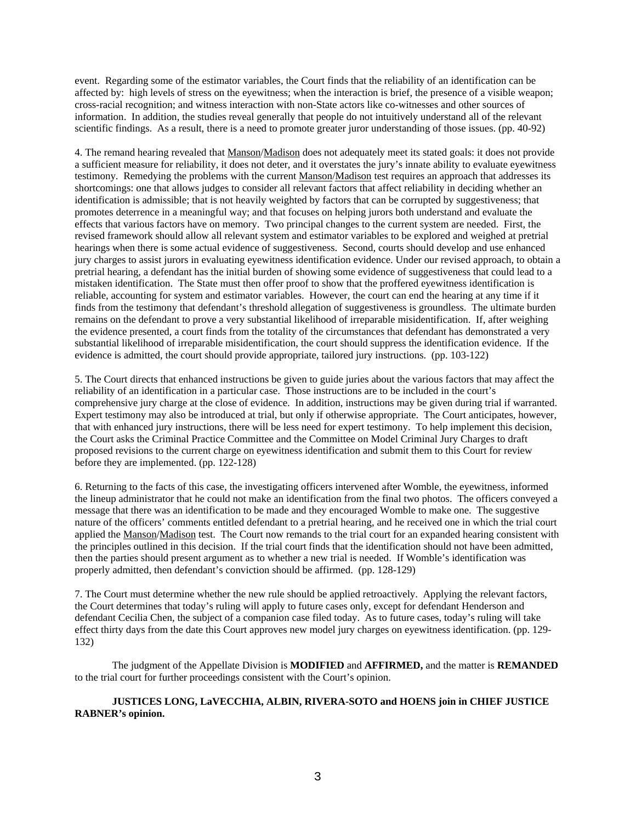event. Regarding some of the estimator variables, the Court finds that the reliability of an identification can be affected by: high levels of stress on the eyewitness; when the interaction is brief, the presence of a visible weapon; cross-racial recognition; and witness interaction with non-State actors like co-witnesses and other sources of information. In addition, the studies reveal generally that people do not intuitively understand all of the relevant scientific findings. As a result, there is a need to promote greater juror understanding of those issues. (pp. 40-92)

4. The remand hearing revealed that Manson/Madison does not adequately meet its stated goals: it does not provide a sufficient measure for reliability, it does not deter, and it overstates the jury's innate ability to evaluate eyewitness testimony. Remedying the problems with the current Manson/Madison test requires an approach that addresses its shortcomings: one that allows judges to consider all relevant factors that affect reliability in deciding whether an identification is admissible; that is not heavily weighted by factors that can be corrupted by suggestiveness; that promotes deterrence in a meaningful way; and that focuses on helping jurors both understand and evaluate the effects that various factors have on memory. Two principal changes to the current system are needed. First, the revised framework should allow all relevant system and estimator variables to be explored and weighed at pretrial hearings when there is some actual evidence of suggestiveness. Second, courts should develop and use enhanced jury charges to assist jurors in evaluating eyewitness identification evidence. Under our revised approach, to obtain a pretrial hearing, a defendant has the initial burden of showing some evidence of suggestiveness that could lead to a mistaken identification. The State must then offer proof to show that the proffered eyewitness identification is reliable, accounting for system and estimator variables. However, the court can end the hearing at any time if it finds from the testimony that defendant's threshold allegation of suggestiveness is groundless. The ultimate burden remains on the defendant to prove a very substantial likelihood of irreparable misidentification. If, after weighing the evidence presented, a court finds from the totality of the circumstances that defendant has demonstrated a very substantial likelihood of irreparable misidentification, the court should suppress the identification evidence. If the evidence is admitted, the court should provide appropriate, tailored jury instructions. (pp. 103-122)

5. The Court directs that enhanced instructions be given to guide juries about the various factors that may affect the reliability of an identification in a particular case. Those instructions are to be included in the court's comprehensive jury charge at the close of evidence. In addition, instructions may be given during trial if warranted. Expert testimony may also be introduced at trial, but only if otherwise appropriate. The Court anticipates, however, that with enhanced jury instructions, there will be less need for expert testimony. To help implement this decision, the Court asks the Criminal Practice Committee and the Committee on Model Criminal Jury Charges to draft proposed revisions to the current charge on eyewitness identification and submit them to this Court for review before they are implemented. (pp. 122-128)

6. Returning to the facts of this case, the investigating officers intervened after Womble, the eyewitness, informed the lineup administrator that he could not make an identification from the final two photos. The officers conveyed a message that there was an identification to be made and they encouraged Womble to make one. The suggestive nature of the officers' comments entitled defendant to a pretrial hearing, and he received one in which the trial court applied the Manson/Madison test. The Court now remands to the trial court for an expanded hearing consistent with the principles outlined in this decision. If the trial court finds that the identification should not have been admitted, then the parties should present argument as to whether a new trial is needed. If Womble's identification was properly admitted, then defendant's conviction should be affirmed. (pp. 128-129)

7. The Court must determine whether the new rule should be applied retroactively. Applying the relevant factors, the Court determines that today's ruling will apply to future cases only, except for defendant Henderson and defendant Cecilia Chen, the subject of a companion case filed today. As to future cases, today's ruling will take effect thirty days from the date this Court approves new model jury charges on eyewitness identification. (pp. 129- 132)

The judgment of the Appellate Division is **MODIFIED** and **AFFIRMED,** and the matter is **REMANDED**  to the trial court for further proceedings consistent with the Court's opinion.

## **JUSTICES LONG, LaVECCHIA, ALBIN, RIVERA-SOTO and HOENS join in CHIEF JUSTICE RABNER's opinion.**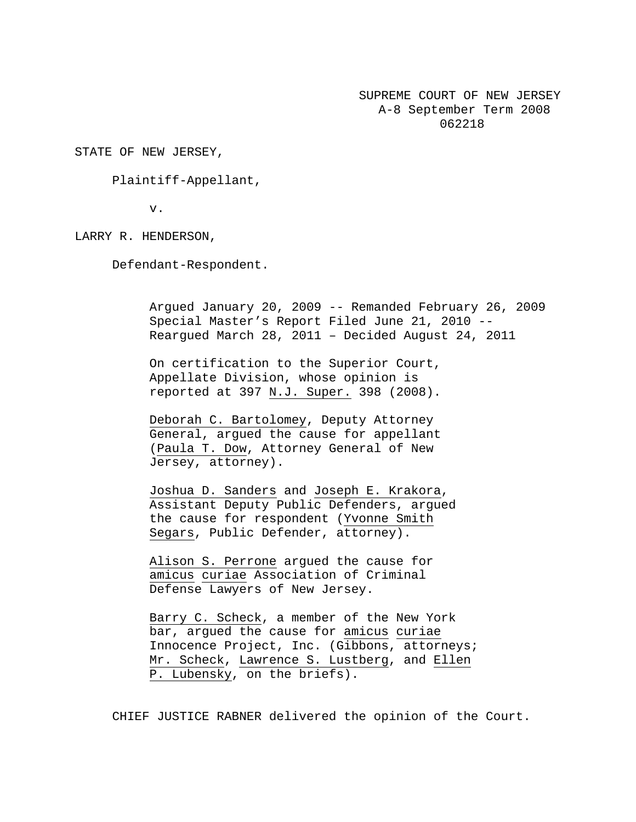SUPREME COURT OF NEW JERSEY A-8 September Term 2008 062218

STATE OF NEW JERSEY,

Plaintiff-Appellant,

v.

LARRY R. HENDERSON,

Defendant-Respondent.

Argued January 20, 2009 -- Remanded February 26, 2009 Special Master's Report Filed June 21, 2010 -- Reargued March 28, 2011 – Decided August 24, 2011

On certification to the Superior Court, Appellate Division, whose opinion is reported at 397 N.J. Super. 398 (2008).

Deborah C. Bartolomey, Deputy Attorney General, argued the cause for appellant (Paula T. Dow, Attorney General of New Jersey, attorney).

Joshua D. Sanders and Joseph E. Krakora, Assistant Deputy Public Defenders, argued the cause for respondent (Yvonne Smith Segars, Public Defender, attorney).

Alison S. Perrone argued the cause for amicus curiae Association of Criminal Defense Lawyers of New Jersey.

Barry C. Scheck, a member of the New York bar, argued the cause for amicus curiae Innocence Project, Inc. (Gibbons, attorneys; Mr. Scheck, Lawrence S. Lustberg, and Ellen P. Lubensky, on the briefs).

CHIEF JUSTICE RABNER delivered the opinion of the Court.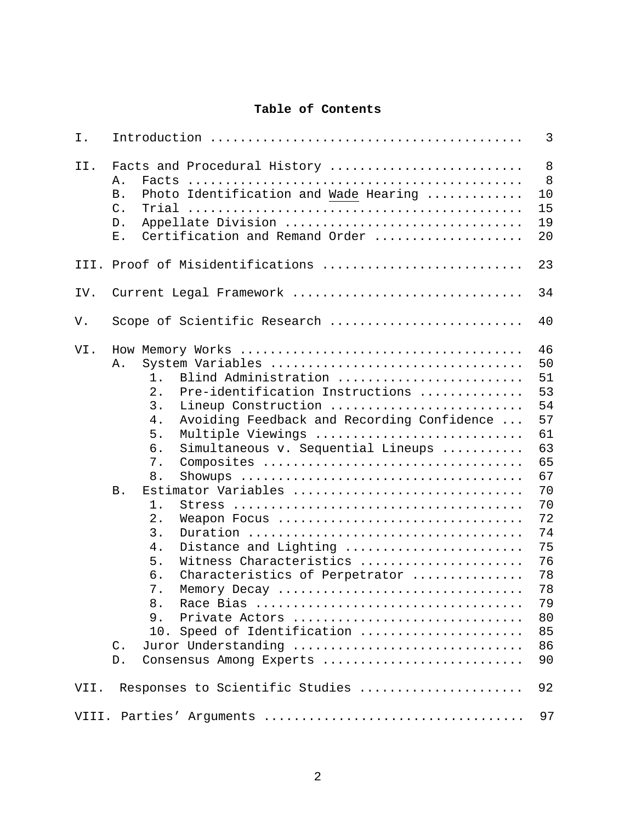# **Table of Contents**

| Ι.                                      |                                             |                                                                                                                                                                                                                                                                                                                                                                                                                                                                                                                                                                                    | 3                                                                                                                                      |  |  |
|-----------------------------------------|---------------------------------------------|------------------------------------------------------------------------------------------------------------------------------------------------------------------------------------------------------------------------------------------------------------------------------------------------------------------------------------------------------------------------------------------------------------------------------------------------------------------------------------------------------------------------------------------------------------------------------------|----------------------------------------------------------------------------------------------------------------------------------------|--|--|
| II.                                     | Α.<br><b>B</b> .<br>$C$ .<br>$D$ .<br>Ε.    | Facts and Procedural History<br>Photo Identification and Wade Hearing<br>Appellate Division<br>Certification and Remand Order                                                                                                                                                                                                                                                                                                                                                                                                                                                      | 8<br>8<br>10<br>15<br>19<br>20                                                                                                         |  |  |
|                                         |                                             | III. Proof of Misidentifications                                                                                                                                                                                                                                                                                                                                                                                                                                                                                                                                                   | 23                                                                                                                                     |  |  |
| IV.                                     |                                             | Current Legal Framework                                                                                                                                                                                                                                                                                                                                                                                                                                                                                                                                                            | 34                                                                                                                                     |  |  |
| V.                                      |                                             | Scope of Scientific Research                                                                                                                                                                                                                                                                                                                                                                                                                                                                                                                                                       | 40                                                                                                                                     |  |  |
| VI.                                     | Α.<br><b>B</b> .<br>$\mathsf{C}$ .<br>$D$ . | System Variables<br>$1$ .<br>Blind Administration<br>2.<br>Pre-identification Instructions<br>3.<br>Lineup Construction<br>4.<br>Avoiding Feedback and Recording Confidence<br>5.<br>Multiple Viewings<br>б.<br>Simultaneous v. Sequential Lineups<br>7.<br>Composites<br>8.<br>Estimator Variables<br>1.<br>2.<br>Weapon Focus<br>3.<br>4.<br>Distance and Lighting<br>5.<br>Witness Characteristics<br>Characteristics of Perpetrator<br>б.<br>7.<br>Memory Decay<br>8.<br>9.<br>Private Actors<br>10. Speed of Identification<br>Juror Understanding<br>Consensus Among Experts | 46<br>50<br>51<br>53<br>54<br>57<br>61<br>63<br>65<br>67<br>70<br>70<br>72<br>74<br>75<br>76<br>78<br>78<br>79<br>80<br>85<br>86<br>90 |  |  |
| Responses to Scientific Studies<br>VII. |                                             |                                                                                                                                                                                                                                                                                                                                                                                                                                                                                                                                                                                    |                                                                                                                                        |  |  |
|                                         |                                             |                                                                                                                                                                                                                                                                                                                                                                                                                                                                                                                                                                                    | 97                                                                                                                                     |  |  |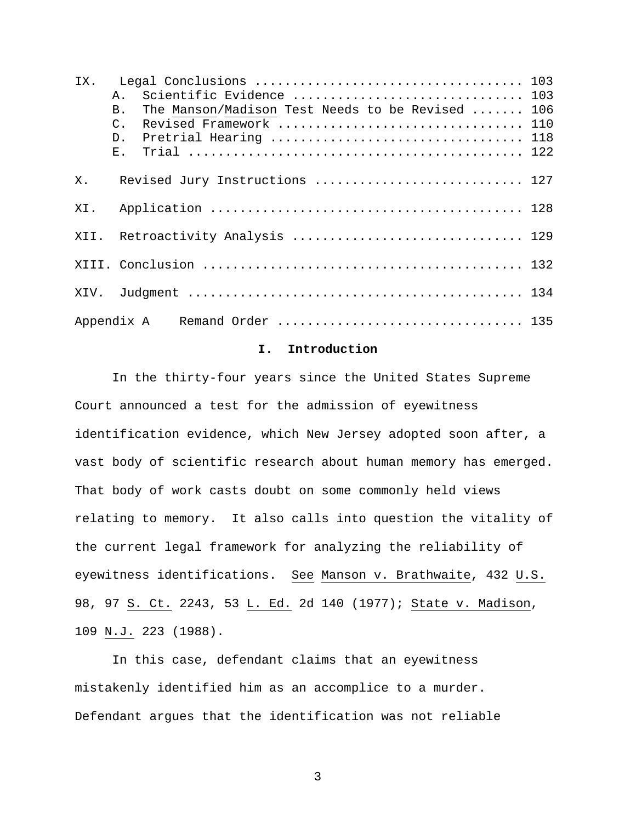|     | $\mathsf{A}$ . | Scientific Evidence  103                         |  |  |  |
|-----|----------------|--------------------------------------------------|--|--|--|
|     | B <sub>1</sub> | The Manson/Madison Test Needs to be Revised  106 |  |  |  |
|     | $C_{\cdot}$    |                                                  |  |  |  |
|     | $D$ .          | Pretrial Hearing  118                            |  |  |  |
|     | $E_{\perp}$    |                                                  |  |  |  |
| Χ.  |                | Revised Jury Instructions  127                   |  |  |  |
| XI. |                |                                                  |  |  |  |
|     |                | XII. Retroactivity Analysis  129                 |  |  |  |
|     |                |                                                  |  |  |  |
|     |                |                                                  |  |  |  |
|     |                |                                                  |  |  |  |

### **I. Introduction**

 In the thirty-four years since the United States Supreme Court announced a test for the admission of eyewitness identification evidence, which New Jersey adopted soon after, a vast body of scientific research about human memory has emerged. That body of work casts doubt on some commonly held views relating to memory. It also calls into question the vitality of the current legal framework for analyzing the reliability of eyewitness identifications. See Manson v. Brathwaite, 432 U.S. 98, 97 S. Ct. 2243, 53 L. Ed. 2d 140 (1977); State v. Madison, 109 N.J. 223 (1988).

 In this case, defendant claims that an eyewitness mistakenly identified him as an accomplice to a murder. Defendant argues that the identification was not reliable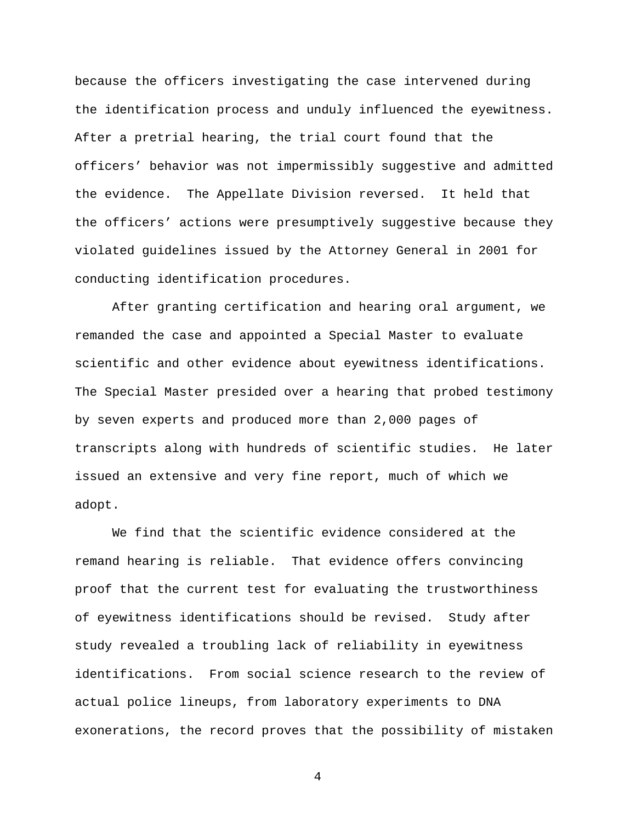because the officers investigating the case intervened during the identification process and unduly influenced the eyewitness. After a pretrial hearing, the trial court found that the officers' behavior was not impermissibly suggestive and admitted the evidence. The Appellate Division reversed. It held that the officers' actions were presumptively suggestive because they violated guidelines issued by the Attorney General in 2001 for conducting identification procedures.

 After granting certification and hearing oral argument, we remanded the case and appointed a Special Master to evaluate scientific and other evidence about eyewitness identifications. The Special Master presided over a hearing that probed testimony by seven experts and produced more than 2,000 pages of transcripts along with hundreds of scientific studies. He later issued an extensive and very fine report, much of which we adopt.

We find that the scientific evidence considered at the remand hearing is reliable. That evidence offers convincing proof that the current test for evaluating the trustworthiness of eyewitness identifications should be revised. Study after study revealed a troubling lack of reliability in eyewitness identifications. From social science research to the review of actual police lineups, from laboratory experiments to DNA exonerations, the record proves that the possibility of mistaken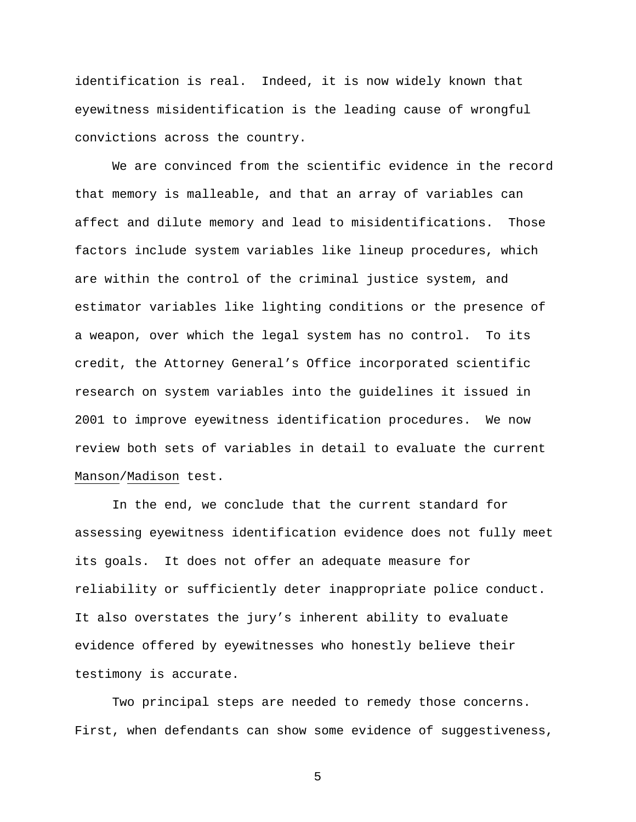identification is real. Indeed, it is now widely known that eyewitness misidentification is the leading cause of wrongful convictions across the country.

We are convinced from the scientific evidence in the record that memory is malleable, and that an array of variables can affect and dilute memory and lead to misidentifications. Those factors include system variables like lineup procedures, which are within the control of the criminal justice system, and estimator variables like lighting conditions or the presence of a weapon, over which the legal system has no control. To its credit, the Attorney General's Office incorporated scientific research on system variables into the guidelines it issued in 2001 to improve eyewitness identification procedures. We now review both sets of variables in detail to evaluate the current Manson/Madison test.

In the end, we conclude that the current standard for assessing eyewitness identification evidence does not fully meet its goals. It does not offer an adequate measure for reliability or sufficiently deter inappropriate police conduct. It also overstates the jury's inherent ability to evaluate evidence offered by eyewitnesses who honestly believe their testimony is accurate.

Two principal steps are needed to remedy those concerns. First, when defendants can show some evidence of suggestiveness,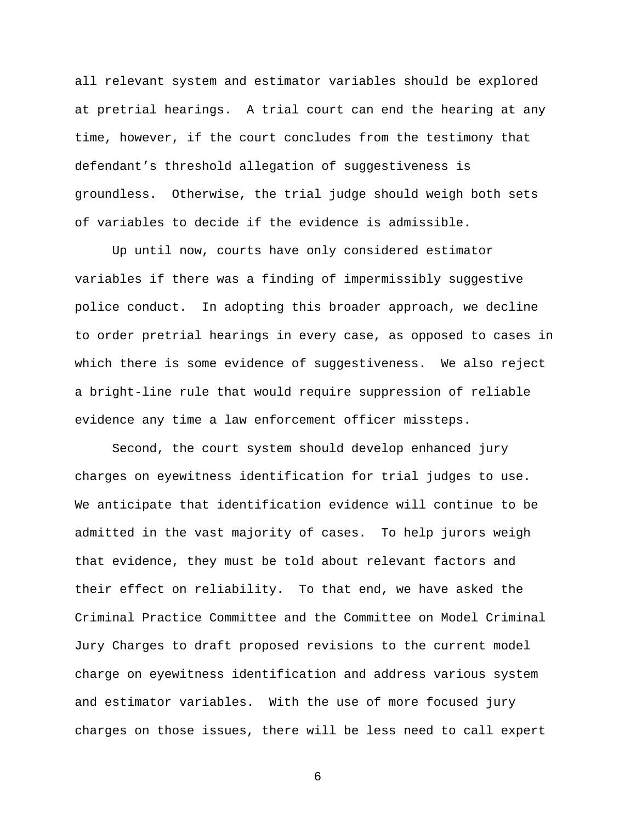all relevant system and estimator variables should be explored at pretrial hearings. A trial court can end the hearing at any time, however, if the court concludes from the testimony that defendant's threshold allegation of suggestiveness is groundless. Otherwise, the trial judge should weigh both sets of variables to decide if the evidence is admissible.

Up until now, courts have only considered estimator variables if there was a finding of impermissibly suggestive police conduct. In adopting this broader approach, we decline to order pretrial hearings in every case, as opposed to cases in which there is some evidence of suggestiveness. We also reject a bright-line rule that would require suppression of reliable evidence any time a law enforcement officer missteps.

 Second, the court system should develop enhanced jury charges on eyewitness identification for trial judges to use. We anticipate that identification evidence will continue to be admitted in the vast majority of cases. To help jurors weigh that evidence, they must be told about relevant factors and their effect on reliability. To that end, we have asked the Criminal Practice Committee and the Committee on Model Criminal Jury Charges to draft proposed revisions to the current model charge on eyewitness identification and address various system and estimator variables. With the use of more focused jury charges on those issues, there will be less need to call expert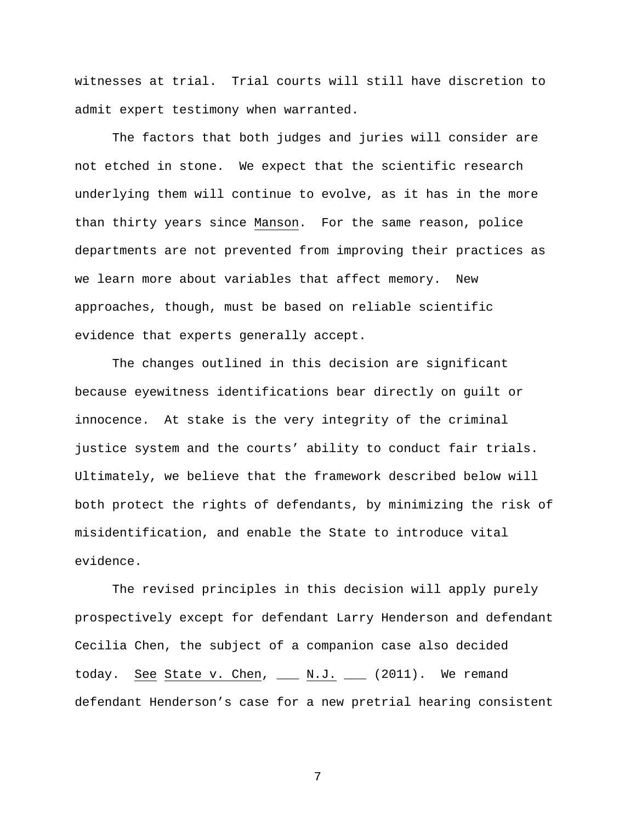witnesses at trial. Trial courts will still have discretion to admit expert testimony when warranted.

 The factors that both judges and juries will consider are not etched in stone. We expect that the scientific research underlying them will continue to evolve, as it has in the more than thirty years since Manson. For the same reason, police departments are not prevented from improving their practices as we learn more about variables that affect memory. New approaches, though, must be based on reliable scientific evidence that experts generally accept.

 The changes outlined in this decision are significant because eyewitness identifications bear directly on guilt or innocence. At stake is the very integrity of the criminal justice system and the courts' ability to conduct fair trials. Ultimately, we believe that the framework described below will both protect the rights of defendants, by minimizing the risk of misidentification, and enable the State to introduce vital evidence.

The revised principles in this decision will apply purely prospectively except for defendant Larry Henderson and defendant Cecilia Chen, the subject of a companion case also decided today. See State v. Chen, \_\_\_ N.J. \_\_ (2011). We remand defendant Henderson's case for a new pretrial hearing consistent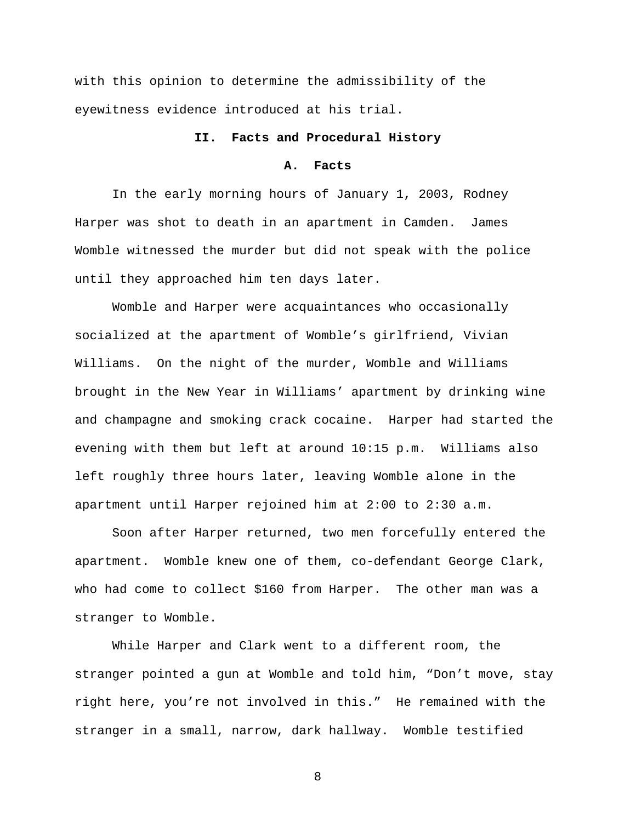with this opinion to determine the admissibility of the eyewitness evidence introduced at his trial.

## **II. Facts and Procedural History**

## **A. Facts**

In the early morning hours of January 1, 2003, Rodney Harper was shot to death in an apartment in Camden. James Womble witnessed the murder but did not speak with the police until they approached him ten days later.

Womble and Harper were acquaintances who occasionally socialized at the apartment of Womble's girlfriend, Vivian Williams. On the night of the murder, Womble and Williams brought in the New Year in Williams' apartment by drinking wine and champagne and smoking crack cocaine. Harper had started the evening with them but left at around 10:15 p.m. Williams also left roughly three hours later, leaving Womble alone in the apartment until Harper rejoined him at 2:00 to 2:30 a.m.

Soon after Harper returned, two men forcefully entered the apartment. Womble knew one of them, co-defendant George Clark, who had come to collect \$160 from Harper. The other man was a stranger to Womble.

While Harper and Clark went to a different room, the stranger pointed a gun at Womble and told him, "Don't move, stay right here, you're not involved in this." He remained with the stranger in a small, narrow, dark hallway. Womble testified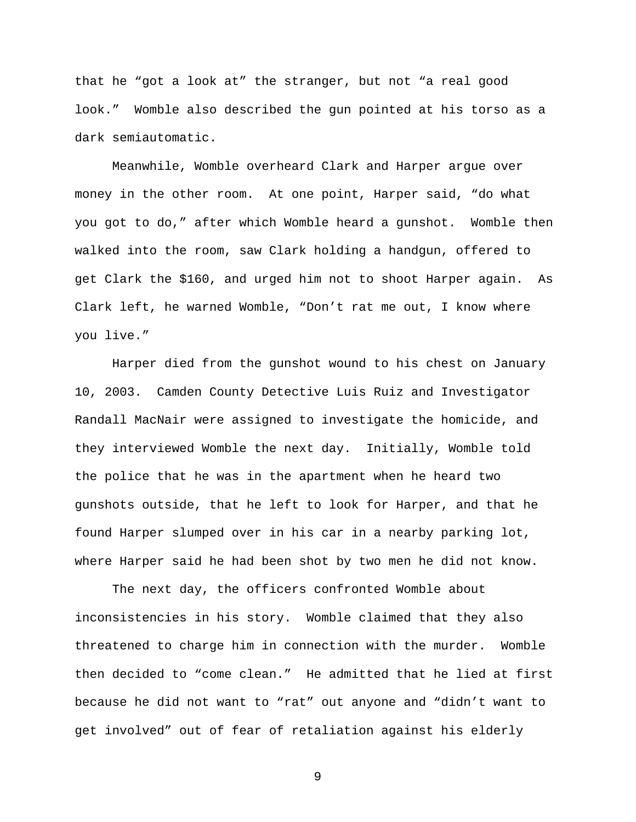that he "got a look at" the stranger, but not "a real good look." Womble also described the gun pointed at his torso as a dark semiautomatic.

Meanwhile, Womble overheard Clark and Harper argue over money in the other room. At one point, Harper said, "do what you got to do," after which Womble heard a gunshot. Womble then walked into the room, saw Clark holding a handgun, offered to get Clark the \$160, and urged him not to shoot Harper again. As Clark left, he warned Womble, "Don't rat me out, I know where you live."

 Harper died from the gunshot wound to his chest on January 10, 2003. Camden County Detective Luis Ruiz and Investigator Randall MacNair were assigned to investigate the homicide, and they interviewed Womble the next day. Initially, Womble told the police that he was in the apartment when he heard two gunshots outside, that he left to look for Harper, and that he found Harper slumped over in his car in a nearby parking lot, where Harper said he had been shot by two men he did not know.

 The next day, the officers confronted Womble about inconsistencies in his story. Womble claimed that they also threatened to charge him in connection with the murder. Womble then decided to "come clean." He admitted that he lied at first because he did not want to "rat" out anyone and "didn't want to get involved" out of fear of retaliation against his elderly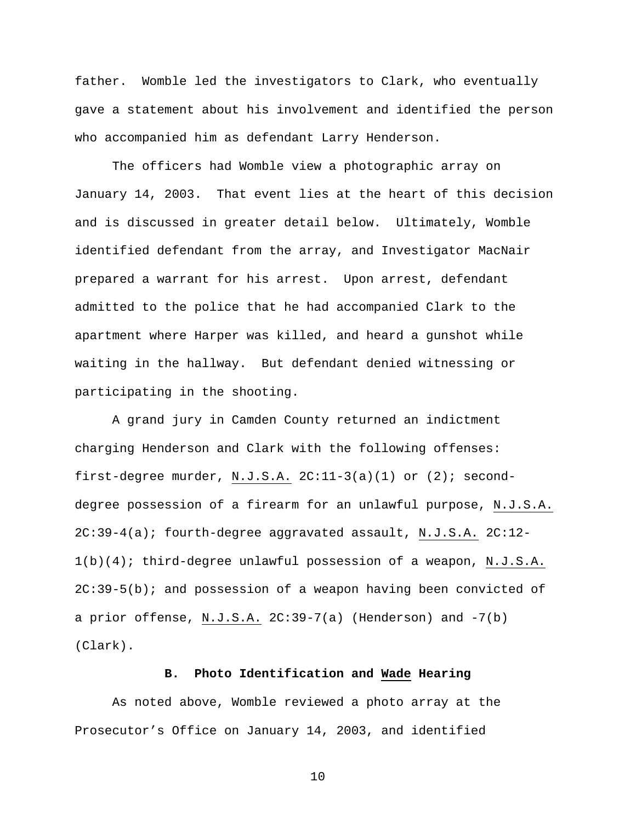father. Womble led the investigators to Clark, who eventually gave a statement about his involvement and identified the person who accompanied him as defendant Larry Henderson.

 The officers had Womble view a photographic array on January 14, 2003. That event lies at the heart of this decision and is discussed in greater detail below. Ultimately, Womble identified defendant from the array, and Investigator MacNair prepared a warrant for his arrest. Upon arrest, defendant admitted to the police that he had accompanied Clark to the apartment where Harper was killed, and heard a gunshot while waiting in the hallway. But defendant denied witnessing or participating in the shooting.

 A grand jury in Camden County returned an indictment charging Henderson and Clark with the following offenses: first-degree murder, N.J.S.A. 2C:11-3(a)(1) or (2); seconddegree possession of a firearm for an unlawful purpose, N.J.S.A. 2C:39-4(a); fourth-degree aggravated assault, N.J.S.A. 2C:12- 1(b)(4); third-degree unlawful possession of a weapon, N.J.S.A.  $2C:39-5(b)$ ; and possession of a weapon having been convicted of a prior offense, N.J.S.A. 2C:39-7(a) (Henderson) and -7(b) (Clark).

## **B. Photo Identification and Wade Hearing**

 As noted above, Womble reviewed a photo array at the Prosecutor's Office on January 14, 2003, and identified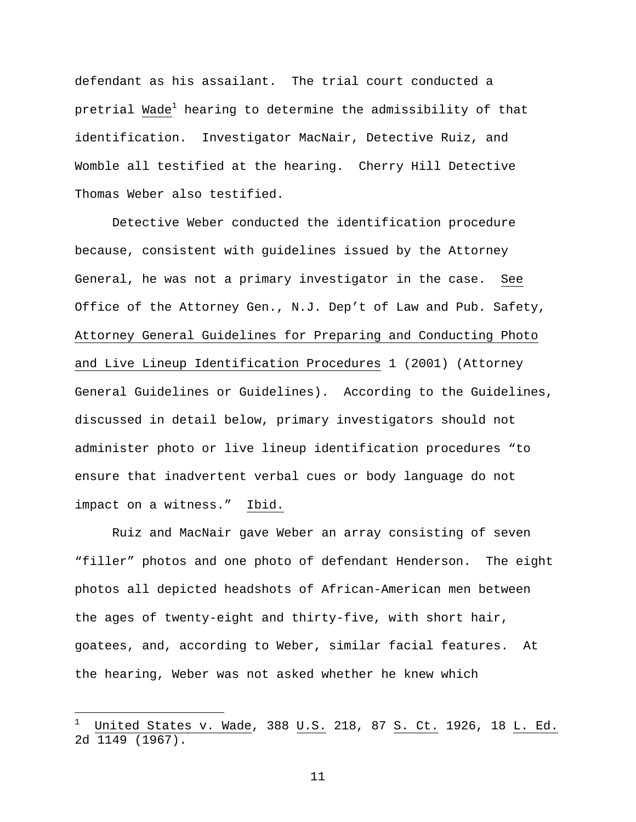defendant as his assailant. The trial court conducted a pretrial <u>Wade<sup>l</sup> hearing to determine the admissibility of that</u> identification. Investigator MacNair, Detective Ruiz, and Womble all testified at the hearing. Cherry Hill Detective Thomas Weber also testified.

 Detective Weber conducted the identification procedure because, consistent with guidelines issued by the Attorney General, he was not a primary investigator in the case. See Office of the Attorney Gen., N.J. Dep't of Law and Pub. Safety, Attorney General Guidelines for Preparing and Conducting Photo and Live Lineup Identification Procedures 1 (2001) (Attorney General Guidelines or Guidelines). According to the Guidelines, discussed in detail below, primary investigators should not administer photo or live lineup identification procedures "to ensure that inadvertent verbal cues or body language do not impact on a witness." Ibid.

 Ruiz and MacNair gave Weber an array consisting of seven "filler" photos and one photo of defendant Henderson. The eight photos all depicted headshots of African-American men between the ages of twenty-eight and thirty-five, with short hair, goatees, and, according to Weber, similar facial features. At the hearing, Weber was not asked whether he knew which

i<br>Li

<sup>1</sup> United States v. Wade, 388 U.S. 218, 87 S. Ct. 1926, 18 L. Ed. 2d 1149 (1967).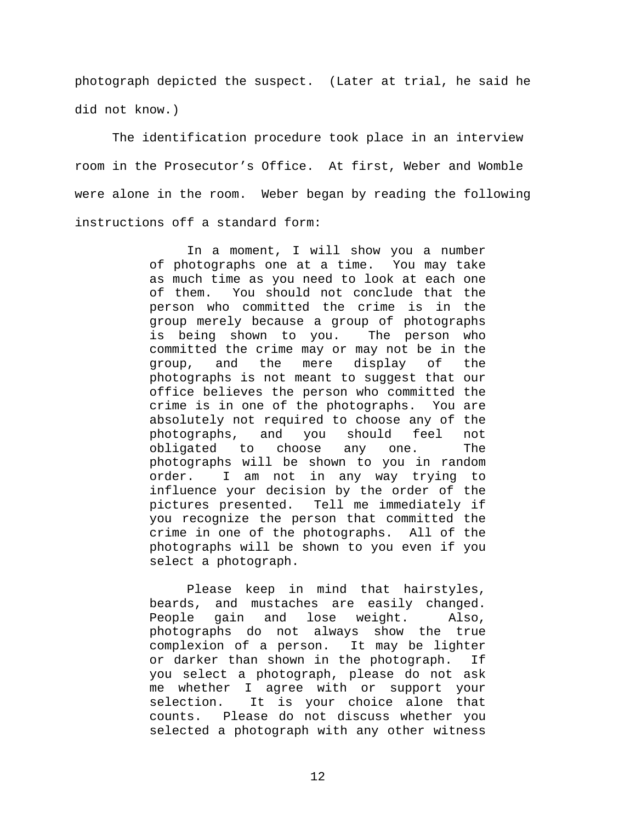photograph depicted the suspect. (Later at trial, he said he did not know.)

The identification procedure took place in an interview room in the Prosecutor's Office. At first, Weber and Womble were alone in the room. Weber began by reading the following instructions off a standard form:

> In a moment, I will show you a number of photographs one at a time. You may take as much time as you need to look at each one of them. You should not conclude that the person who committed the crime is in the group merely because a group of photographs is being shown to you. The person who committed the crime may or may not be in the group, and the mere display of the photographs is not meant to suggest that our office believes the person who committed the crime is in one of the photographs. You are absolutely not required to choose any of the photographs, and you should feel not obligated to choose any one. The photographs will be shown to you in random order. I am not in any way trying to influence your decision by the order of the pictures presented. Tell me immediately if you recognize the person that committed the crime in one of the photographs. All of the photographs will be shown to you even if you select a photograph.

> Please keep in mind that hairstyles, beards, and mustaches are easily changed. People gain and lose weight. Also, photographs do not always show the true complexion of a person. It may be lighter or darker than shown in the photograph. If you select a photograph, please do not ask me whether I agree with or support your selection. It is your choice alone that counts. Please do not discuss whether you selected a photograph with any other witness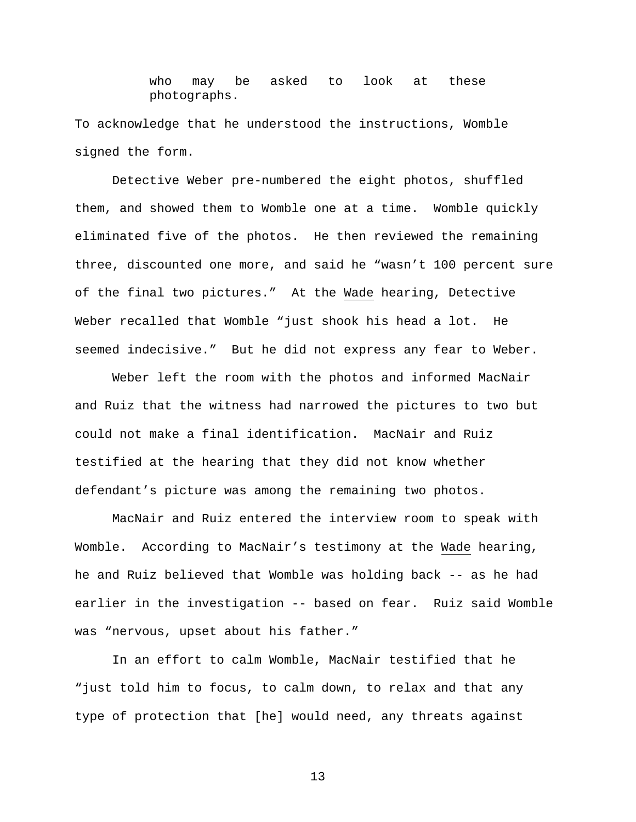who may be asked to look at these photographs.

To acknowledge that he understood the instructions, Womble signed the form.

 Detective Weber pre-numbered the eight photos, shuffled them, and showed them to Womble one at a time. Womble quickly eliminated five of the photos. He then reviewed the remaining three, discounted one more, and said he "wasn't 100 percent sure of the final two pictures." At the Wade hearing, Detective Weber recalled that Womble "just shook his head a lot. He seemed indecisive." But he did not express any fear to Weber.

 Weber left the room with the photos and informed MacNair and Ruiz that the witness had narrowed the pictures to two but could not make a final identification. MacNair and Ruiz testified at the hearing that they did not know whether defendant's picture was among the remaining two photos.

 MacNair and Ruiz entered the interview room to speak with Womble. According to MacNair's testimony at the Wade hearing, he and Ruiz believed that Womble was holding back -- as he had earlier in the investigation -- based on fear. Ruiz said Womble was "nervous, upset about his father."

 In an effort to calm Womble, MacNair testified that he "just told him to focus, to calm down, to relax and that any type of protection that [he] would need, any threats against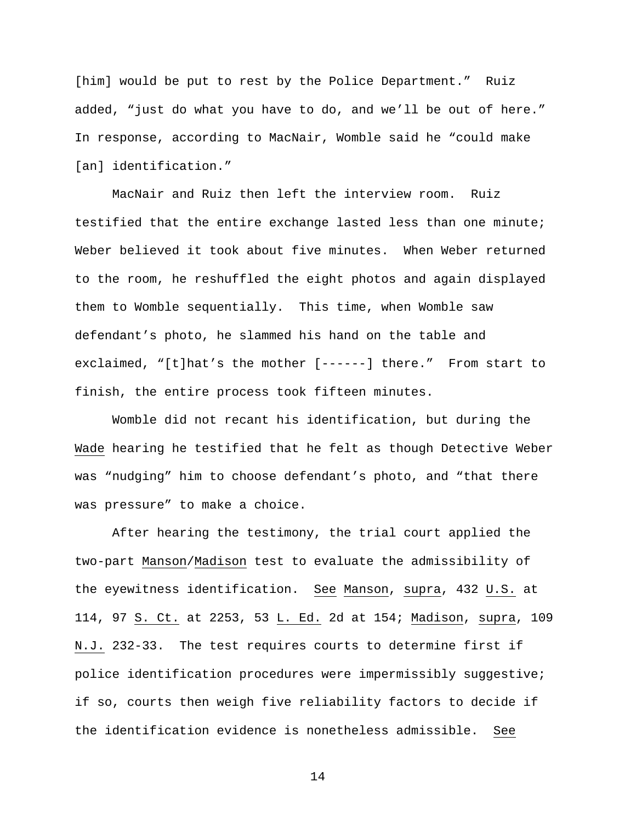[him] would be put to rest by the Police Department." Ruiz added, "just do what you have to do, and we'll be out of here." In response, according to MacNair, Womble said he "could make [an] identification."

 MacNair and Ruiz then left the interview room. Ruiz testified that the entire exchange lasted less than one minute; Weber believed it took about five minutes. When Weber returned to the room, he reshuffled the eight photos and again displayed them to Womble sequentially. This time, when Womble saw defendant's photo, he slammed his hand on the table and exclaimed, "[t]hat's the mother [------] there." From start to finish, the entire process took fifteen minutes.

 Womble did not recant his identification, but during the Wade hearing he testified that he felt as though Detective Weber was "nudging" him to choose defendant's photo, and "that there was pressure" to make a choice.

 After hearing the testimony, the trial court applied the two-part Manson/Madison test to evaluate the admissibility of the eyewitness identification. See Manson, supra, 432 U.S. at 114, 97 S. Ct. at 2253, 53 L. Ed. 2d at 154; Madison, supra, 109 N.J. 232-33. The test requires courts to determine first if police identification procedures were impermissibly suggestive; if so, courts then weigh five reliability factors to decide if the identification evidence is nonetheless admissible. See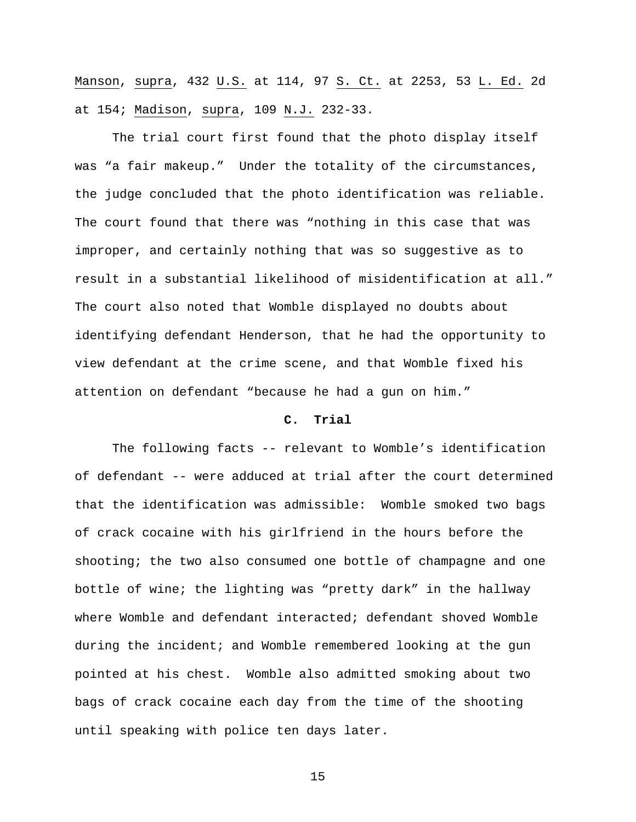Manson, supra, 432 U.S. at 114, 97 S. Ct. at 2253, 53 L. Ed. 2d at 154; Madison, supra, 109 N.J. 232-33.

 The trial court first found that the photo display itself was "a fair makeup." Under the totality of the circumstances, the judge concluded that the photo identification was reliable. The court found that there was "nothing in this case that was improper, and certainly nothing that was so suggestive as to result in a substantial likelihood of misidentification at all." The court also noted that Womble displayed no doubts about identifying defendant Henderson, that he had the opportunity to view defendant at the crime scene, and that Womble fixed his attention on defendant "because he had a gun on him."

#### **C. Trial**

 The following facts -- relevant to Womble's identification of defendant -- were adduced at trial after the court determined that the identification was admissible: Womble smoked two bags of crack cocaine with his girlfriend in the hours before the shooting; the two also consumed one bottle of champagne and one bottle of wine; the lighting was "pretty dark" in the hallway where Womble and defendant interacted; defendant shoved Womble during the incident; and Womble remembered looking at the gun pointed at his chest. Womble also admitted smoking about two bags of crack cocaine each day from the time of the shooting until speaking with police ten days later.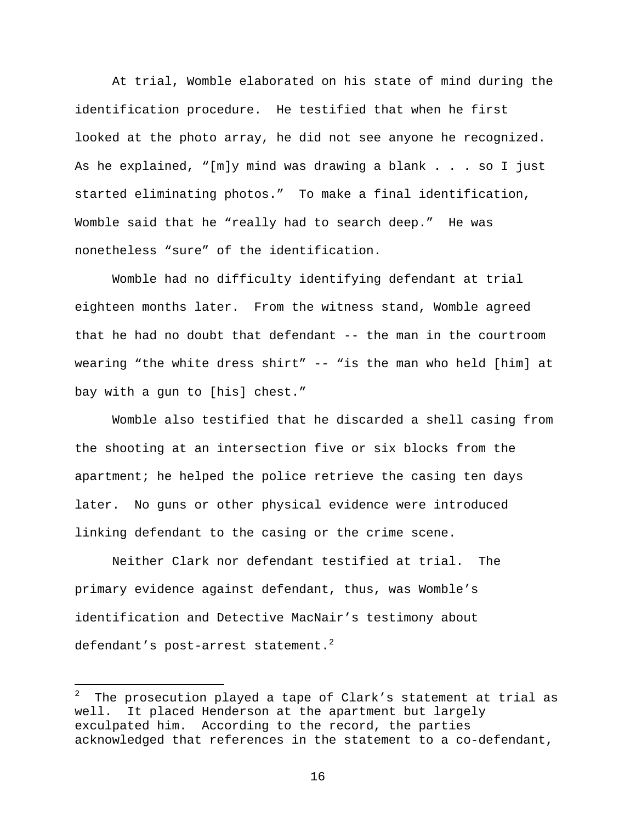At trial, Womble elaborated on his state of mind during the identification procedure. He testified that when he first looked at the photo array, he did not see anyone he recognized. As he explained, "[m]y mind was drawing a blank  $\ldots$  so I just started eliminating photos." To make a final identification, Womble said that he "really had to search deep." He was nonetheless "sure" of the identification.

 Womble had no difficulty identifying defendant at trial eighteen months later. From the witness stand, Womble agreed that he had no doubt that defendant -- the man in the courtroom wearing "the white dress shirt" -- "is the man who held [him] at bay with a gun to [his] chest."

 Womble also testified that he discarded a shell casing from the shooting at an intersection five or six blocks from the apartment; he helped the police retrieve the casing ten days later. No guns or other physical evidence were introduced linking defendant to the casing or the crime scene.

 Neither Clark nor defendant testified at trial. The primary evidence against defendant, thus, was Womble's identification and Detective MacNair's testimony about defendant's post-arrest statement. $^2$ 

i

<sup>2</sup> The prosecution played a tape of Clark's statement at trial as well. It placed Henderson at the apartment but largely exculpated him. According to the record, the parties acknowledged that references in the statement to a co-defendant,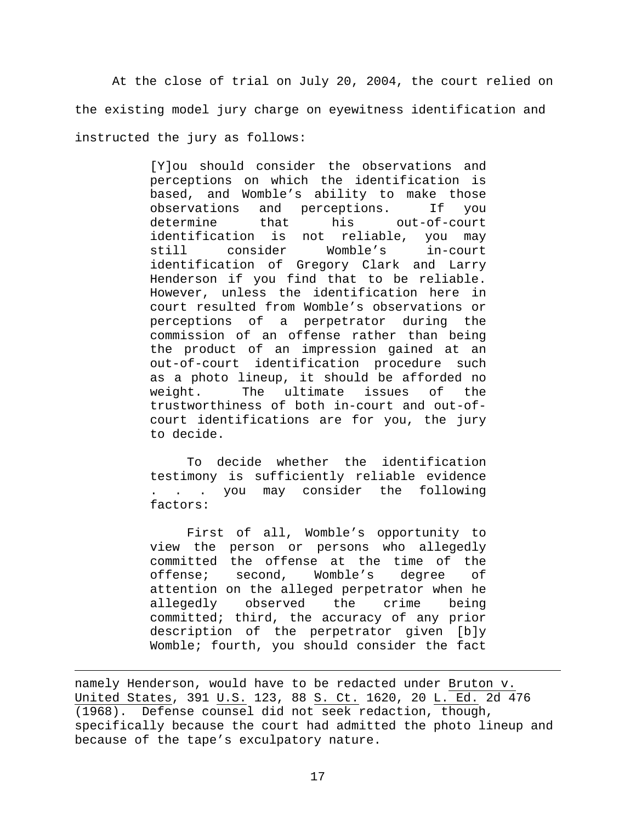At the close of trial on July 20, 2004, the court relied on the existing model jury charge on eyewitness identification and instructed the jury as follows:

> [Y]ou should consider the observations and perceptions on which the identification is based, and Womble's ability to make those observations and perceptions. If you determine that his out-of-court identification is not reliable, you may still consider Womble's in-court identification of Gregory Clark and Larry Henderson if you find that to be reliable. However, unless the identification here in court resulted from Womble's observations or perceptions of a perpetrator during the commission of an offense rather than being the product of an impression gained at an out-of-court identification procedure such as a photo lineup, it should be afforded no weight. The ultimate issues of the trustworthiness of both in-court and out-ofcourt identifications are for you, the jury to decide.

> To decide whether the identification testimony is sufficiently reliable evidence . . . you may consider the following factors:

> First of all, Womble's opportunity to view the person or persons who allegedly committed the offense at the time of the offense; second, Womble's degree of attention on the alleged perpetrator when he allegedly observed the crime being committed; third, the accuracy of any prior description of the perpetrator given [b]y Womble; fourth, you should consider the fact

namely Henderson, would have to be redacted under Bruton v. United States, 391 U.S. 123, 88 S. Ct. 1620, 20 L. Ed. 2d 476 (1968). Defense counsel did not seek redaction, though, specifically because the court had admitted the photo lineup and because of the tape's exculpatory nature.

i<br>Li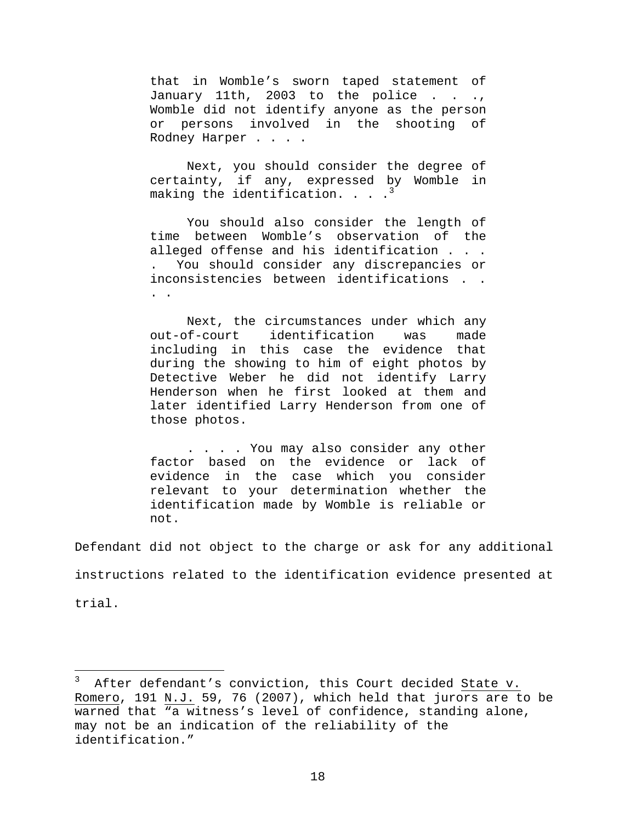that in Womble's sworn taped statement of January 11th, 2003 to the police . . ., Womble did not identify anyone as the person or persons involved in the shooting of Rodney Harper . . . .

 Next, you should consider the degree of certainty, if any, expressed by Womble in making the identification. . .  $3\overline{3}$ 

 You should also consider the length of time between Womble's observation of the alleged offense and his identification . . . . You should consider any discrepancies or inconsistencies between identifications . . . .

 Next, the circumstances under which any out-of-court identification was made including in this case the evidence that during the showing to him of eight photos by Detective Weber he did not identify Larry Henderson when he first looked at them and later identified Larry Henderson from one of those photos.

 . . . . You may also consider any other factor based on the evidence or lack of evidence in the case which you consider relevant to your determination whether the identification made by Womble is reliable or not.

Defendant did not object to the charge or ask for any additional instructions related to the identification evidence presented at trial.

 3 After defendant's conviction, this Court decided State v. Romero, 191 N.J. 59, 76 (2007), which held that jurors are to be warned that "a witness's level of confidence, standing alone, may not be an indication of the reliability of the identification."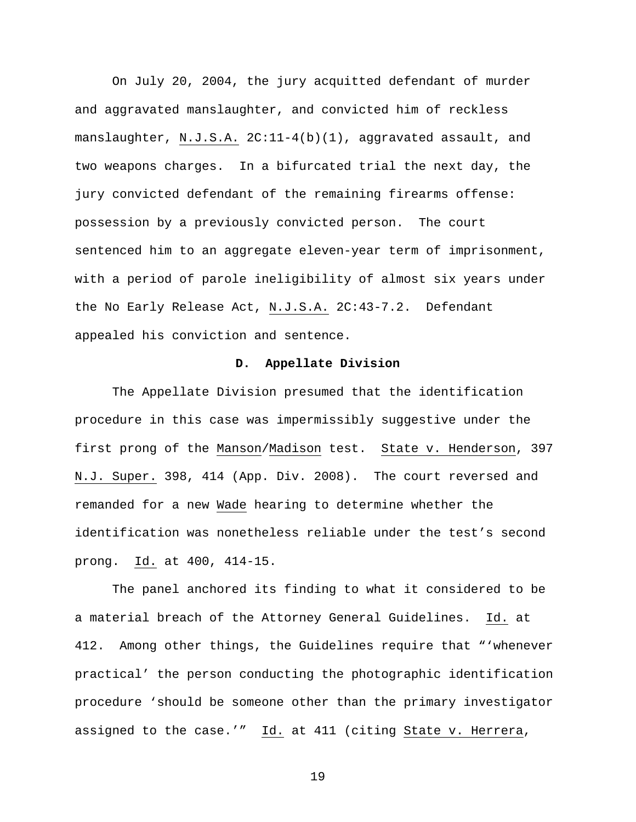On July 20, 2004, the jury acquitted defendant of murder and aggravated manslaughter, and convicted him of reckless manslaughter, N.J.S.A. 2C:11-4(b)(1), aggravated assault, and two weapons charges. In a bifurcated trial the next day, the jury convicted defendant of the remaining firearms offense: possession by a previously convicted person. The court sentenced him to an aggregate eleven-year term of imprisonment, with a period of parole ineligibility of almost six years under the No Early Release Act, N.J.S.A. 2C:43-7.2. Defendant appealed his conviction and sentence.

#### **D. Appellate Division**

The Appellate Division presumed that the identification procedure in this case was impermissibly suggestive under the first prong of the Manson/Madison test. State v. Henderson, 397 N.J. Super. 398, 414 (App. Div. 2008). The court reversed and remanded for a new Wade hearing to determine whether the identification was nonetheless reliable under the test's second prong. Id. at 400, 414-15.

The panel anchored its finding to what it considered to be a material breach of the Attorney General Guidelines. Id. at 412. Among other things, the Guidelines require that "'whenever practical' the person conducting the photographic identification procedure 'should be someone other than the primary investigator assigned to the case.'" Id. at 411 (citing State v. Herrera,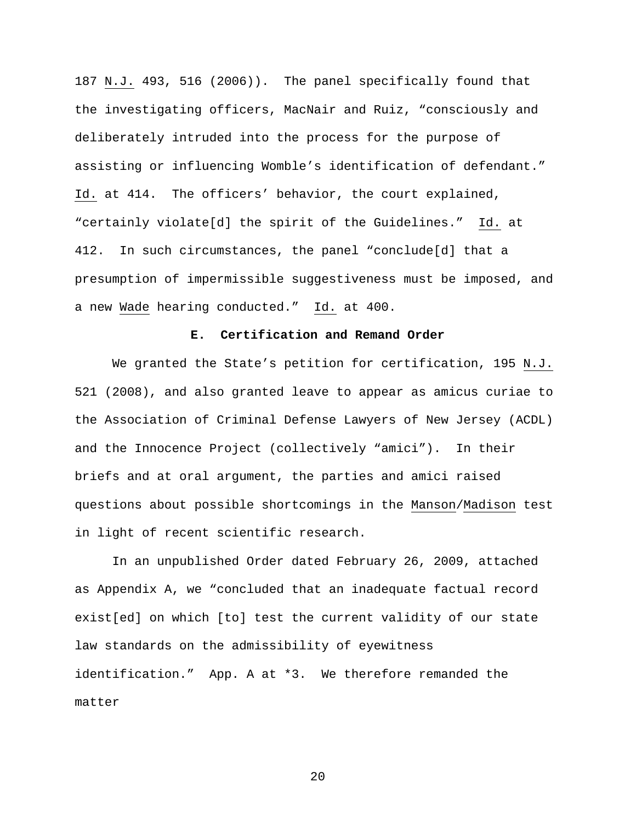187 N.J. 493, 516 (2006)). The panel specifically found that the investigating officers, MacNair and Ruiz, "consciously and deliberately intruded into the process for the purpose of assisting or influencing Womble's identification of defendant." Id. at 414. The officers' behavior, the court explained, "certainly violate[d] the spirit of the Guidelines." Id. at 412. In such circumstances, the panel "conclude[d] that a presumption of impermissible suggestiveness must be imposed, and a new Wade hearing conducted." Id. at 400.

## **E. Certification and Remand Order**

We granted the State's petition for certification, 195 N.J. 521 (2008), and also granted leave to appear as amicus curiae to the Association of Criminal Defense Lawyers of New Jersey (ACDL) and the Innocence Project (collectively "amici"). In their briefs and at oral argument, the parties and amici raised questions about possible shortcomings in the Manson/Madison test in light of recent scientific research.

In an unpublished Order dated February 26, 2009, attached as Appendix A, we "concluded that an inadequate factual record exist[ed] on which [to] test the current validity of our state law standards on the admissibility of eyewitness identification." App. A at \*3. We therefore remanded the matter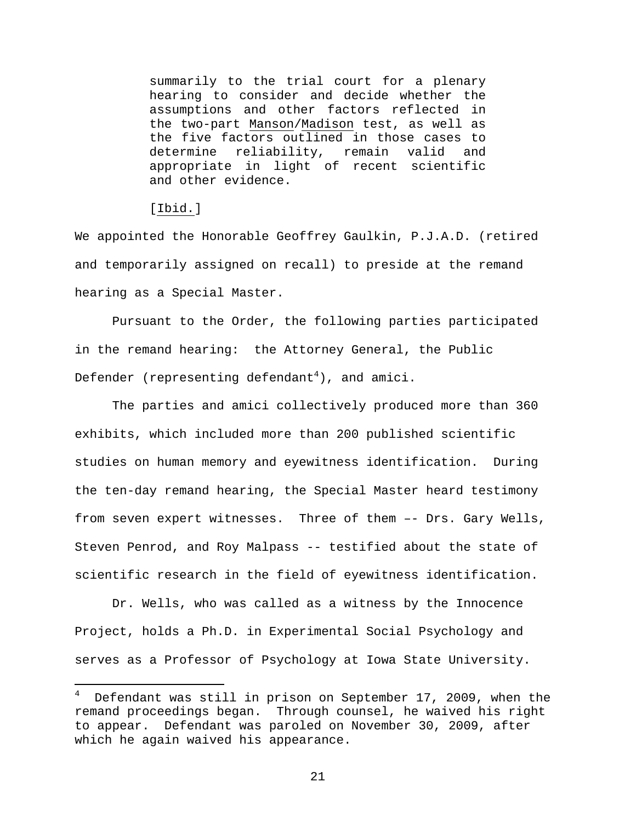summarily to the trial court for a plenary hearing to consider and decide whether the assumptions and other factors reflected in the two-part Manson/Madison test, as well as the five factors outlined in those cases to determine reliability, remain valid and appropriate in light of recent scientific and other evidence.

## [Ibid.]

i

We appointed the Honorable Geoffrey Gaulkin, P.J.A.D. (retired and temporarily assigned on recall) to preside at the remand hearing as a Special Master.

 Pursuant to the Order, the following parties participated in the remand hearing: the Attorney General, the Public Defender (representing defendant $^4$ ), and amici.

 The parties and amici collectively produced more than 360 exhibits, which included more than 200 published scientific studies on human memory and eyewitness identification. During the ten-day remand hearing, the Special Master heard testimony from seven expert witnesses. Three of them –- Drs. Gary Wells, Steven Penrod, and Roy Malpass -- testified about the state of scientific research in the field of eyewitness identification.

Dr. Wells, who was called as a witness by the Innocence Project, holds a Ph.D. in Experimental Social Psychology and serves as a Professor of Psychology at Iowa State University.

<sup>4</sup> Defendant was still in prison on September 17, 2009, when the remand proceedings began. Through counsel, he waived his right to appear. Defendant was paroled on November 30, 2009, after which he again waived his appearance.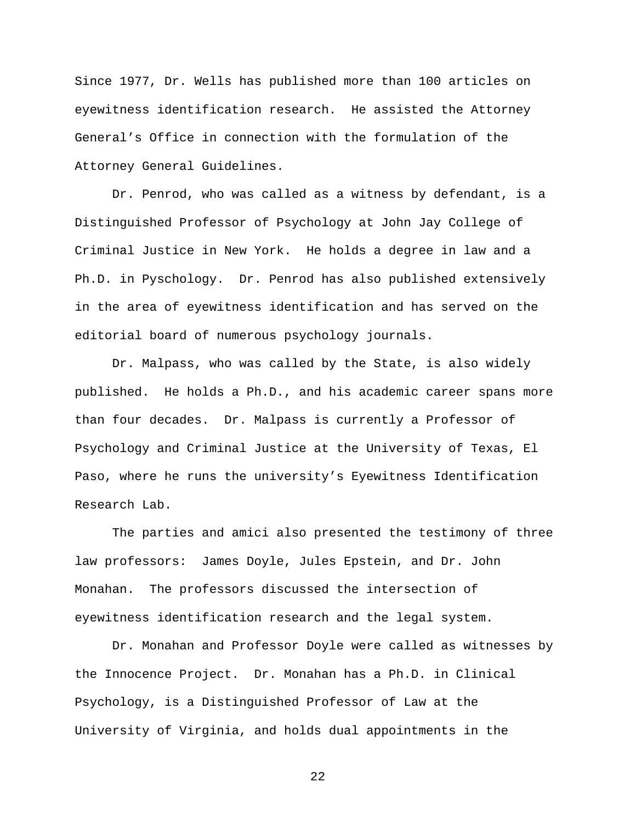Since 1977, Dr. Wells has published more than 100 articles on eyewitness identification research. He assisted the Attorney General's Office in connection with the formulation of the Attorney General Guidelines.

Dr. Penrod, who was called as a witness by defendant, is a Distinguished Professor of Psychology at John Jay College of Criminal Justice in New York. He holds a degree in law and a Ph.D. in Pyschology. Dr. Penrod has also published extensively in the area of eyewitness identification and has served on the editorial board of numerous psychology journals.

Dr. Malpass, who was called by the State, is also widely published. He holds a Ph.D., and his academic career spans more than four decades. Dr. Malpass is currently a Professor of Psychology and Criminal Justice at the University of Texas, El Paso, where he runs the university's Eyewitness Identification Research Lab.

The parties and amici also presented the testimony of three law professors: James Doyle, Jules Epstein, and Dr. John Monahan. The professors discussed the intersection of eyewitness identification research and the legal system.

 Dr. Monahan and Professor Doyle were called as witnesses by the Innocence Project. Dr. Monahan has a Ph.D. in Clinical Psychology, is a Distinguished Professor of Law at the University of Virginia, and holds dual appointments in the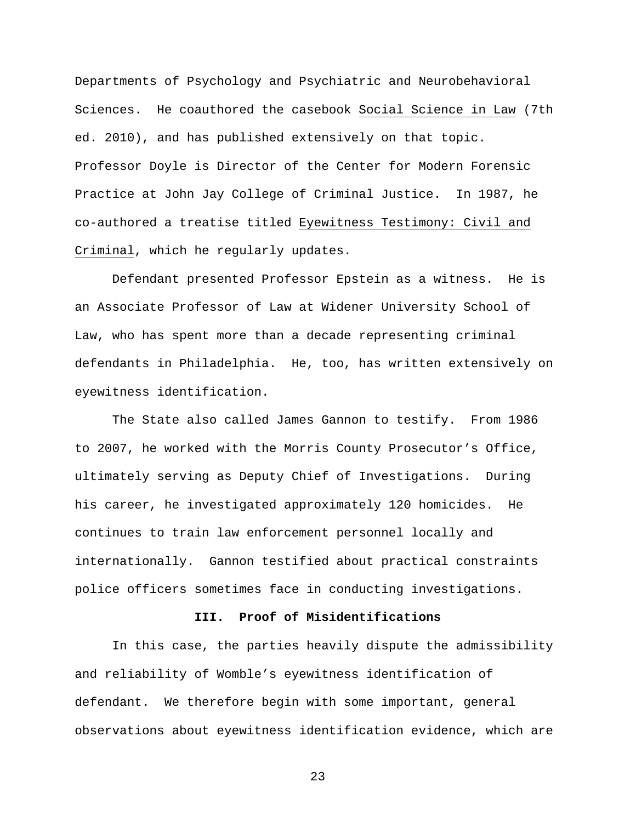Departments of Psychology and Psychiatric and Neurobehavioral Sciences. He coauthored the casebook Social Science in Law (7th ed. 2010), and has published extensively on that topic. Professor Doyle is Director of the Center for Modern Forensic Practice at John Jay College of Criminal Justice. In 1987, he co-authored a treatise titled Eyewitness Testimony: Civil and Criminal, which he regularly updates.

 Defendant presented Professor Epstein as a witness. He is an Associate Professor of Law at Widener University School of Law, who has spent more than a decade representing criminal defendants in Philadelphia. He, too, has written extensively on eyewitness identification.

 The State also called James Gannon to testify. From 1986 to 2007, he worked with the Morris County Prosecutor's Office, ultimately serving as Deputy Chief of Investigations. During his career, he investigated approximately 120 homicides. He continues to train law enforcement personnel locally and internationally. Gannon testified about practical constraints police officers sometimes face in conducting investigations.

## **III. Proof of Misidentifications**

 In this case, the parties heavily dispute the admissibility and reliability of Womble's eyewitness identification of defendant. We therefore begin with some important, general observations about eyewitness identification evidence, which are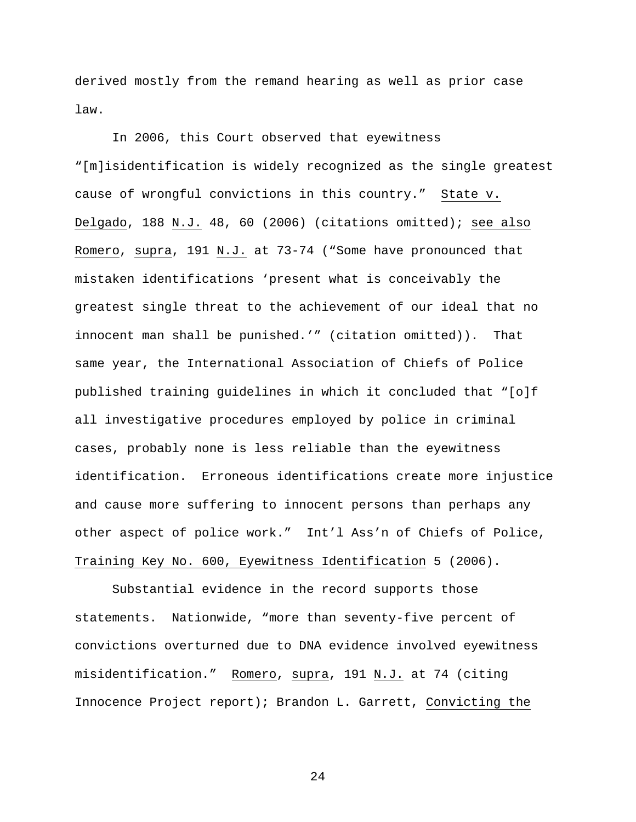derived mostly from the remand hearing as well as prior case law.

 In 2006, this Court observed that eyewitness "[m]isidentification is widely recognized as the single greatest cause of wrongful convictions in this country." State v. Delgado, 188 N.J. 48, 60 (2006) (citations omitted); see also Romero, supra, 191 N.J. at 73-74 ("Some have pronounced that mistaken identifications 'present what is conceivably the greatest single threat to the achievement of our ideal that no innocent man shall be punished.'" (citation omitted)). That same year, the International Association of Chiefs of Police published training guidelines in which it concluded that "[o]f all investigative procedures employed by police in criminal cases, probably none is less reliable than the eyewitness identification. Erroneous identifications create more injustice and cause more suffering to innocent persons than perhaps any other aspect of police work." Int'l Ass'n of Chiefs of Police, Training Key No. 600, Eyewitness Identification 5 (2006).

 Substantial evidence in the record supports those statements. Nationwide, "more than seventy-five percent of convictions overturned due to DNA evidence involved eyewitness misidentification." Romero, supra, 191 N.J. at 74 (citing Innocence Project report); Brandon L. Garrett, Convicting the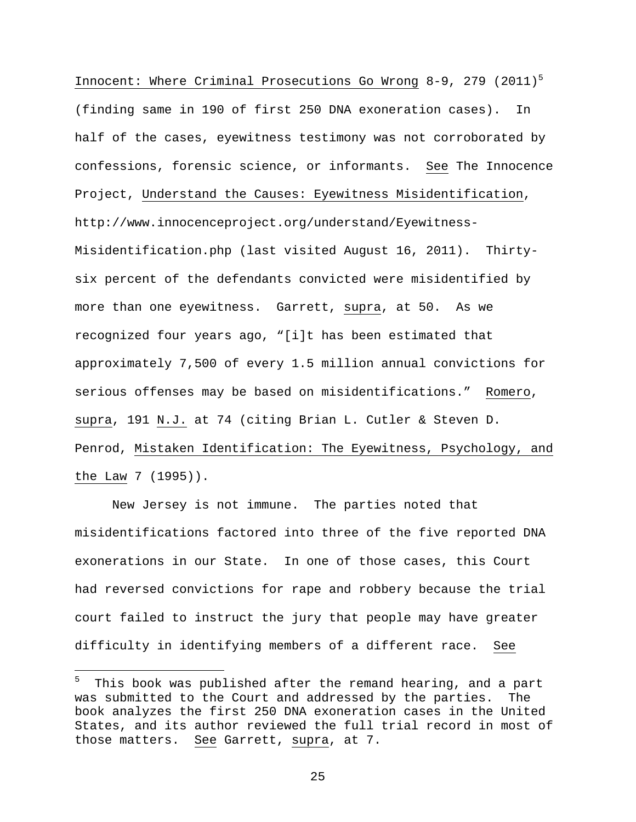Innocent: Where Criminal Prosecutions Go Wrong 8-9, 279 (2011)<sup>5</sup> (finding same in 190 of first 250 DNA exoneration cases). In half of the cases, eyewitness testimony was not corroborated by confessions, forensic science, or informants. See The Innocence Project, Understand the Causes: Eyewitness Misidentification, http://www.innocenceproject.org/understand/Eyewitness-Misidentification.php (last visited August 16, 2011). Thirtysix percent of the defendants convicted were misidentified by more than one eyewitness. Garrett, supra, at 50. As we recognized four years ago, "[i]t has been estimated that approximately 7,500 of every 1.5 million annual convictions for serious offenses may be based on misidentifications." Romero, supra, 191 N.J. at 74 (citing Brian L. Cutler & Steven D. Penrod, Mistaken Identification: The Eyewitness, Psychology, and the Law 7 (1995)).

 New Jersey is not immune. The parties noted that misidentifications factored into three of the five reported DNA exonerations in our State. In one of those cases, this Court had reversed convictions for rape and robbery because the trial court failed to instruct the jury that people may have greater difficulty in identifying members of a different race. See

 $\overline{\phantom{0}}$ 

<sup>5</sup> This book was published after the remand hearing, and a part was submitted to the Court and addressed by the parties. The book analyzes the first 250 DNA exoneration cases in the United States, and its author reviewed the full trial record in most of those matters. See Garrett, supra, at 7.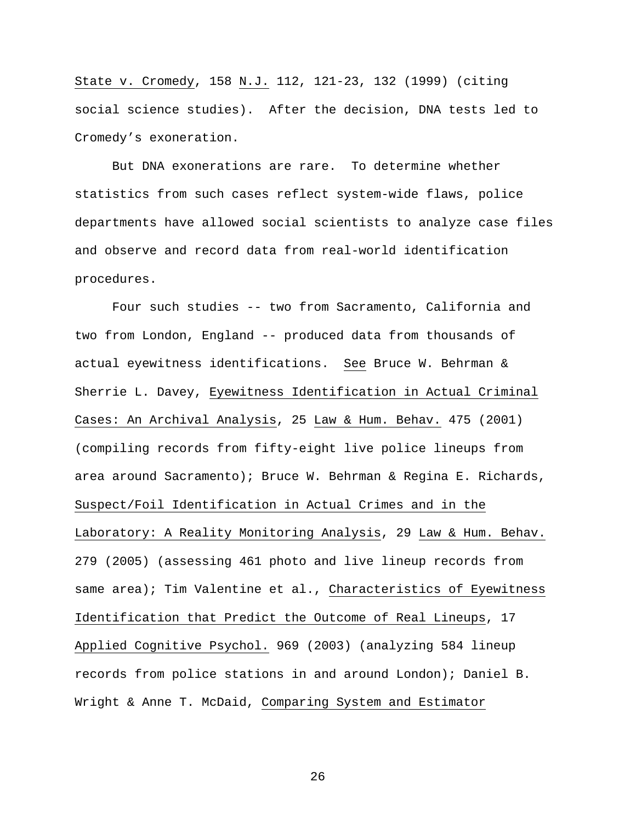State v. Cromedy, 158 N.J. 112, 121-23, 132 (1999) (citing social science studies). After the decision, DNA tests led to Cromedy's exoneration.

 But DNA exonerations are rare. To determine whether statistics from such cases reflect system-wide flaws, police departments have allowed social scientists to analyze case files and observe and record data from real-world identification procedures.

 Four such studies -- two from Sacramento, California and two from London, England -- produced data from thousands of actual eyewitness identifications. See Bruce W. Behrman & Sherrie L. Davey, Eyewitness Identification in Actual Criminal Cases: An Archival Analysis, 25 Law & Hum. Behav. 475 (2001) (compiling records from fifty-eight live police lineups from area around Sacramento); Bruce W. Behrman & Regina E. Richards, Suspect/Foil Identification in Actual Crimes and in the Laboratory: A Reality Monitoring Analysis, 29 Law & Hum. Behav. 279 (2005) (assessing 461 photo and live lineup records from same area); Tim Valentine et al., Characteristics of Eyewitness Identification that Predict the Outcome of Real Lineups, 17 Applied Cognitive Psychol. 969 (2003) (analyzing 584 lineup records from police stations in and around London); Daniel B. Wright & Anne T. McDaid, Comparing System and Estimator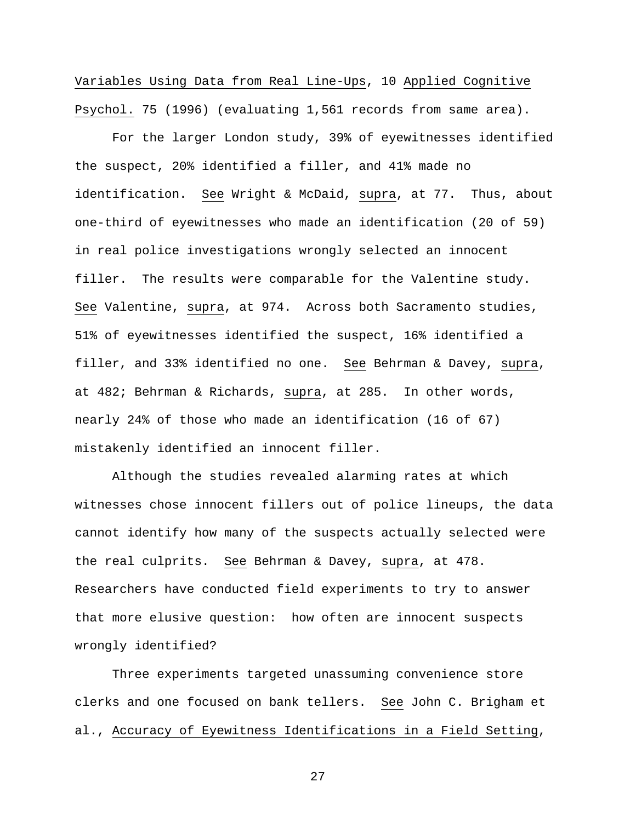Variables Using Data from Real Line-Ups, 10 Applied Cognitive Psychol. 75 (1996) (evaluating 1,561 records from same area).

 For the larger London study, 39% of eyewitnesses identified the suspect, 20% identified a filler, and 41% made no identification. See Wright & McDaid, supra, at 77. Thus, about one-third of eyewitnesses who made an identification (20 of 59) in real police investigations wrongly selected an innocent filler. The results were comparable for the Valentine study. See Valentine, supra, at 974. Across both Sacramento studies, 51% of eyewitnesses identified the suspect, 16% identified a filler, and 33% identified no one. See Behrman & Davey, supra, at 482; Behrman & Richards, supra, at 285. In other words, nearly 24% of those who made an identification (16 of 67) mistakenly identified an innocent filler.

Although the studies revealed alarming rates at which witnesses chose innocent fillers out of police lineups, the data cannot identify how many of the suspects actually selected were the real culprits. See Behrman & Davey, supra, at 478. Researchers have conducted field experiments to try to answer that more elusive question: how often are innocent suspects wrongly identified?

Three experiments targeted unassuming convenience store clerks and one focused on bank tellers. See John C. Brigham et al., Accuracy of Eyewitness Identifications in a Field Setting,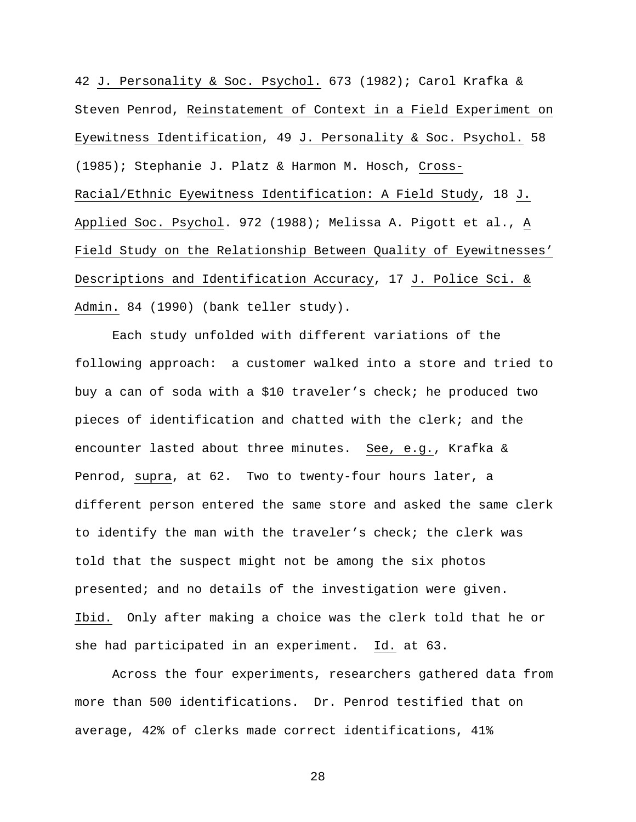42 J. Personality & Soc. Psychol. 673 (1982); Carol Krafka & Steven Penrod, Reinstatement of Context in a Field Experiment on Eyewitness Identification, 49 J. Personality & Soc. Psychol. 58 (1985); Stephanie J. Platz & Harmon M. Hosch, Cross-Racial/Ethnic Eyewitness Identification: A Field Study, 18 J. Applied Soc. Psychol. 972 (1988); Melissa A. Pigott et al., A Field Study on the Relationship Between Quality of Eyewitnesses' Descriptions and Identification Accuracy, 17 J. Police Sci. & Admin. 84 (1990) (bank teller study).

Each study unfolded with different variations of the following approach: a customer walked into a store and tried to buy a can of soda with a \$10 traveler's check; he produced two pieces of identification and chatted with the clerk; and the encounter lasted about three minutes. See, e.g., Krafka & Penrod, supra, at 62. Two to twenty-four hours later, a different person entered the same store and asked the same clerk to identify the man with the traveler's check; the clerk was told that the suspect might not be among the six photos presented; and no details of the investigation were given. Ibid. Only after making a choice was the clerk told that he or she had participated in an experiment. Id. at 63.

 Across the four experiments, researchers gathered data from more than 500 identifications. Dr. Penrod testified that on average, 42% of clerks made correct identifications, 41%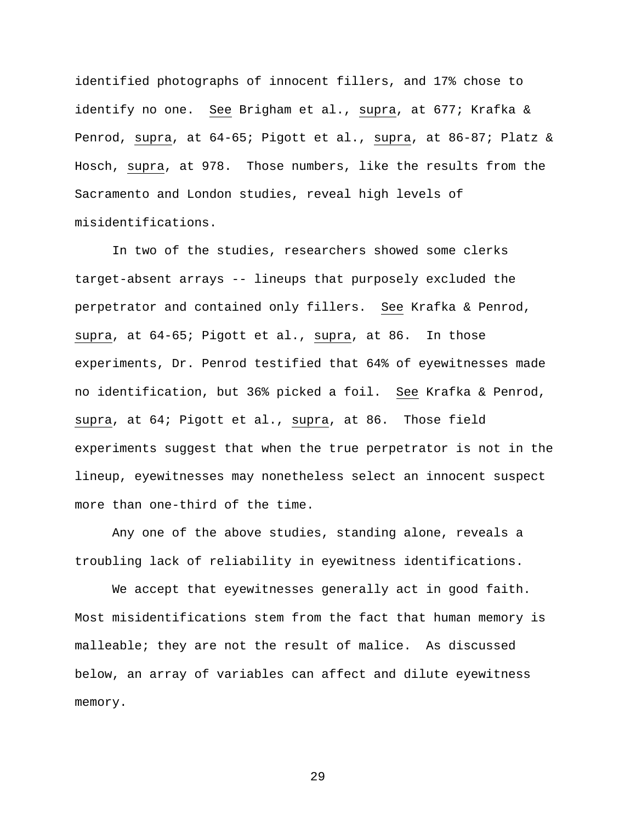identified photographs of innocent fillers, and 17% chose to identify no one. See Brigham et al., supra, at 677; Krafka & Penrod, supra, at 64-65; Pigott et al., supra, at 86-87; Platz & Hosch, supra, at 978. Those numbers, like the results from the Sacramento and London studies, reveal high levels of misidentifications.

 In two of the studies, researchers showed some clerks target-absent arrays -- lineups that purposely excluded the perpetrator and contained only fillers. See Krafka & Penrod, supra, at 64-65; Pigott et al., supra, at 86. In those experiments, Dr. Penrod testified that 64% of eyewitnesses made no identification, but 36% picked a foil. See Krafka & Penrod, supra, at 64; Pigott et al., supra, at 86. Those field experiments suggest that when the true perpetrator is not in the lineup, eyewitnesses may nonetheless select an innocent suspect more than one-third of the time.

 Any one of the above studies, standing alone, reveals a troubling lack of reliability in eyewitness identifications.

We accept that eyewitnesses generally act in good faith. Most misidentifications stem from the fact that human memory is malleable; they are not the result of malice. As discussed below, an array of variables can affect and dilute eyewitness memory.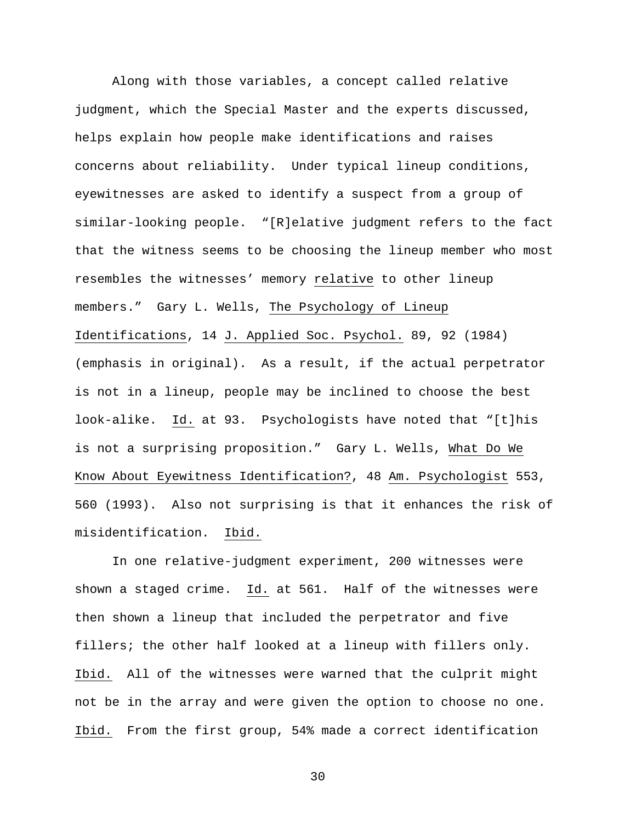Along with those variables, a concept called relative judgment, which the Special Master and the experts discussed, helps explain how people make identifications and raises concerns about reliability. Under typical lineup conditions, eyewitnesses are asked to identify a suspect from a group of similar-looking people. "[R]elative judgment refers to the fact that the witness seems to be choosing the lineup member who most resembles the witnesses' memory relative to other lineup members." Gary L. Wells, The Psychology of Lineup Identifications, 14 J. Applied Soc. Psychol. 89, 92 (1984) (emphasis in original). As a result, if the actual perpetrator is not in a lineup, people may be inclined to choose the best look-alike. Id. at 93. Psychologists have noted that "[t]his is not a surprising proposition." Gary L. Wells, What Do We Know About Eyewitness Identification?, 48 Am. Psychologist 553, 560 (1993). Also not surprising is that it enhances the risk of misidentification. Ibid.

 In one relative-judgment experiment, 200 witnesses were shown a staged crime. Id. at 561. Half of the witnesses were then shown a lineup that included the perpetrator and five fillers; the other half looked at a lineup with fillers only. Ibid. All of the witnesses were warned that the culprit might not be in the array and were given the option to choose no one. Ibid. From the first group, 54% made a correct identification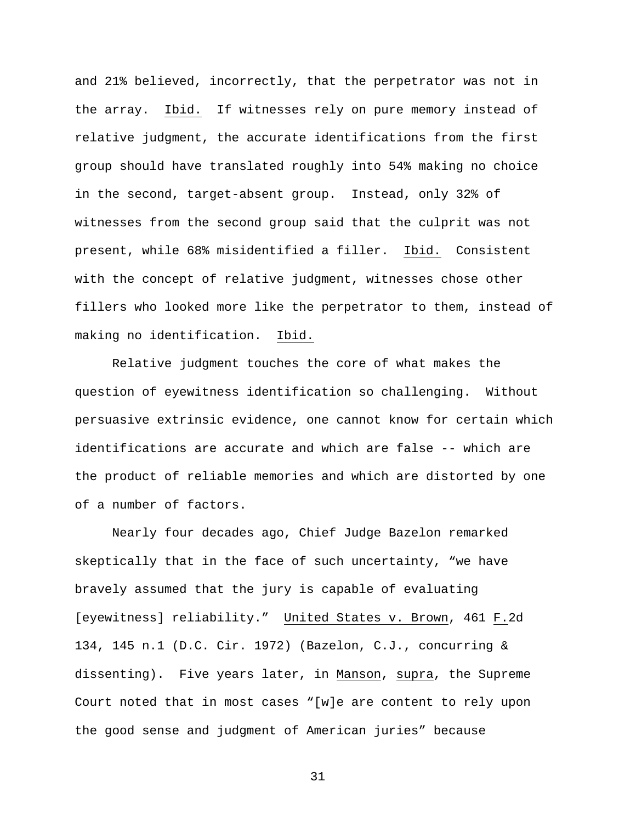and 21% believed, incorrectly, that the perpetrator was not in the array. Ibid. If witnesses rely on pure memory instead of relative judgment, the accurate identifications from the first group should have translated roughly into 54% making no choice in the second, target-absent group. Instead, only 32% of witnesses from the second group said that the culprit was not present, while 68% misidentified a filler. Ibid. Consistent with the concept of relative judgment, witnesses chose other fillers who looked more like the perpetrator to them, instead of making no identification. Ibid.

 Relative judgment touches the core of what makes the question of eyewitness identification so challenging. Without persuasive extrinsic evidence, one cannot know for certain which identifications are accurate and which are false -- which are the product of reliable memories and which are distorted by one of a number of factors.

 Nearly four decades ago, Chief Judge Bazelon remarked skeptically that in the face of such uncertainty, "we have bravely assumed that the jury is capable of evaluating [eyewitness] reliability." United States v. Brown, 461 F.2d 134, 145 n.1 (D.C. Cir. 1972) (Bazelon, C.J., concurring & dissenting). Five years later, in Manson, supra, the Supreme Court noted that in most cases "[w]e are content to rely upon the good sense and judgment of American juries" because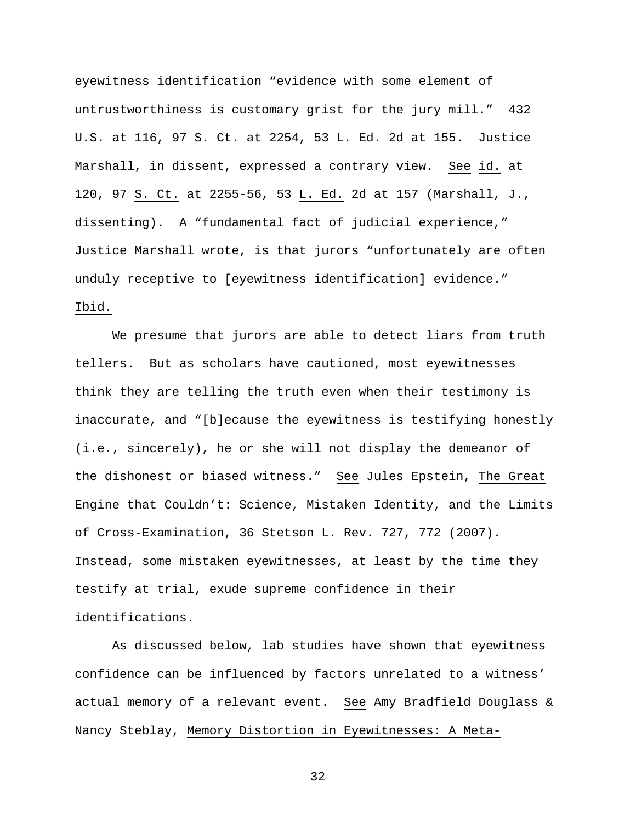eyewitness identification "evidence with some element of untrustworthiness is customary grist for the jury mill." 432 U.S. at 116, 97 S. Ct. at 2254, 53 L. Ed. 2d at 155. Justice Marshall, in dissent, expressed a contrary view. See id. at 120, 97 S. Ct. at 2255-56, 53 L. Ed. 2d at 157 (Marshall, J., dissenting). A "fundamental fact of judicial experience," Justice Marshall wrote, is that jurors "unfortunately are often unduly receptive to [eyewitness identification] evidence." Ibid.

 We presume that jurors are able to detect liars from truth tellers. But as scholars have cautioned, most eyewitnesses think they are telling the truth even when their testimony is inaccurate, and "[b]ecause the eyewitness is testifying honestly (i.e., sincerely), he or she will not display the demeanor of the dishonest or biased witness." See Jules Epstein, The Great Engine that Couldn't: Science, Mistaken Identity, and the Limits of Cross-Examination, 36 Stetson L. Rev. 727, 772 (2007). Instead, some mistaken eyewitnesses, at least by the time they testify at trial, exude supreme confidence in their identifications.

 As discussed below, lab studies have shown that eyewitness confidence can be influenced by factors unrelated to a witness' actual memory of a relevant event. See Amy Bradfield Douglass & Nancy Steblay, Memory Distortion in Eyewitnesses: A Meta-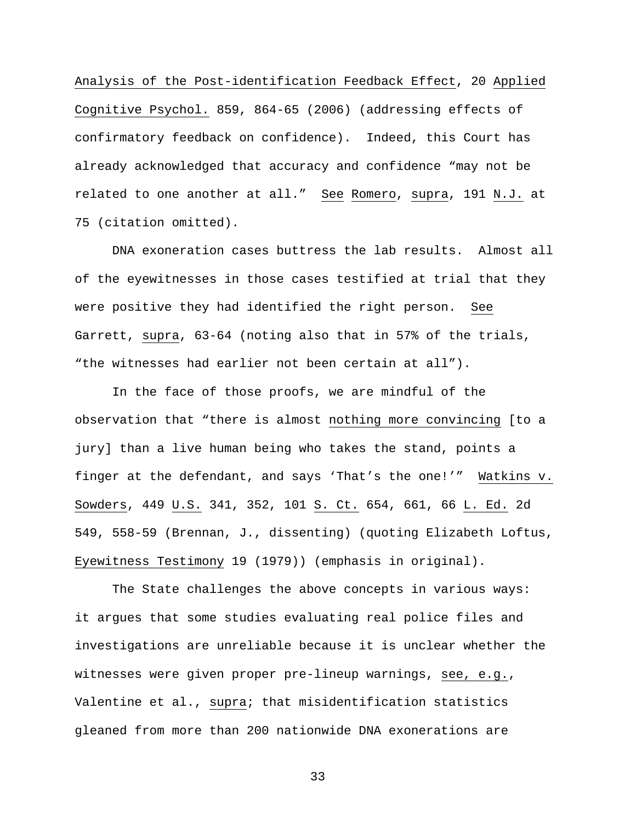Analysis of the Post-identification Feedback Effect, 20 Applied Cognitive Psychol. 859, 864-65 (2006) (addressing effects of confirmatory feedback on confidence). Indeed, this Court has already acknowledged that accuracy and confidence "may not be related to one another at all." See Romero, supra, 191 N.J. at 75 (citation omitted).

DNA exoneration cases buttress the lab results. Almost all of the eyewitnesses in those cases testified at trial that they were positive they had identified the right person. See Garrett, supra, 63-64 (noting also that in 57% of the trials, "the witnesses had earlier not been certain at all").

 In the face of those proofs, we are mindful of the observation that "there is almost nothing more convincing [to a jury] than a live human being who takes the stand, points a finger at the defendant, and says 'That's the one!'" Watkins v. Sowders, 449 U.S. 341, 352, 101 S. Ct. 654, 661, 66 L. Ed. 2d 549, 558-59 (Brennan, J., dissenting) (quoting Elizabeth Loftus, Eyewitness Testimony 19 (1979)) (emphasis in original).

The State challenges the above concepts in various ways: it argues that some studies evaluating real police files and investigations are unreliable because it is unclear whether the witnesses were given proper pre-lineup warnings, see, e.g., Valentine et al., supra; that misidentification statistics gleaned from more than 200 nationwide DNA exonerations are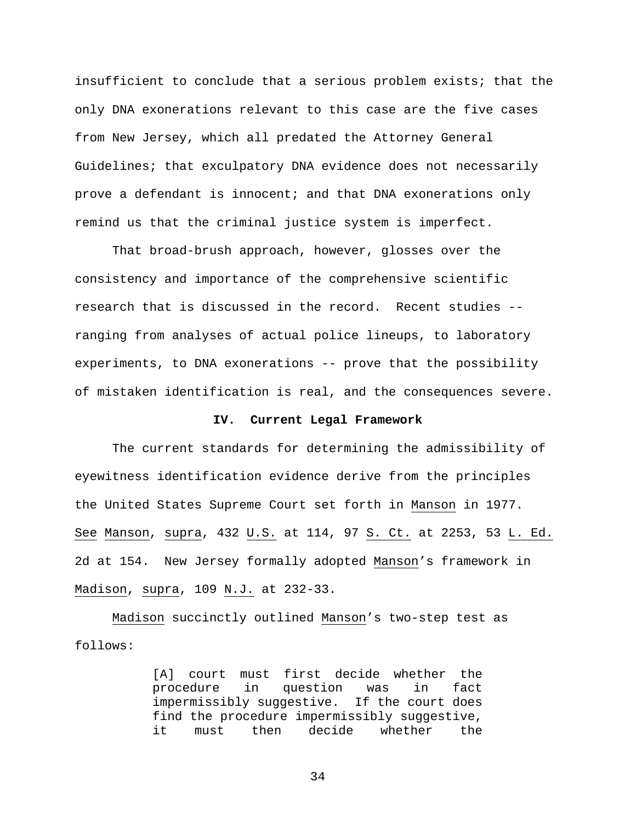insufficient to conclude that a serious problem exists; that the only DNA exonerations relevant to this case are the five cases from New Jersey, which all predated the Attorney General Guidelines; that exculpatory DNA evidence does not necessarily prove a defendant is innocent; and that DNA exonerations only remind us that the criminal justice system is imperfect.

 That broad-brush approach, however, glosses over the consistency and importance of the comprehensive scientific research that is discussed in the record. Recent studies - ranging from analyses of actual police lineups, to laboratory experiments, to DNA exonerations -- prove that the possibility of mistaken identification is real, and the consequences severe.

### **IV. Current Legal Framework**

 The current standards for determining the admissibility of eyewitness identification evidence derive from the principles the United States Supreme Court set forth in Manson in 1977. See Manson, supra, 432 U.S. at 114, 97 S. Ct. at 2253, 53 L. Ed. 2d at 154. New Jersey formally adopted Manson's framework in Madison, supra, 109 N.J. at 232-33.

 Madison succinctly outlined Manson's two-step test as follows:

> [A] court must first decide whether the procedure in question was in fact impermissibly suggestive. If the court does find the procedure impermissibly suggestive, it must then decide whether the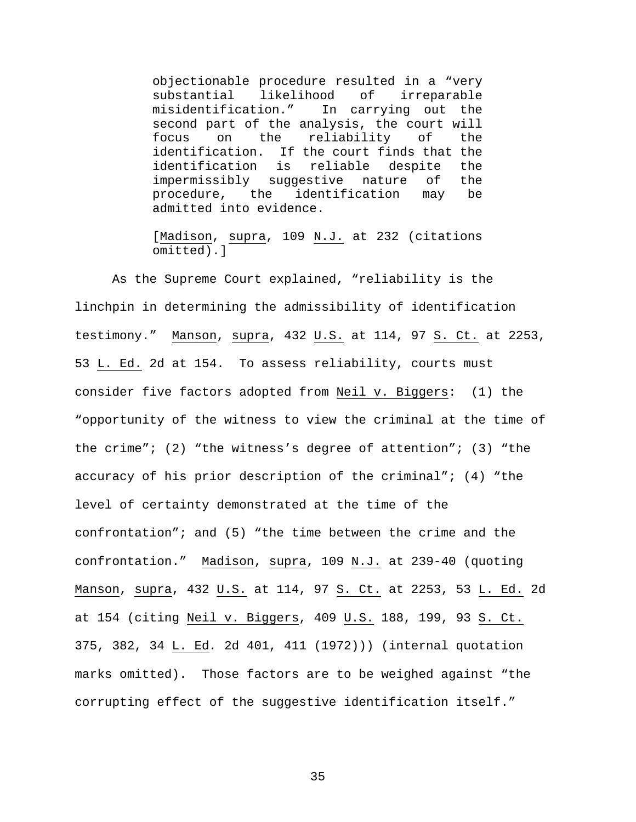objectionable procedure resulted in a "very substantial likelihood of irreparable misidentification." In carrying out the second part of the analysis, the court will focus on the reliability of the identification. If the court finds that the identification is reliable despite the impermissibly suggestive nature of the procedure, the identification may be admitted into evidence.

[Madison, supra, 109 N.J. at 232 (citations omitted).]

 As the Supreme Court explained, "reliability is the linchpin in determining the admissibility of identification testimony." Manson, supra, 432 U.S. at 114, 97 S. Ct. at 2253, 53 L. Ed. 2d at 154. To assess reliability, courts must consider five factors adopted from Neil v. Biggers: (1) the "opportunity of the witness to view the criminal at the time of the crime"; (2) "the witness's degree of attention"; (3) "the accuracy of his prior description of the criminal"; (4) "the level of certainty demonstrated at the time of the confrontation"; and (5) "the time between the crime and the confrontation." Madison, supra, 109 N.J. at 239-40 (quoting Manson, supra, 432 U.S. at 114, 97 S. Ct. at 2253, 53 L. Ed. 2d at 154 (citing Neil v. Biggers, 409 U.S. 188, 199, 93 S. Ct. 375, 382, 34 L. Ed*.* 2d 401, 411 (1972))) (internal quotation marks omitted). Those factors are to be weighed against "the corrupting effect of the suggestive identification itself."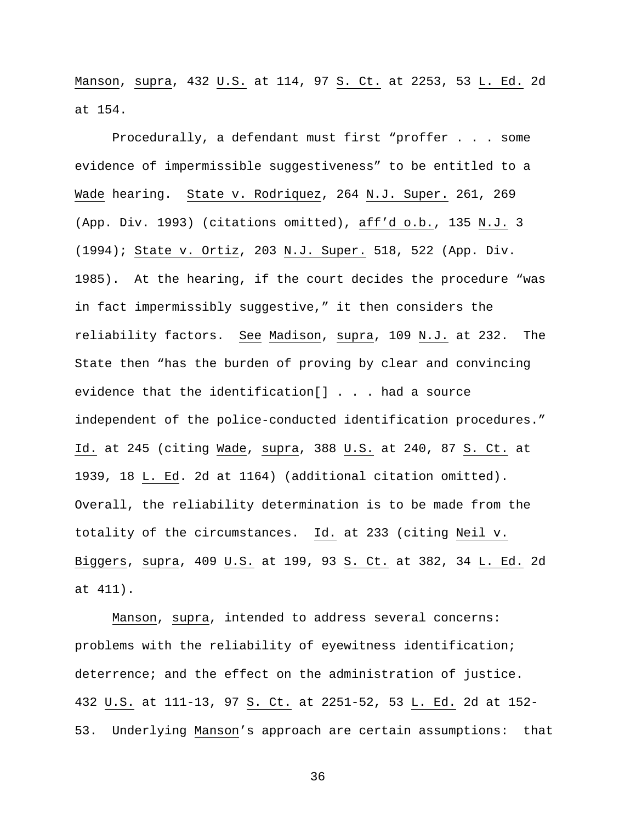Manson, supra, 432 U.S. at 114, 97 S. Ct. at 2253, 53 L. Ed. 2d at 154.

 Procedurally, a defendant must first "proffer . . . some evidence of impermissible suggestiveness" to be entitled to a Wade hearing. State v. Rodriquez, 264 N.J. Super. 261, 269 (App. Div. 1993) (citations omitted), aff'd o.b., 135 N.J. 3 (1994); State v. Ortiz, 203 N.J. Super. 518, 522 (App. Div. 1985). At the hearing, if the court decides the procedure "was in fact impermissibly suggestive," it then considers the reliability factors. See Madison, supra, 109 N.J. at 232. The State then "has the burden of proving by clear and convincing evidence that the identification[] . . . had a source independent of the police-conducted identification procedures." Id. at 245 (citing Wade, supra, 388 U.S. at 240, 87 S. Ct. at 1939, 18 L. Ed. 2d at 1164) (additional citation omitted). Overall, the reliability determination is to be made from the totality of the circumstances. Id. at 233 (citing Neil v. Biggers, supra, 409 U.S. at 199, 93 S. Ct. at 382, 34 L. Ed. 2d at 411).

 Manson, supra, intended to address several concerns: problems with the reliability of eyewitness identification; deterrence; and the effect on the administration of justice. 432 U.S. at 111-13, 97 S. Ct. at 2251-52, 53 L. Ed. 2d at 152- 53. Underlying Manson's approach are certain assumptions: that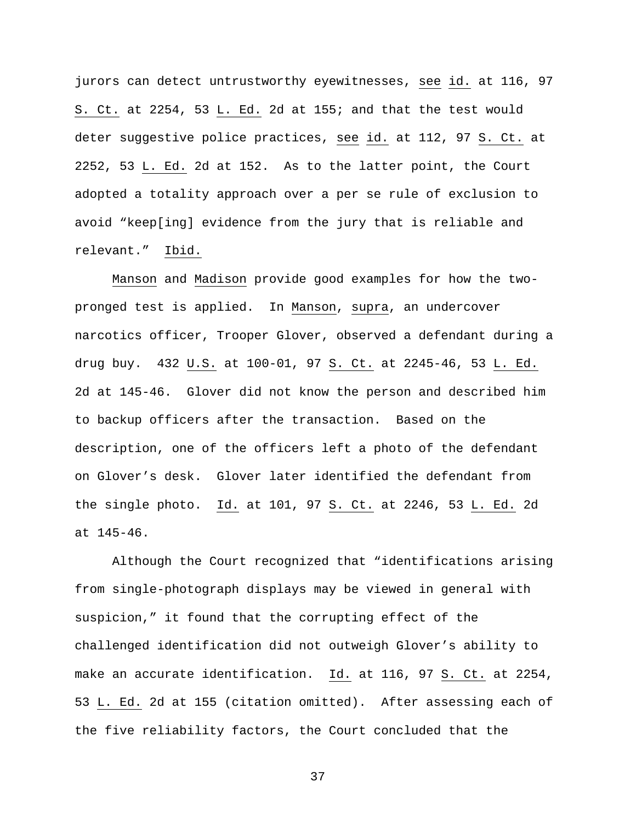jurors can detect untrustworthy eyewitnesses, see id. at 116, 97 S. Ct. at 2254, 53 L. Ed. 2d at 155; and that the test would deter suggestive police practices, see id. at 112, 97 S. Ct. at 2252, 53 L. Ed. 2d at 152. As to the latter point, the Court adopted a totality approach over a per se rule of exclusion to avoid "keep[ing] evidence from the jury that is reliable and relevant." Ibid.

 Manson and Madison provide good examples for how the twopronged test is applied. In Manson, supra, an undercover narcotics officer, Trooper Glover, observed a defendant during a drug buy. 432 U.S. at 100-01, 97 S. Ct. at 2245-46, 53 L. Ed. 2d at 145-46. Glover did not know the person and described him to backup officers after the transaction. Based on the description, one of the officers left a photo of the defendant on Glover's desk. Glover later identified the defendant from the single photo. Id. at 101, 97 S. Ct. at 2246, 53 L. Ed. 2d at 145-46.

 Although the Court recognized that "identifications arising from single-photograph displays may be viewed in general with suspicion," it found that the corrupting effect of the challenged identification did not outweigh Glover's ability to make an accurate identification. Id. at 116, 97 S. Ct. at 2254, 53 L. Ed. 2d at 155 (citation omitted). After assessing each of the five reliability factors, the Court concluded that the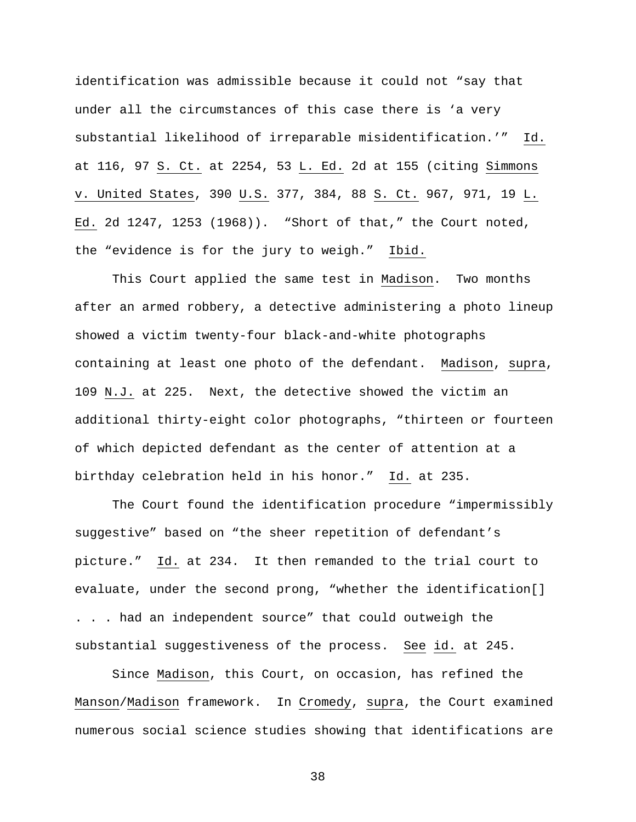identification was admissible because it could not "say that under all the circumstances of this case there is 'a very substantial likelihood of irreparable misidentification.'" Id. at 116, 97 S. Ct. at 2254, 53 L. Ed. 2d at 155 (citing Simmons v. United States, 390 U.S. 377, 384, 88 S. Ct. 967, 971, 19 L. Ed. 2d 1247, 1253 (1968)). "Short of that," the Court noted, the "evidence is for the jury to weigh." Ibid.

 This Court applied the same test in Madison. Two months after an armed robbery, a detective administering a photo lineup showed a victim twenty-four black-and-white photographs containing at least one photo of the defendant. Madison, supra, 109 N.J. at 225. Next, the detective showed the victim an additional thirty-eight color photographs, "thirteen or fourteen of which depicted defendant as the center of attention at a birthday celebration held in his honor." Id. at 235.

 The Court found the identification procedure "impermissibly suggestive" based on "the sheer repetition of defendant's picture." Id. at 234. It then remanded to the trial court to evaluate, under the second prong, "whether the identification[] . . . had an independent source" that could outweigh the substantial suggestiveness of the process. See id. at 245.

 Since Madison, this Court, on occasion, has refined the Manson/Madison framework. In Cromedy, supra, the Court examined numerous social science studies showing that identifications are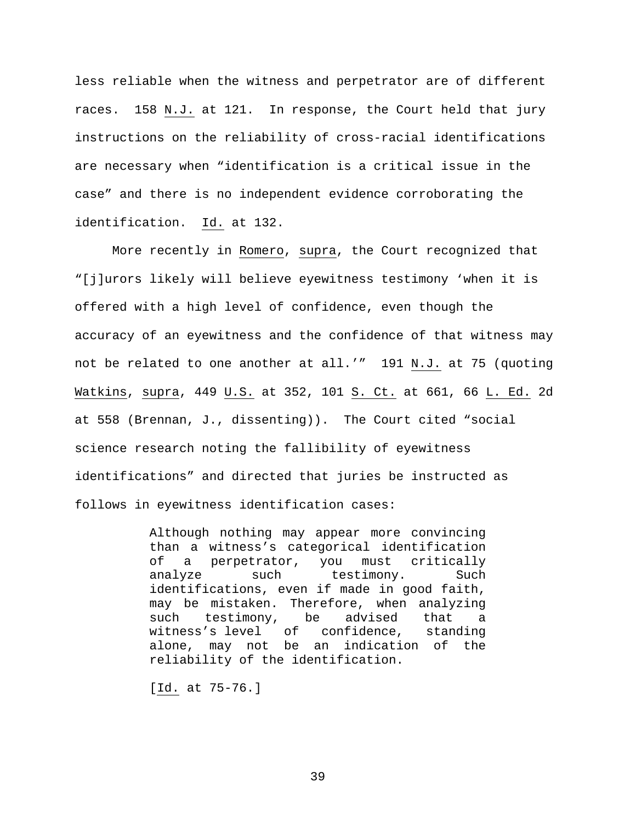less reliable when the witness and perpetrator are of different races. 158 N.J. at 121. In response, the Court held that jury instructions on the reliability of cross-racial identifications are necessary when "identification is a critical issue in the case" and there is no independent evidence corroborating the identification. Id. at 132.

 More recently in Romero, supra, the Court recognized that "[j]urors likely will believe eyewitness testimony 'when it is offered with a high level of confidence, even though the accuracy of an eyewitness and the confidence of that witness may not be related to one another at all.'" 191 N.J. at 75 (quoting Watkins, supra, 449 U.S. at 352, 101 S. Ct. at 661, 66 L. Ed. 2d at 558 (Brennan, J., dissenting)). The Court cited "social science research noting the fallibility of eyewitness identifications" and directed that juries be instructed as follows in eyewitness identification cases:

> Although nothing may appear more convincing than a witness's categorical identification of a perpetrator, you must critically analyze such testimony. Such identifications, even if made in good faith, may be mistaken. Therefore, when analyzing such testimony, be advised that a witness's level of confidence, standing alone, may not be an indication of the reliability of the identification.

[Id. at 75-76.]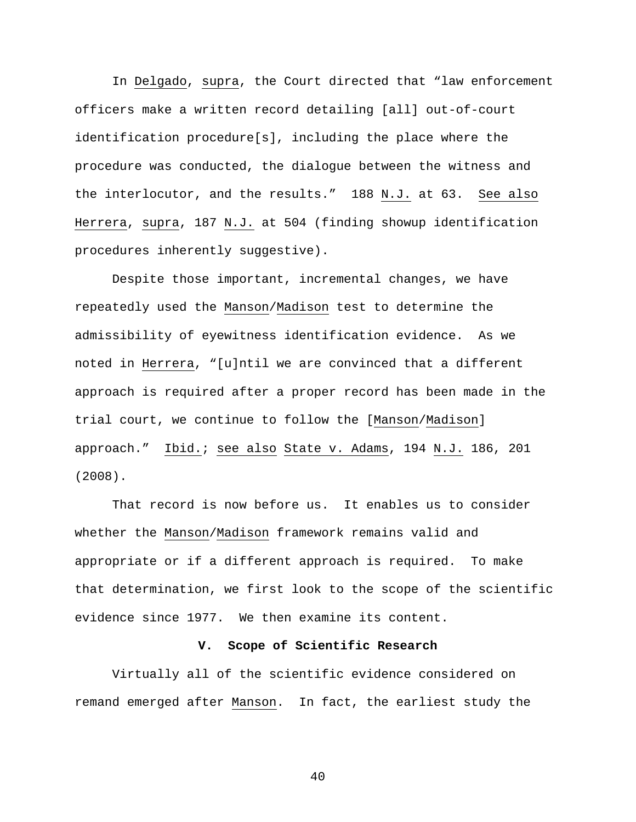In Delgado, supra, the Court directed that "law enforcement officers make a written record detailing [all] out-of-court identification procedure[s], including the place where the procedure was conducted, the dialogue between the witness and the interlocutor, and the results." 188 N.J. at 63. See also Herrera, supra, 187 N.J. at 504 (finding showup identification procedures inherently suggestive).

 Despite those important, incremental changes, we have repeatedly used the Manson/Madison test to determine the admissibility of eyewitness identification evidence. As we noted in Herrera, "[u]ntil we are convinced that a different approach is required after a proper record has been made in the trial court, we continue to follow the [Manson/Madison] approach." Ibid.; see also State v. Adams, 194 N.J. 186, 201 (2008).

 That record is now before us. It enables us to consider whether the Manson/Madison framework remains valid and appropriate or if a different approach is required. To make that determination, we first look to the scope of the scientific evidence since 1977. We then examine its content.

# **V. Scope of Scientific Research**

Virtually all of the scientific evidence considered on remand emerged after Manson. In fact, the earliest study the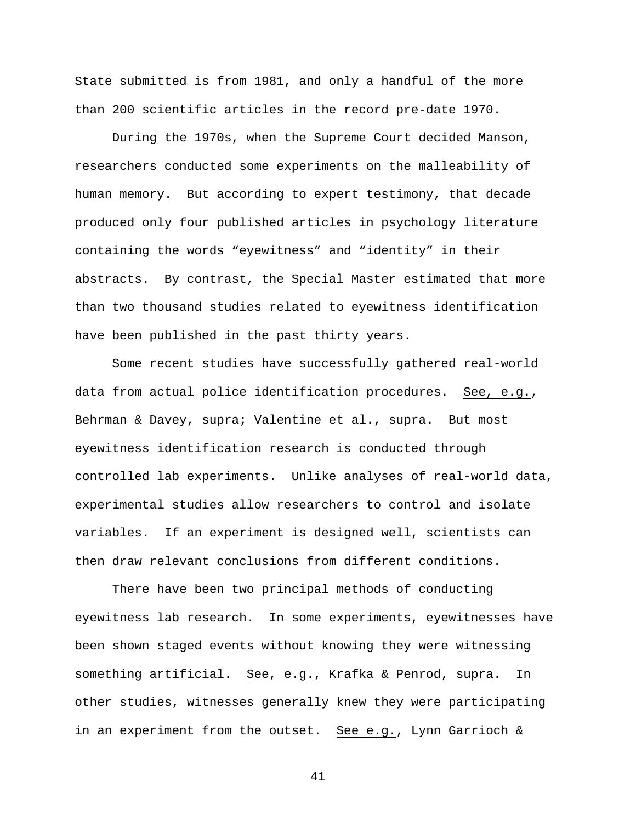State submitted is from 1981, and only a handful of the more than 200 scientific articles in the record pre-date 1970.

During the 1970s, when the Supreme Court decided Manson, researchers conducted some experiments on the malleability of human memory. But according to expert testimony, that decade produced only four published articles in psychology literature containing the words "eyewitness" and "identity" in their abstracts. By contrast, the Special Master estimated that more than two thousand studies related to eyewitness identification have been published in the past thirty years.

Some recent studies have successfully gathered real-world data from actual police identification procedures. See, e.g., Behrman & Davey, supra; Valentine et al., supra. But most eyewitness identification research is conducted through controlled lab experiments. Unlike analyses of real-world data, experimental studies allow researchers to control and isolate variables. If an experiment is designed well, scientists can then draw relevant conclusions from different conditions.

 There have been two principal methods of conducting eyewitness lab research. In some experiments, eyewitnesses have been shown staged events without knowing they were witnessing something artificial. See, e.g., Krafka & Penrod, supra. In other studies, witnesses generally knew they were participating in an experiment from the outset. See e.g., Lynn Garrioch &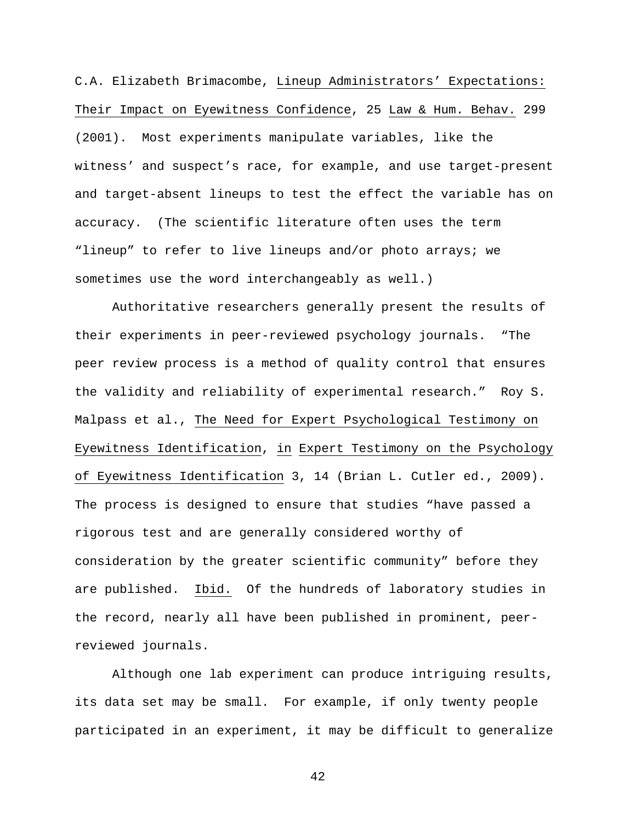C.A. Elizabeth Brimacombe, Lineup Administrators' Expectations: Their Impact on Eyewitness Confidence, 25 Law & Hum. Behav. 299 (2001). Most experiments manipulate variables, like the witness' and suspect's race, for example, and use target-present and target-absent lineups to test the effect the variable has on accuracy. (The scientific literature often uses the term "lineup" to refer to live lineups and/or photo arrays; we sometimes use the word interchangeably as well.)

Authoritative researchers generally present the results of their experiments in peer-reviewed psychology journals. "The peer review process is a method of quality control that ensures the validity and reliability of experimental research." Roy S. Malpass et al., The Need for Expert Psychological Testimony on Eyewitness Identification, in Expert Testimony on the Psychology of Eyewitness Identification 3, 14 (Brian L. Cutler ed., 2009). The process is designed to ensure that studies "have passed a rigorous test and are generally considered worthy of consideration by the greater scientific community" before they are published. Ibid. Of the hundreds of laboratory studies in the record, nearly all have been published in prominent, peerreviewed journals.

Although one lab experiment can produce intriguing results, its data set may be small. For example, if only twenty people participated in an experiment, it may be difficult to generalize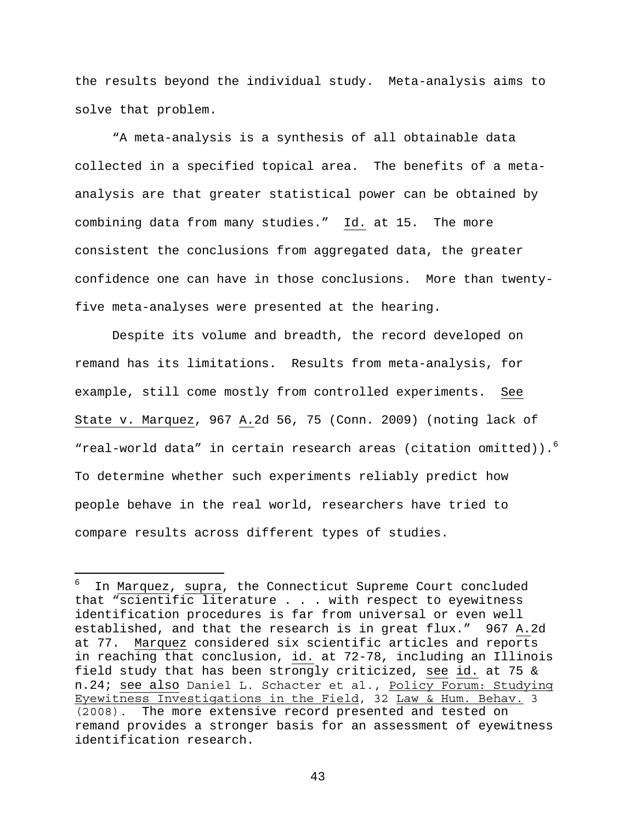the results beyond the individual study. Meta-analysis aims to solve that problem.

 "A meta-analysis is a synthesis of all obtainable data collected in a specified topical area. The benefits of a metaanalysis are that greater statistical power can be obtained by combining data from many studies." Id. at 15. The more consistent the conclusions from aggregated data, the greater confidence one can have in those conclusions. More than twentyfive meta-analyses were presented at the hearing.

 Despite its volume and breadth, the record developed on remand has its limitations. Results from meta-analysis, for example, still come mostly from controlled experiments. See State v. Marquez, 967 A.2d 56, 75 (Conn. 2009) (noting lack of "real-world data" in certain research areas (citation omitted)).<sup>6</sup> To determine whether such experiments reliably predict how people behave in the real world, researchers have tried to compare results across different types of studies.

i

<sup>6</sup> In Marquez, supra, the Connecticut Supreme Court concluded that "scientific literature . . . with respect to eyewitness identification procedures is far from universal or even well established, and that the research is in great flux." 967 A.2d at 77. Marquez considered six scientific articles and reports in reaching that conclusion, id. at 72-78, including an Illinois field study that has been strongly criticized, see id. at 75 & n.24; see also Daniel L. Schacter et al., Policy Forum: Studying Eyewitness Investigations in the Field, 32 Law & Hum. Behav. 3 (2008). The more extensive record presented and tested on remand provides a stronger basis for an assessment of eyewitness identification research.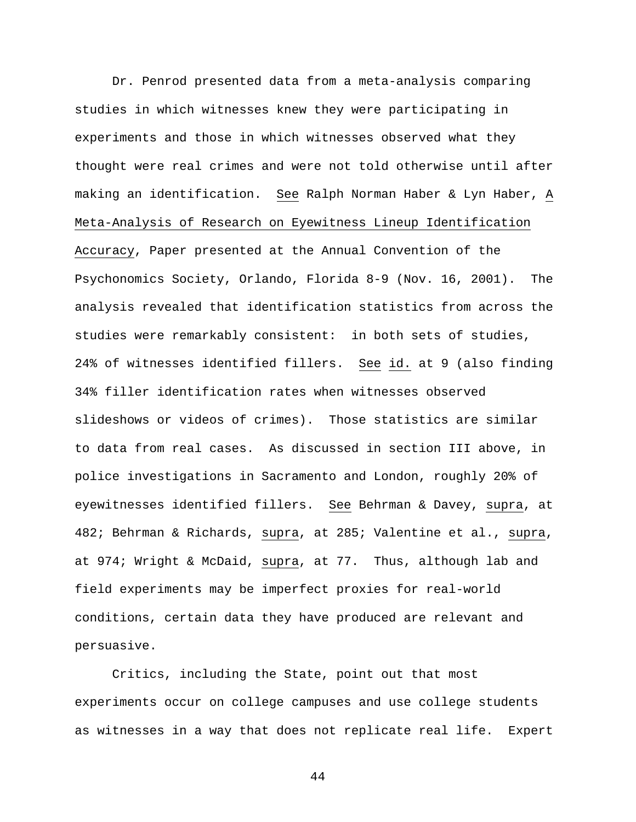Dr. Penrod presented data from a meta-analysis comparing studies in which witnesses knew they were participating in experiments and those in which witnesses observed what they thought were real crimes and were not told otherwise until after making an identification. See Ralph Norman Haber & Lyn Haber, A Meta-Analysis of Research on Eyewitness Lineup Identification Accuracy, Paper presented at the Annual Convention of the Psychonomics Society, Orlando, Florida 8-9 (Nov. 16, 2001). The analysis revealed that identification statistics from across the studies were remarkably consistent: in both sets of studies, 24% of witnesses identified fillers. See id. at 9 (also finding 34% filler identification rates when witnesses observed slideshows or videos of crimes). Those statistics are similar to data from real cases. As discussed in section III above, in police investigations in Sacramento and London, roughly 20% of eyewitnesses identified fillers. See Behrman & Davey, supra, at 482; Behrman & Richards, supra, at 285; Valentine et al., supra, at 974; Wright & McDaid, supra, at 77. Thus, although lab and field experiments may be imperfect proxies for real-world conditions, certain data they have produced are relevant and persuasive.

Critics, including the State, point out that most experiments occur on college campuses and use college students as witnesses in a way that does not replicate real life. Expert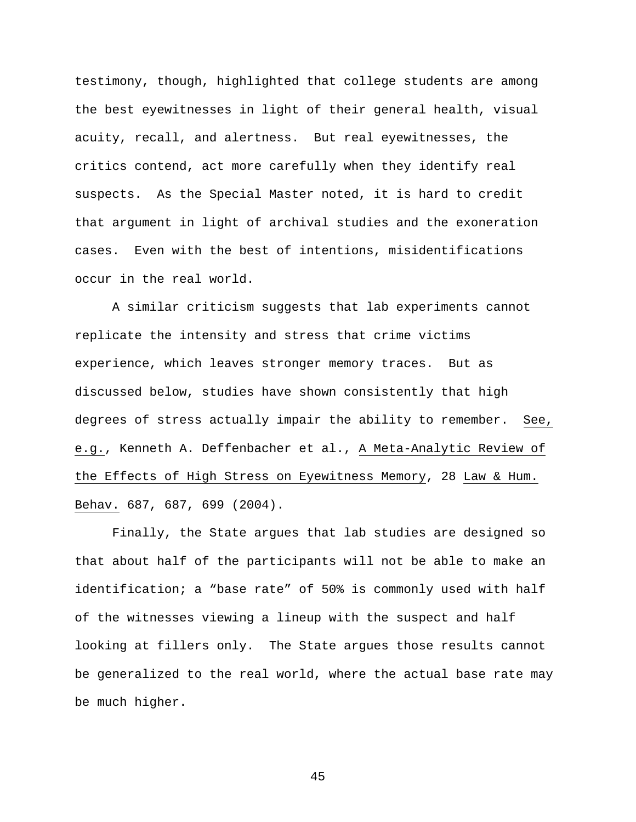testimony, though, highlighted that college students are among the best eyewitnesses in light of their general health, visual acuity, recall, and alertness. But real eyewitnesses, the critics contend, act more carefully when they identify real suspects. As the Special Master noted, it is hard to credit that argument in light of archival studies and the exoneration cases. Even with the best of intentions, misidentifications occur in the real world.

A similar criticism suggests that lab experiments cannot replicate the intensity and stress that crime victims experience, which leaves stronger memory traces. But as discussed below, studies have shown consistently that high degrees of stress actually impair the ability to remember. See, e.g., Kenneth A. Deffenbacher et al., A Meta-Analytic Review of the Effects of High Stress on Eyewitness Memory, 28 Law & Hum. Behav. 687, 687, 699 (2004).

Finally, the State argues that lab studies are designed so that about half of the participants will not be able to make an identification; a "base rate" of 50% is commonly used with half of the witnesses viewing a lineup with the suspect and half looking at fillers only. The State argues those results cannot be generalized to the real world, where the actual base rate may be much higher.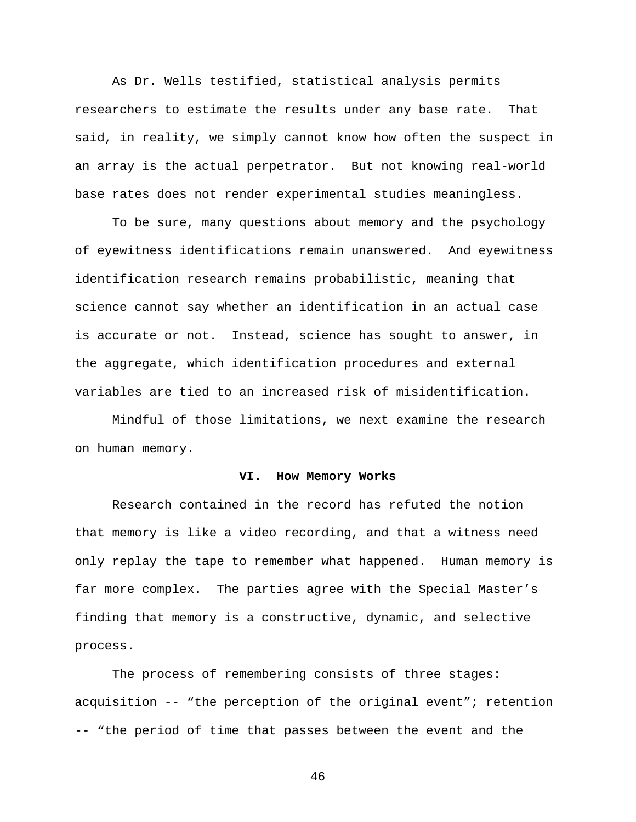As Dr. Wells testified, statistical analysis permits researchers to estimate the results under any base rate. That said, in reality, we simply cannot know how often the suspect in an array is the actual perpetrator. But not knowing real-world base rates does not render experimental studies meaningless.

To be sure, many questions about memory and the psychology of eyewitness identifications remain unanswered. And eyewitness identification research remains probabilistic, meaning that science cannot say whether an identification in an actual case is accurate or not. Instead, science has sought to answer, in the aggregate, which identification procedures and external variables are tied to an increased risk of misidentification.

Mindful of those limitations, we next examine the research on human memory.

### **VI. How Memory Works**

Research contained in the record has refuted the notion that memory is like a video recording, and that a witness need only replay the tape to remember what happened. Human memory is far more complex. The parties agree with the Special Master's finding that memory is a constructive, dynamic, and selective process.

The process of remembering consists of three stages: acquisition -- "the perception of the original event"; retention -- "the period of time that passes between the event and the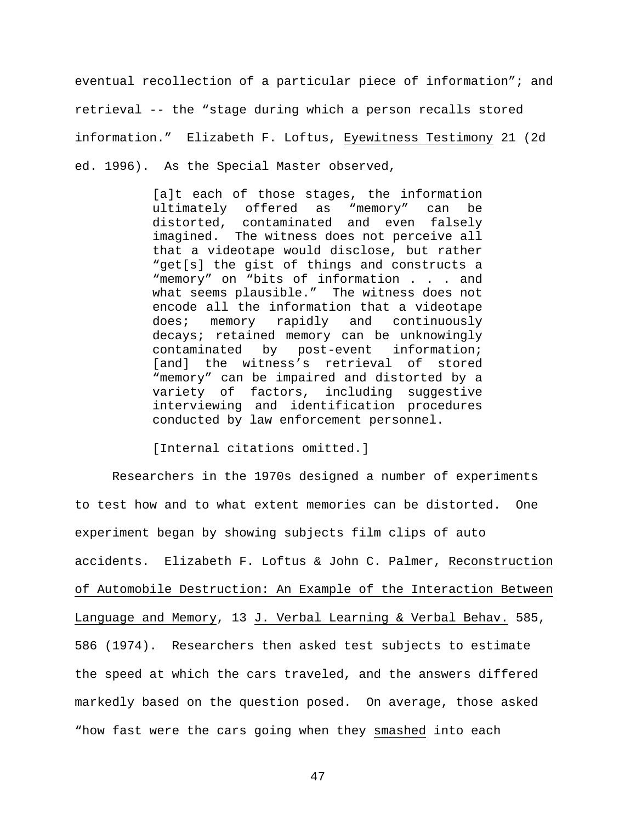eventual recollection of a particular piece of information"; and retrieval -- the "stage during which a person recalls stored information." Elizabeth F. Loftus, Eyewitness Testimony 21 (2d ed. 1996). As the Special Master observed,

> [a]t each of those stages, the information ultimately offered as "memory" can be distorted, contaminated and even falsely imagined. The witness does not perceive all that a videotape would disclose, but rather "get[s] the gist of things and constructs a "memory" on "bits of information . . . and what seems plausible." The witness does not encode all the information that a videotape does; memory rapidly and continuously decays; retained memory can be unknowingly contaminated by post-event information; [and] the witness's retrieval of stored "memory" can be impaired and distorted by a variety of factors, including suggestive interviewing and identification procedures conducted by law enforcement personnel.

[Internal citations omitted.]

Researchers in the 1970s designed a number of experiments to test how and to what extent memories can be distorted. One experiment began by showing subjects film clips of auto accidents. Elizabeth F. Loftus & John C. Palmer, Reconstruction of Automobile Destruction: An Example of the Interaction Between Language and Memory, 13 J. Verbal Learning & Verbal Behav. 585, 586 (1974). Researchers then asked test subjects to estimate the speed at which the cars traveled, and the answers differed markedly based on the question posed. On average, those asked "how fast were the cars going when they smashed into each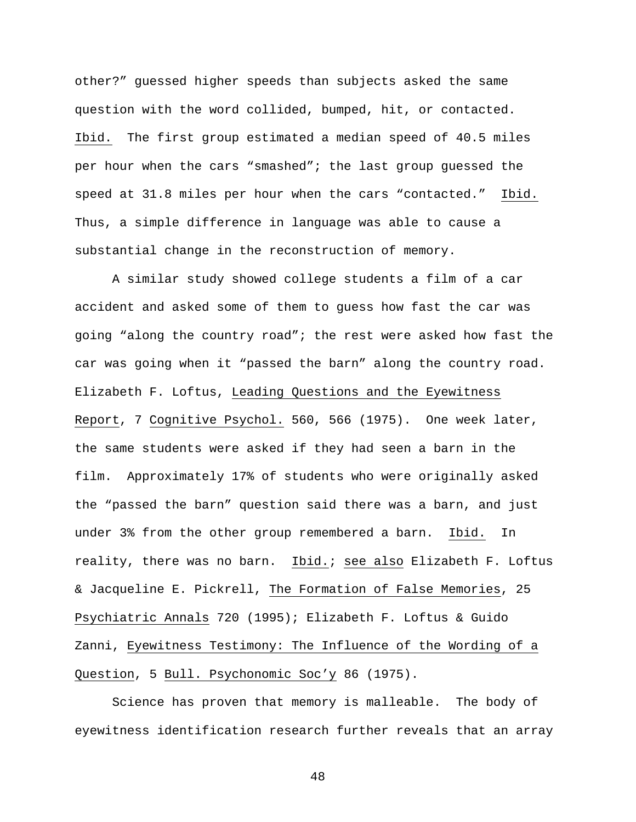other?" guessed higher speeds than subjects asked the same question with the word collided, bumped, hit, or contacted. Ibid. The first group estimated a median speed of 40.5 miles per hour when the cars "smashed"; the last group guessed the speed at 31.8 miles per hour when the cars "contacted." Ibid. Thus, a simple difference in language was able to cause a substantial change in the reconstruction of memory.

A similar study showed college students a film of a car accident and asked some of them to guess how fast the car was going "along the country road"; the rest were asked how fast the car was going when it "passed the barn" along the country road. Elizabeth F. Loftus, Leading Questions and the Eyewitness Report, 7 Cognitive Psychol. 560, 566 (1975). One week later, the same students were asked if they had seen a barn in the film. Approximately 17% of students who were originally asked the "passed the barn" question said there was a barn, and just under 3% from the other group remembered a barn. Ibid. In reality, there was no barn. Ibid.; see also Elizabeth F. Loftus & Jacqueline E. Pickrell, The Formation of False Memories, 25 Psychiatric Annals 720 (1995); Elizabeth F. Loftus & Guido Zanni, Eyewitness Testimony: The Influence of the Wording of a Question, 5 Bull. Psychonomic Soc'y 86 (1975).

Science has proven that memory is malleable. The body of eyewitness identification research further reveals that an array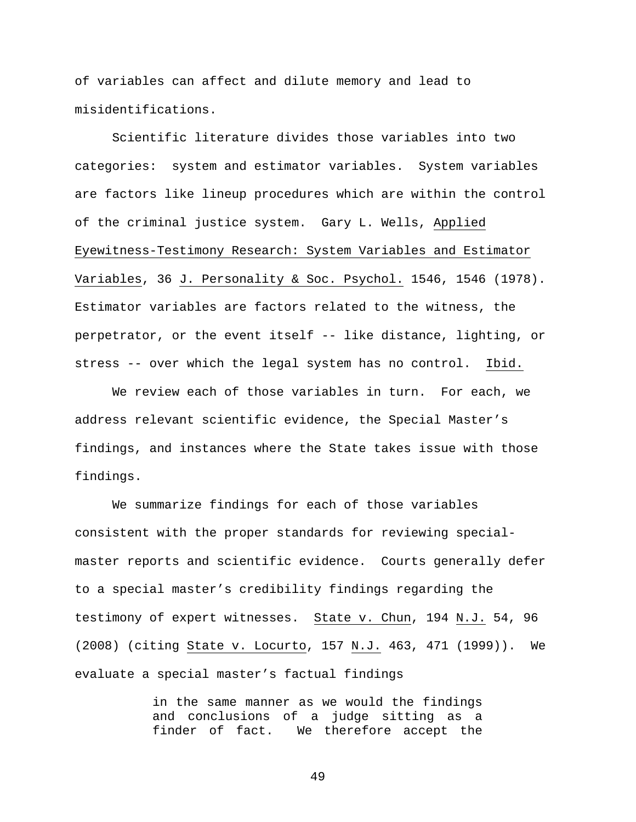of variables can affect and dilute memory and lead to misidentifications.

 Scientific literature divides those variables into two categories: system and estimator variables. System variables are factors like lineup procedures which are within the control of the criminal justice system. Gary L. Wells, Applied Eyewitness-Testimony Research: System Variables and Estimator Variables, 36 J. Personality & Soc. Psychol. 1546, 1546 (1978). Estimator variables are factors related to the witness, the perpetrator, or the event itself -- like distance, lighting, or stress -- over which the legal system has no control. Ibid.

 We review each of those variables in turn. For each, we address relevant scientific evidence, the Special Master's findings, and instances where the State takes issue with those findings.

 We summarize findings for each of those variables consistent with the proper standards for reviewing specialmaster reports and scientific evidence. Courts generally defer to a special master's credibility findings regarding the testimony of expert witnesses. State v. Chun, 194 N.J. 54, 96 (2008) (citing State v. Locurto, 157 N.J. 463, 471 (1999)). We evaluate a special master's factual findings

> in the same manner as we would the findings and conclusions of a judge sitting as a finder of fact. We therefore accept the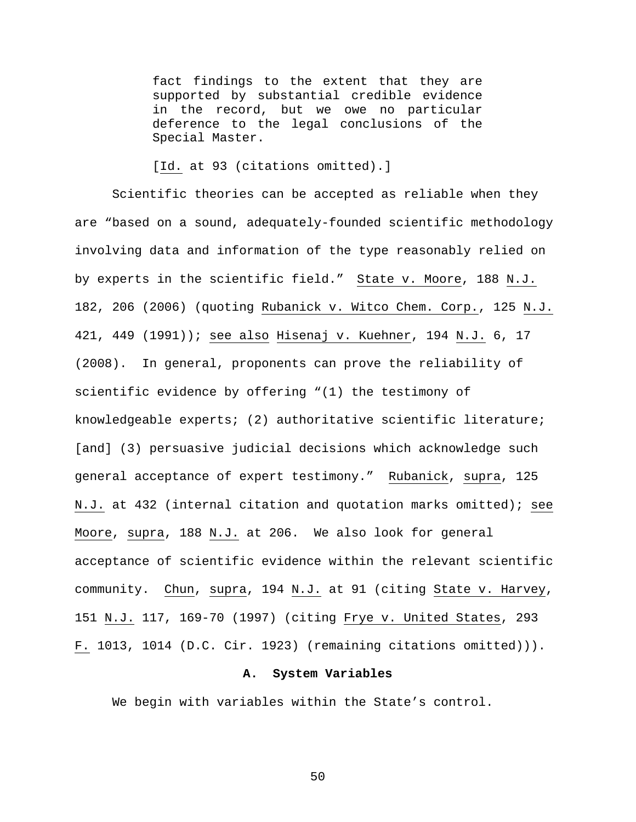fact findings to the extent that they are supported by substantial credible evidence in the record, but we owe no particular deference to the legal conclusions of the Special Master.

[Id. at 93 (citations omitted).]

 Scientific theories can be accepted as reliable when they are "based on a sound, adequately-founded scientific methodology involving data and information of the type reasonably relied on by experts in the scientific field." State v. Moore, 188 N.J. 182, 206 (2006) (quoting Rubanick v. Witco Chem. Corp., 125 N.J. 421, 449 (1991)); see also Hisenaj v. Kuehner, 194 N.J. 6, 17 (2008). In general, proponents can prove the reliability of scientific evidence by offering "(1) the testimony of knowledgeable experts; (2) authoritative scientific literature; [and] (3) persuasive judicial decisions which acknowledge such general acceptance of expert testimony." Rubanick, supra, 125 N.J. at 432 (internal citation and quotation marks omitted); see Moore, supra, 188 N.J. at 206. We also look for general acceptance of scientific evidence within the relevant scientific community. Chun, supra, 194 N.J. at 91 (citing State v. Harvey, 151 N.J. 117, 169-70 (1997) (citing Frye v. United States, 293 F. 1013, 1014 (D.C. Cir. 1923) (remaining citations omitted))).

## **A. System Variables**

We begin with variables within the State's control.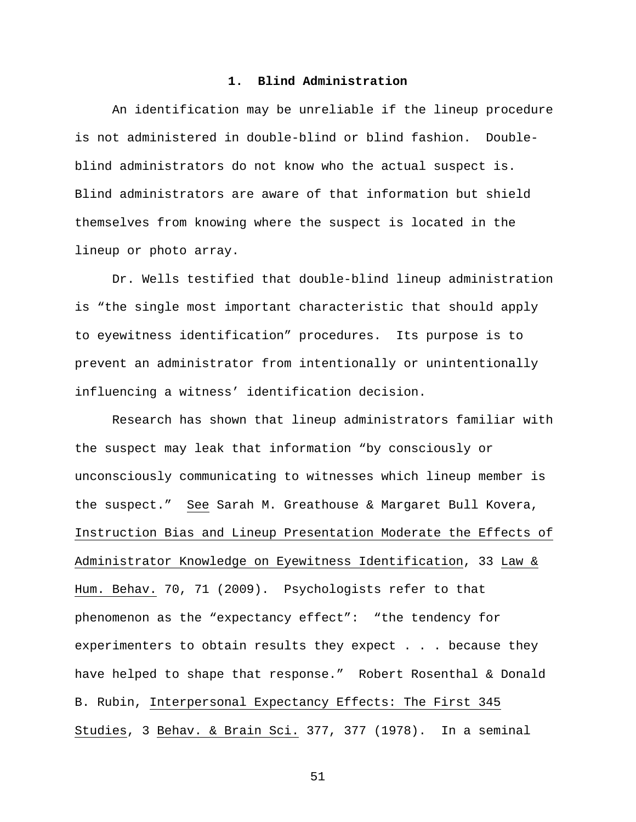### **1. Blind Administration**

An identification may be unreliable if the lineup procedure is not administered in double-blind or blind fashion.Doubleblind administrators do not know who the actual suspect is. Blind administrators are aware of that information but shield themselves from knowing where the suspect is located in the lineup or photo array.

Dr. Wells testified that double-blind lineup administration is "the single most important characteristic that should apply to eyewitness identification" procedures. Its purpose is to prevent an administrator from intentionally or unintentionally influencing a witness' identification decision.

Research has shown that lineup administrators familiar with the suspect may leak that information "by consciously or unconsciously communicating to witnesses which lineup member is the suspect." See Sarah M. Greathouse & Margaret Bull Kovera, Instruction Bias and Lineup Presentation Moderate the Effects of Administrator Knowledge on Eyewitness Identification, 33 Law & Hum. Behav. 70, 71 (2009). Psychologists refer to that phenomenon as the "expectancy effect": "the tendency for experimenters to obtain results they expect . . . because they have helped to shape that response." Robert Rosenthal & Donald B. Rubin, Interpersonal Expectancy Effects: The First 345 Studies, 3 Behav. & Brain Sci. 377, 377 (1978). In a seminal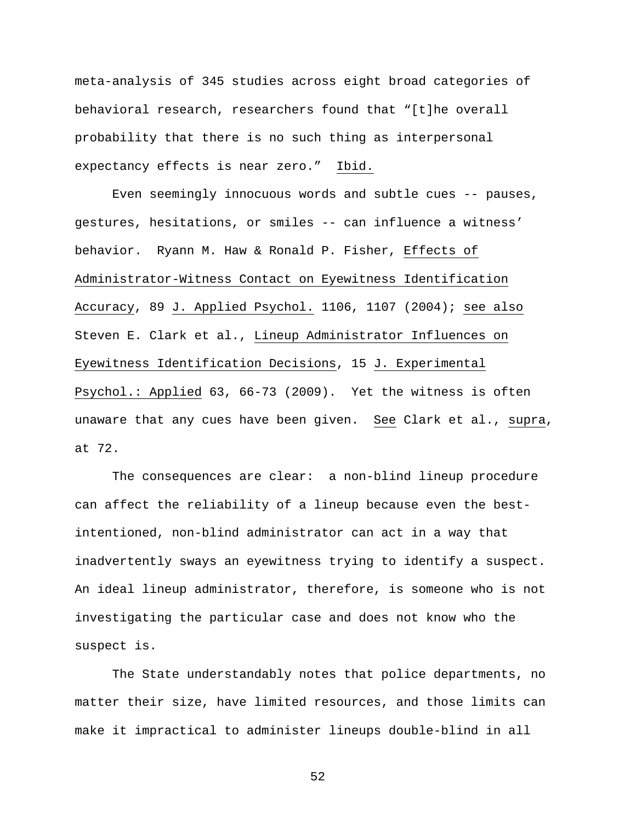meta-analysis of 345 studies across eight broad categories of behavioral research, researchers found that "[t]he overall probability that there is no such thing as interpersonal expectancy effects is near zero." Ibid.

Even seemingly innocuous words and subtle cues -- pauses, gestures, hesitations, or smiles -- can influence a witness' behavior. Ryann M. Haw & Ronald P. Fisher, Effects of Administrator-Witness Contact on Eyewitness Identification Accuracy, 89 J. Applied Psychol. 1106, 1107 (2004); see also Steven E. Clark et al., Lineup Administrator Influences on Eyewitness Identification Decisions, 15 J. Experimental Psychol.: Applied 63, 66-73 (2009).Yet the witness is often unaware that any cues have been given. See Clark et al., supra, at 72.

The consequences are clear: a non-blind lineup procedure can affect the reliability of a lineup because even the bestintentioned, non-blind administrator can act in a way that inadvertently sways an eyewitness trying to identify a suspect. An ideal lineup administrator, therefore, is someone who is not investigating the particular case and does not know who the suspect is.

 The State understandably notes that police departments, no matter their size, have limited resources, and those limits can make it impractical to administer lineups double-blind in all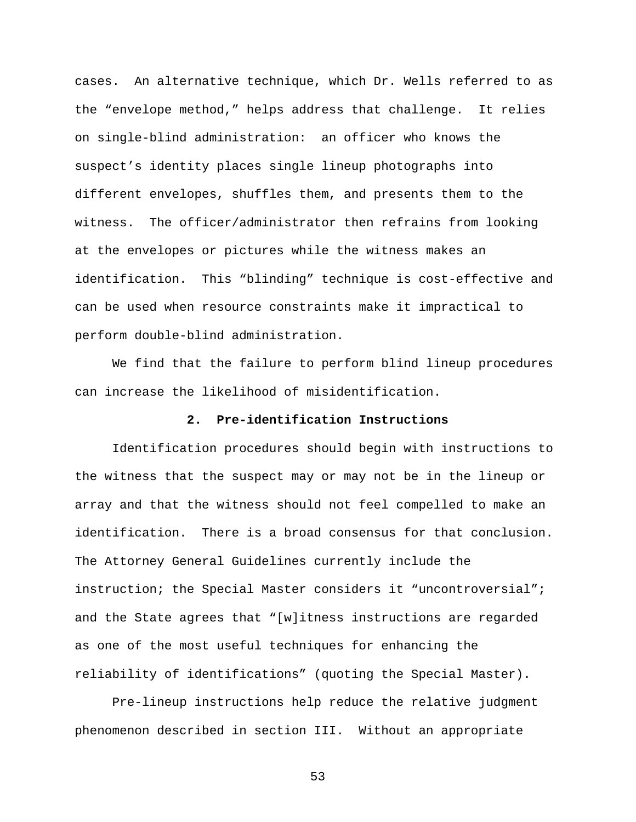cases. An alternative technique, which Dr. Wells referred to as the "envelope method," helps address that challenge. It relies on single-blind administration: an officer who knows the suspect's identity places single lineup photographs into different envelopes, shuffles them, and presents them to the witness. The officer/administrator then refrains from looking at the envelopes or pictures while the witness makes an identification. This "blinding" technique is cost-effective and can be used when resource constraints make it impractical to perform double-blind administration.

 We find that the failure to perform blind lineup procedures can increase the likelihood of misidentification.

## **2. Pre-identification Instructions**

Identification procedures should begin with instructions to the witness that the suspect may or may not be in the lineup or array and that the witness should not feel compelled to make an identification. There is a broad consensus for that conclusion. The Attorney General Guidelines currently include the instruction; the Special Master considers it "uncontroversial"; and the State agrees that "[w]itness instructions are regarded as one of the most useful techniques for enhancing the reliability of identifications" (quoting the Special Master).

Pre-lineup instructions help reduce the relative judgment phenomenon described in section III. Without an appropriate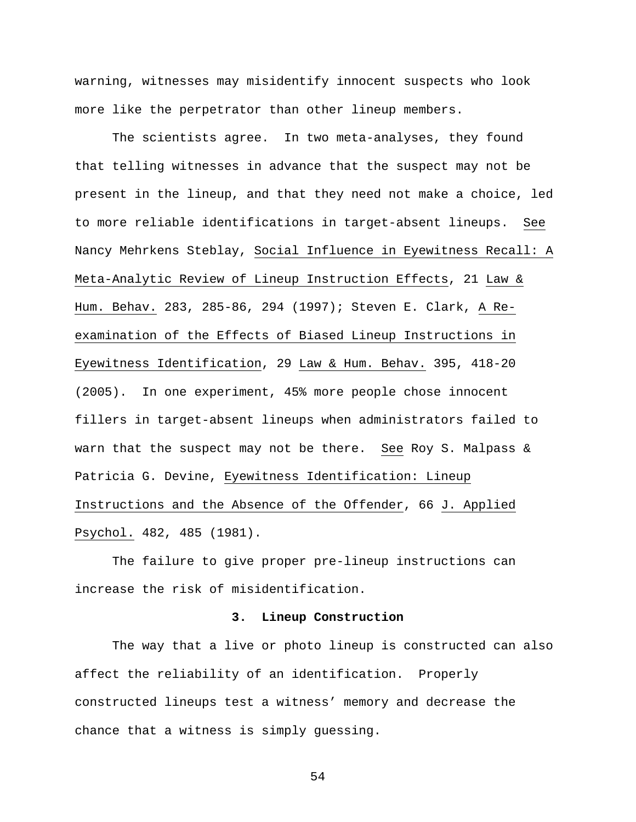warning, witnesses may misidentify innocent suspects who look more like the perpetrator than other lineup members.

The scientists agree. In two meta-analyses, they found that telling witnesses in advance that the suspect may not be present in the lineup, and that they need not make a choice, led to more reliable identifications in target-absent lineups. See Nancy Mehrkens Steblay, Social Influence in Eyewitness Recall: A Meta-Analytic Review of Lineup Instruction Effects, 21 Law & Hum. Behav. 283, 285-86, 294 (1997); Steven E. Clark, A Reexamination of the Effects of Biased Lineup Instructions in Eyewitness Identification, 29 Law & Hum. Behav. 395, 418-20 (2005). In one experiment, 45% more people chose innocent fillers in target-absent lineups when administrators failed to warn that the suspect may not be there. See Roy S. Malpass & Patricia G. Devine, Eyewitness Identification: Lineup Instructions and the Absence of the Offender, 66 J. Applied Psychol. 482, 485 (1981).

 The failure to give proper pre-lineup instructions can increase the risk of misidentification.

## **3. Lineup Construction**

The way that a live or photo lineup is constructed can also affect the reliability of an identification. Properly constructed lineups test a witness' memory and decrease the chance that a witness is simply guessing.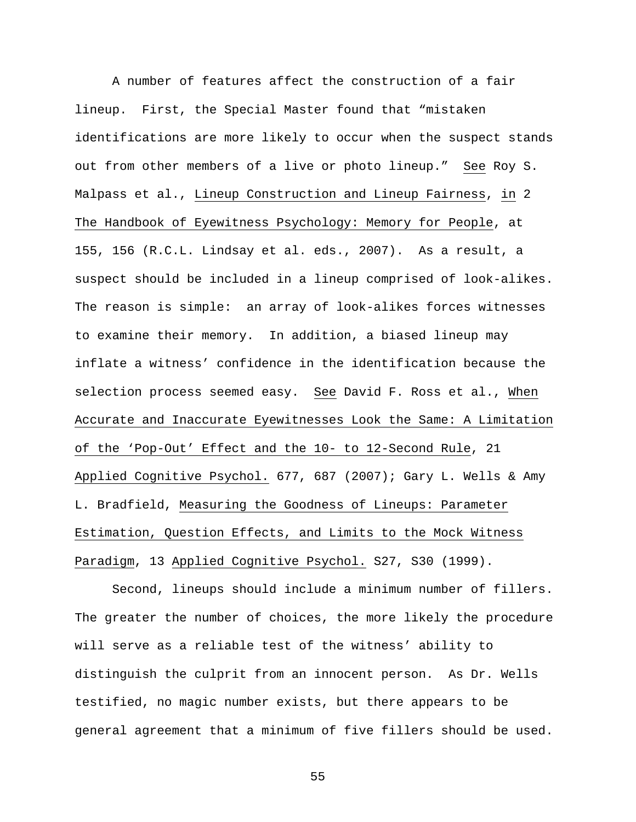A number of features affect the construction of a fair lineup. First, the Special Master found that "mistaken identifications are more likely to occur when the suspect stands out from other members of a live or photo lineup." See Roy S. Malpass et al., Lineup Construction and Lineup Fairness, in 2 The Handbook of Eyewitness Psychology: Memory for People, at 155, 156 (R.C.L. Lindsay et al. eds., 2007). As a result, a suspect should be included in a lineup comprised of look-alikes. The reason is simple: an array of look-alikes forces witnesses to examine their memory. In addition, a biased lineup may inflate a witness' confidence in the identification because the selection process seemed easy. See David F. Ross et al., When Accurate and Inaccurate Eyewitnesses Look the Same: A Limitation of the 'Pop-Out' Effect and the 10- to 12-Second Rule, 21 Applied Cognitive Psychol. 677, 687 (2007); Gary L. Wells & Amy L. Bradfield, Measuring the Goodness of Lineups: Parameter Estimation, Question Effects, and Limits to the Mock Witness Paradigm, 13 Applied Cognitive Psychol. S27, S30 (1999).

Second, lineups should include a minimum number of fillers. The greater the number of choices, the more likely the procedure will serve as a reliable test of the witness' ability to distinguish the culprit from an innocent person. As Dr. Wells testified, no magic number exists, but there appears to be general agreement that a minimum of five fillers should be used.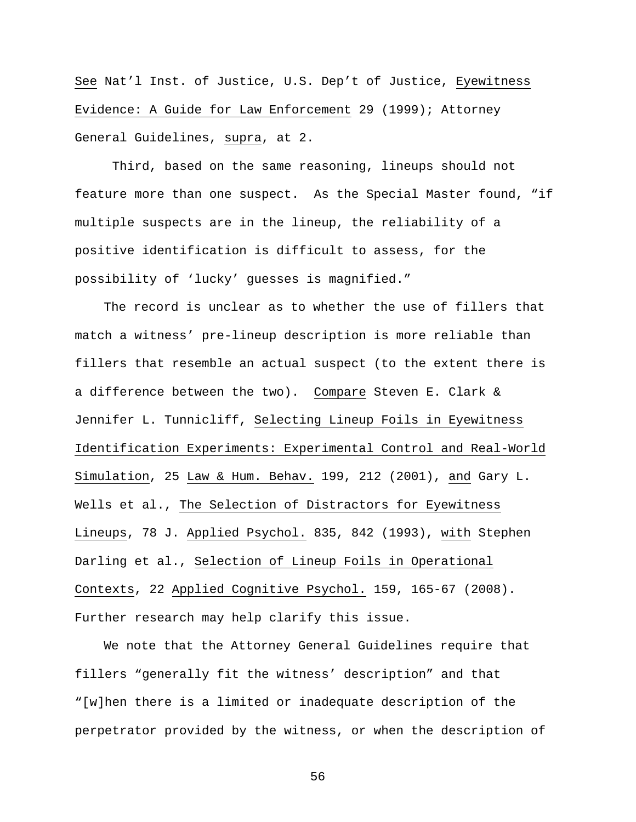See Nat'l Inst. of Justice, U.S. Dep't of Justice, Eyewitness Evidence: A Guide for Law Enforcement 29 (1999); Attorney General Guidelines, supra, at 2.

Third, based on the same reasoning, lineups should not feature more than one suspect. As the Special Master found, "if multiple suspects are in the lineup, the reliability of a positive identification is difficult to assess, for the possibility of 'lucky' guesses is magnified."

 The record is unclear as to whether the use of fillers that match a witness' pre-lineup description is more reliable than fillers that resemble an actual suspect (to the extent there is a difference between the two). Compare Steven E. Clark & Jennifer L. Tunnicliff, Selecting Lineup Foils in Eyewitness Identification Experiments: Experimental Control and Real-World Simulation, 25 Law & Hum. Behav. 199, 212 (2001), and Gary L. Wells et al., The Selection of Distractors for Eyewitness Lineups, 78 J. Applied Psychol. 835, 842 (1993), with Stephen Darling et al., Selection of Lineup Foils in Operational Contexts, 22 Applied Cognitive Psychol. 159, 165-67 (2008). Further research may help clarify this issue.

 We note that the Attorney General Guidelines require that fillers "generally fit the witness' description" and that "[w]hen there is a limited or inadequate description of the perpetrator provided by the witness, or when the description of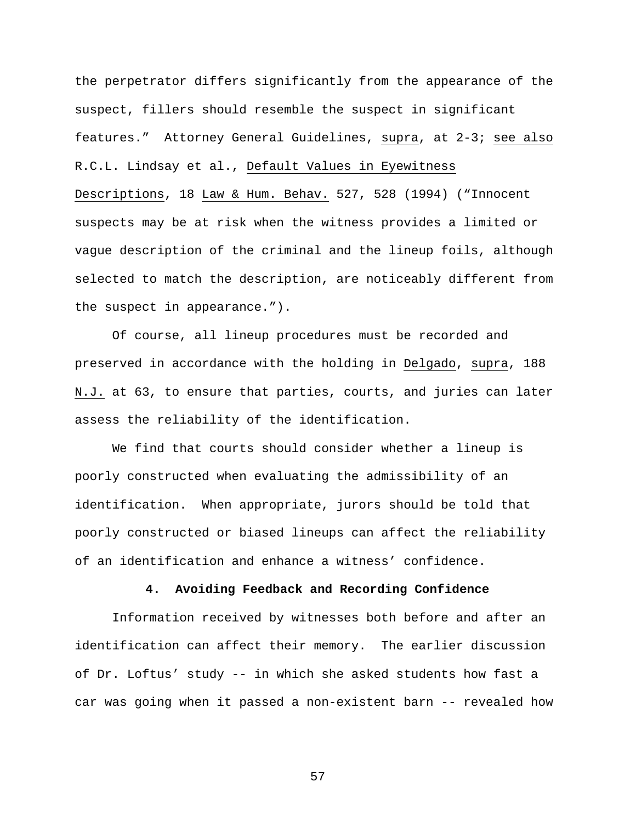the perpetrator differs significantly from the appearance of the suspect, fillers should resemble the suspect in significant features." Attorney General Guidelines, supra, at 2-3; see also R.C.L. Lindsay et al., Default Values in Eyewitness Descriptions, 18 Law & Hum. Behav. 527, 528 (1994) ("Innocent suspects may be at risk when the witness provides a limited or vague description of the criminal and the lineup foils, although selected to match the description, are noticeably different from the suspect in appearance.").

Of course, all lineup procedures must be recorded and preserved in accordance with the holding in Delgado, supra, 188 N.J. at 63, to ensure that parties, courts, and juries can later assess the reliability of the identification.

We find that courts should consider whether a lineup is poorly constructed when evaluating the admissibility of an identification. When appropriate, jurors should be told that poorly constructed or biased lineups can affect the reliability of an identification and enhance a witness' confidence.

### **4. Avoiding Feedback and Recording Confidence**

Information received by witnesses both before and after an identification can affect their memory. The earlier discussion of Dr. Loftus' study -- in which she asked students how fast a car was going when it passed a non-existent barn -- revealed how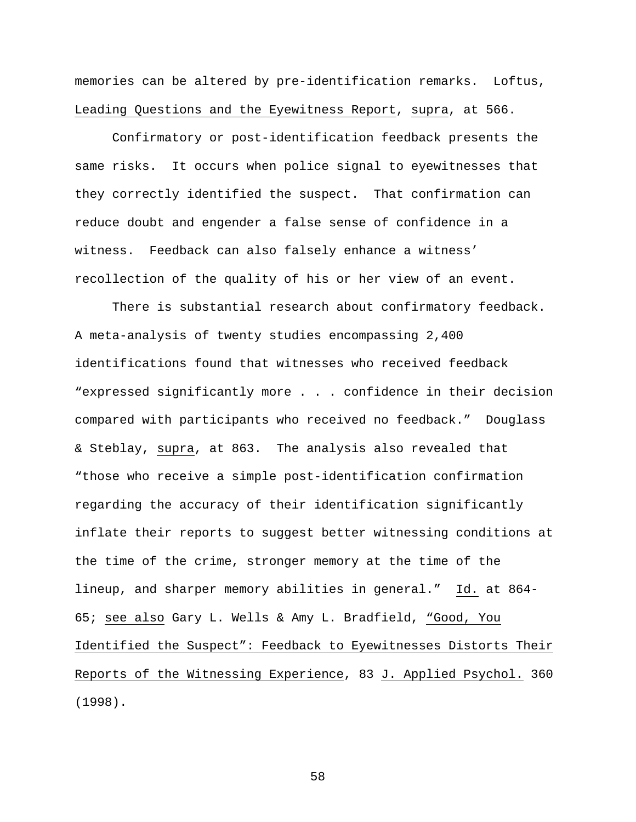memories can be altered by pre-identification remarks. Loftus, Leading Questions and the Eyewitness Report, supra, at 566.

Confirmatory or post-identification feedback presents the same risks. It occurs when police signal to eyewitnesses that they correctly identified the suspect. That confirmation can reduce doubt and engender a false sense of confidence in a witness. Feedback can also falsely enhance a witness' recollection of the quality of his or her view of an event.

There is substantial research about confirmatory feedback. A meta-analysis of twenty studies encompassing 2,400 identifications found that witnesses who received feedback "expressed significantly more . . . confidence in their decision compared with participants who received no feedback." Douglass & Steblay, supra, at 863. The analysis also revealed that "those who receive a simple post-identification confirmation regarding the accuracy of their identification significantly inflate their reports to suggest better witnessing conditions at the time of the crime, stronger memory at the time of the lineup, and sharper memory abilities in general." Id. at 864- 65; see also Gary L. Wells & Amy L. Bradfield, "Good, You Identified the Suspect": Feedback to Eyewitnesses Distorts Their Reports of the Witnessing Experience, 83 J. Applied Psychol. 360 (1998).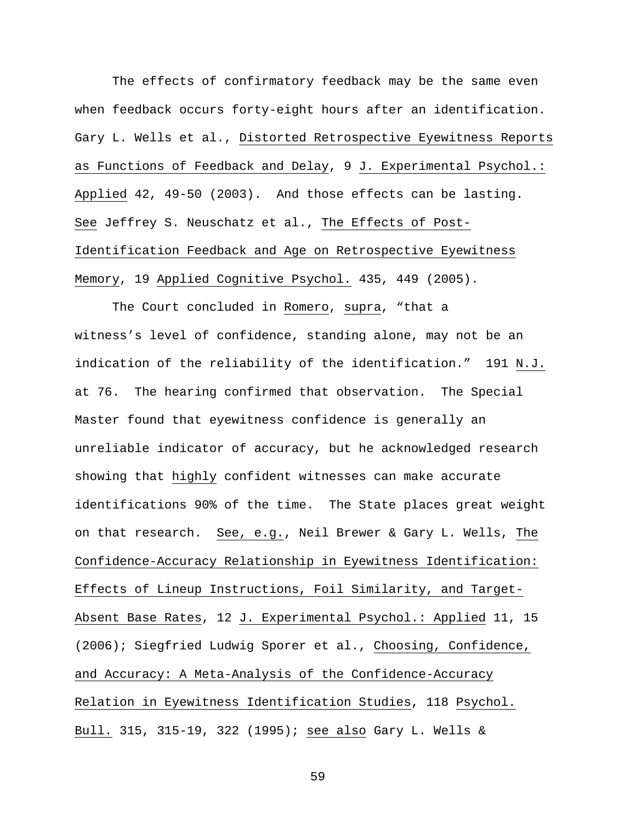The effects of confirmatory feedback may be the same even when feedback occurs forty-eight hours after an identification. Gary L. Wells et al., Distorted Retrospective Eyewitness Reports as Functions of Feedback and Delay, 9 J. Experimental Psychol.: Applied 42, 49-50 (2003). And those effects can be lasting. See Jeffrey S. Neuschatz et al., The Effects of Post-Identification Feedback and Age on Retrospective Eyewitness Memory, 19 Applied Cognitive Psychol. 435, 449 (2005).

The Court concluded in Romero, supra, "that a witness's level of confidence, standing alone, may not be an indication of the reliability of the identification." 191 N.J. at 76. The hearing confirmed that observation. The Special Master found that eyewitness confidence is generally an unreliable indicator of accuracy, but he acknowledged research showing that highly confident witnesses can make accurate identifications 90% of the time. The State places great weight on that research. See, e.g., Neil Brewer & Gary L. Wells, The Confidence-Accuracy Relationship in Eyewitness Identification: Effects of Lineup Instructions, Foil Similarity, and Target-Absent Base Rates, 12 J. Experimental Psychol.: Applied 11, 15 (2006); Siegfried Ludwig Sporer et al., Choosing, Confidence, and Accuracy: A Meta-Analysis of the Confidence-Accuracy Relation in Eyewitness Identification Studies, 118 Psychol. Bull. 315, 315-19, 322 (1995); see also Gary L. Wells &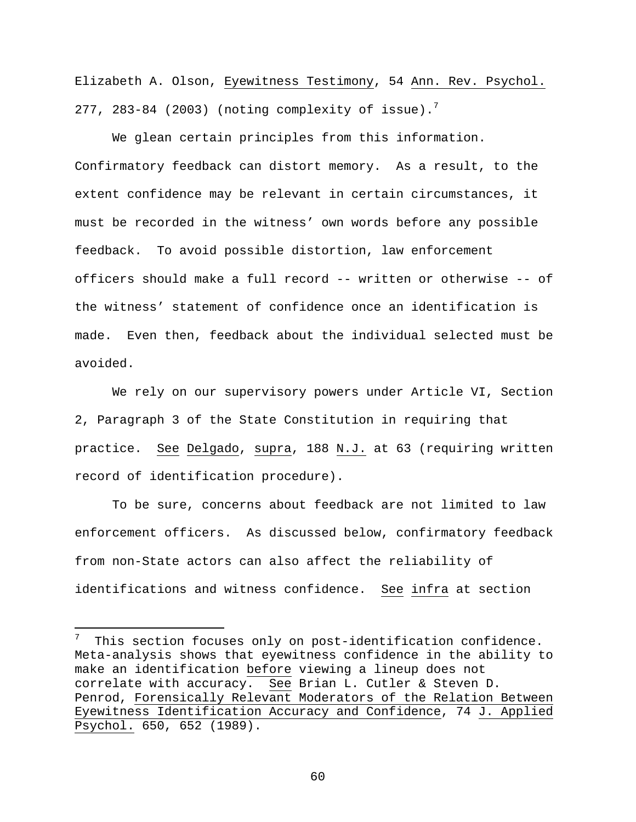Elizabeth A. Olson, Eyewitness Testimony, 54 Ann. Rev. Psychol. 277, 283-84 (2003) (noting complexity of issue).<sup>7</sup>

 We glean certain principles from this information. Confirmatory feedback can distort memory. As a result, to the extent confidence may be relevant in certain circumstances, it must be recorded in the witness' own words before any possible feedback. To avoid possible distortion, law enforcement officers should make a full record -- written or otherwise -- of the witness' statement of confidence once an identification is made. Even then, feedback about the individual selected must be avoided.

We rely on our supervisory powers under Article VI, Section 2, Paragraph 3 of the State Constitution in requiring that practice. See Delgado, supra, 188 N.J. at 63 (requiring written record of identification procedure).

 To be sure, concerns about feedback are not limited to law enforcement officers. As discussed below, confirmatory feedback from non-State actors can also affect the reliability of identifications and witness confidence. See infra at section

i

<sup>7</sup> This section focuses only on post-identification confidence. Meta-analysis shows that eyewitness confidence in the ability to make an identification before viewing a lineup does not correlate with accuracy. See Brian L. Cutler & Steven D. Penrod, Forensically Relevant Moderators of the Relation Between Eyewitness Identification Accuracy and Confidence, 74 J. Applied Psychol. 650, 652 (1989).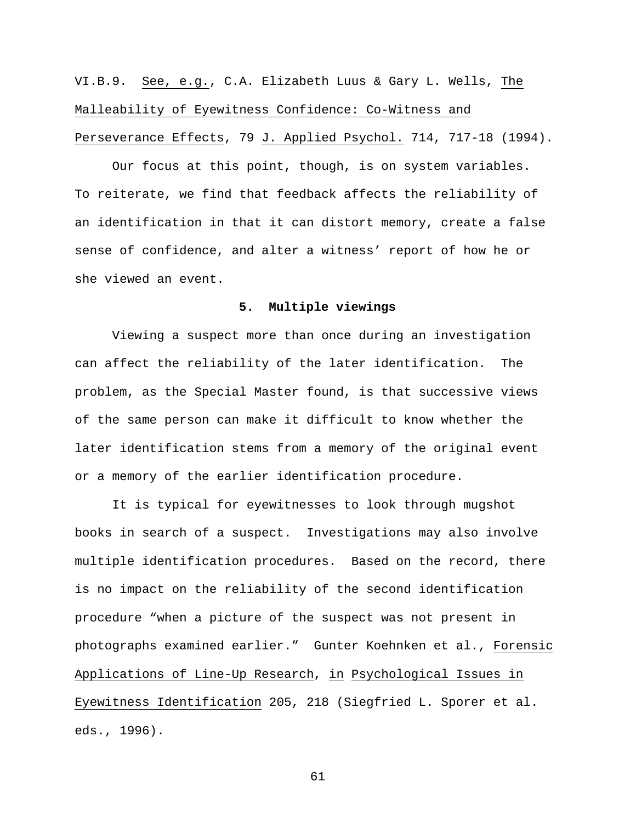VI.B.9. See, e.g., C.A. Elizabeth Luus & Gary L. Wells, The Malleability of Eyewitness Confidence: Co-Witness and Perseverance Effects, 79 J. Applied Psychol. 714, 717-18 (1994).

 Our focus at this point, though, is on system variables. To reiterate, we find that feedback affects the reliability of an identification in that it can distort memory, create a false sense of confidence, and alter a witness' report of how he or she viewed an event.

### **5. Multiple viewings**

 Viewing a suspect more than once during an investigation can affect the reliability of the later identification. The problem, as the Special Master found, is that successive views of the same person can make it difficult to know whether the later identification stems from a memory of the original event or a memory of the earlier identification procedure.

 It is typical for eyewitnesses to look through mugshot books in search of a suspect. Investigations may also involve multiple identification procedures. Based on the record, there is no impact on the reliability of the second identification procedure "when a picture of the suspect was not present in photographs examined earlier." Gunter Koehnken et al., Forensic Applications of Line-Up Research, in Psychological Issues in Eyewitness Identification 205, 218 (Siegfried L. Sporer et al. eds., 1996).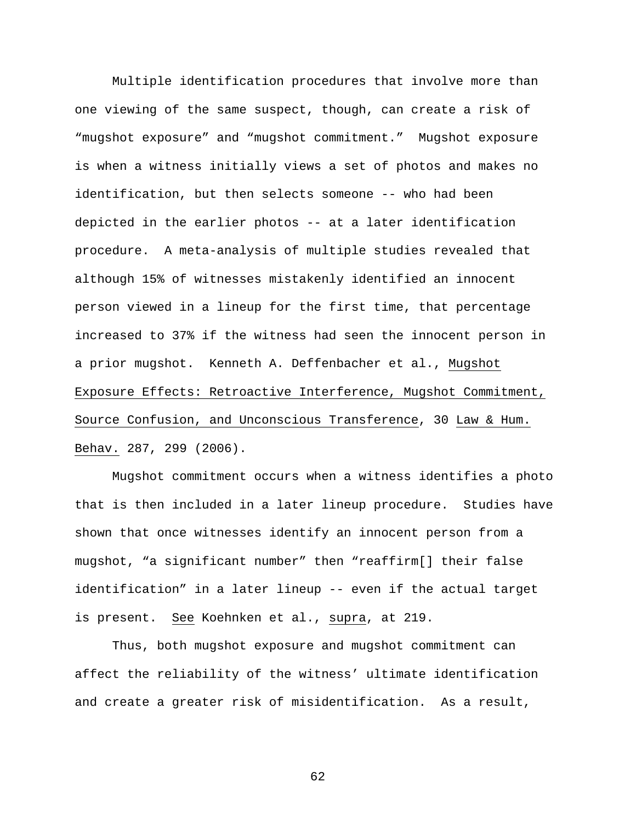Multiple identification procedures that involve more than one viewing of the same suspect, though, can create a risk of "mugshot exposure" and "mugshot commitment." Mugshot exposure is when a witness initially views a set of photos and makes no identification, but then selects someone -- who had been depicted in the earlier photos -- at a later identification procedure. A meta-analysis of multiple studies revealed that although 15% of witnesses mistakenly identified an innocent person viewed in a lineup for the first time, that percentage increased to 37% if the witness had seen the innocent person in a prior mugshot. Kenneth A. Deffenbacher et al., Mugshot Exposure Effects: Retroactive Interference, Mugshot Commitment, Source Confusion, and Unconscious Transference, 30 Law & Hum. Behav. 287, 299 (2006).

 Mugshot commitment occurs when a witness identifies a photo that is then included in a later lineup procedure. Studies have shown that once witnesses identify an innocent person from a mugshot, "a significant number" then "reaffirm[] their false identification" in a later lineup -- even if the actual target is present. See Koehnken et al., supra, at 219.

 Thus, both mugshot exposure and mugshot commitment can affect the reliability of the witness' ultimate identification and create a greater risk of misidentification. As a result,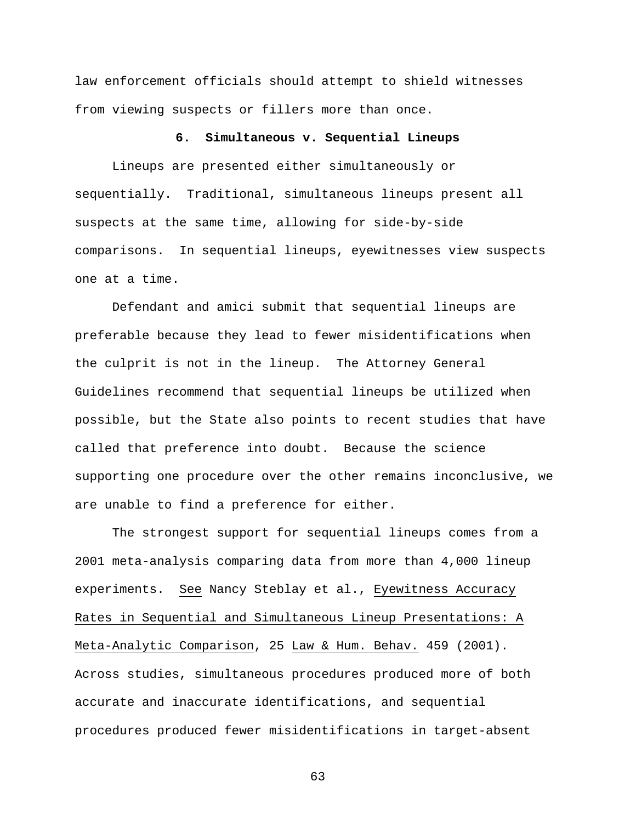law enforcement officials should attempt to shield witnesses from viewing suspects or fillers more than once.

## **6. Simultaneous v. Sequential Lineups**

Lineups are presented either simultaneously or sequentially. Traditional, simultaneous lineups present all suspects at the same time, allowing for side-by-side comparisons. In sequential lineups, eyewitnesses view suspects one at a time.

Defendant and amici submit that sequential lineups are preferable because they lead to fewer misidentifications when the culprit is not in the lineup. The Attorney General Guidelines recommend that sequential lineups be utilized when possible, but the State also points to recent studies that have called that preference into doubt. Because the science supporting one procedure over the other remains inconclusive, we are unable to find a preference for either.

The strongest support for sequential lineups comes from a 2001 meta-analysis comparing data from more than 4,000 lineup experiments. See Nancy Steblay et al., Eyewitness Accuracy Rates in Sequential and Simultaneous Lineup Presentations: A Meta-Analytic Comparison, 25 Law & Hum. Behav. 459 (2001). Across studies, simultaneous procedures produced more of both accurate and inaccurate identifications, and sequential procedures produced fewer misidentifications in target-absent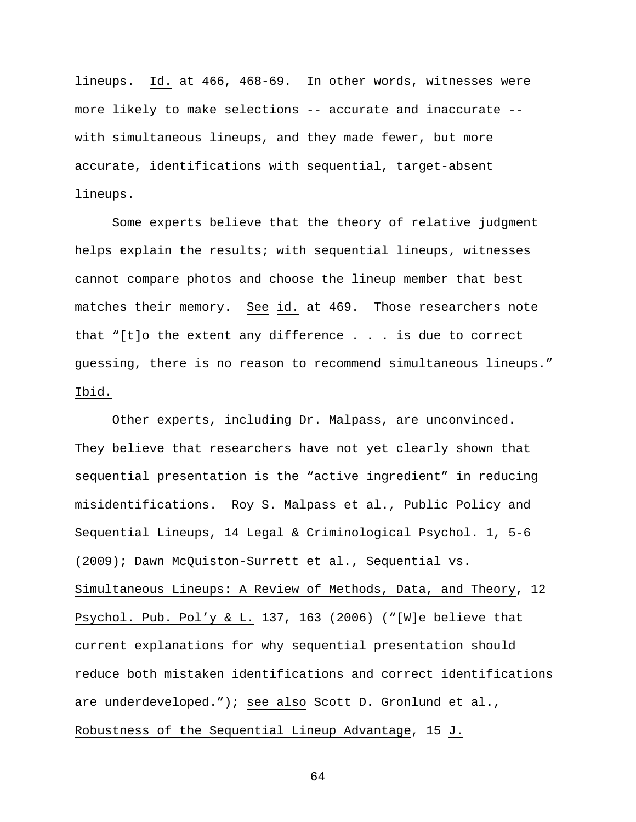lineups. Id. at 466, 468-69. In other words, witnesses were more likely to make selections -- accurate and inaccurate - with simultaneous lineups, and they made fewer, but more accurate, identifications with sequential, target-absent lineups.

 Some experts believe that the theory of relative judgment helps explain the results; with sequential lineups, witnesses cannot compare photos and choose the lineup member that best matches their memory. See id. at 469. Those researchers note that "[t]o the extent any difference . . . is due to correct guessing, there is no reason to recommend simultaneous lineups." Ibid.

 Other experts, including Dr. Malpass, are unconvinced. They believe that researchers have not yet clearly shown that sequential presentation is the "active ingredient" in reducing misidentifications. Roy S. Malpass et al., Public Policy and Sequential Lineups, 14 Legal & Criminological Psychol. 1, 5-6 (2009); Dawn McQuiston-Surrett et al., Sequential vs. Simultaneous Lineups: A Review of Methods, Data, and Theory, 12 Psychol. Pub. Pol'y & L. 137, 163 (2006) ("[W]e believe that current explanations for why sequential presentation should reduce both mistaken identifications and correct identifications are underdeveloped."); see also Scott D. Gronlund et al., Robustness of the Sequential Lineup Advantage, 15 J.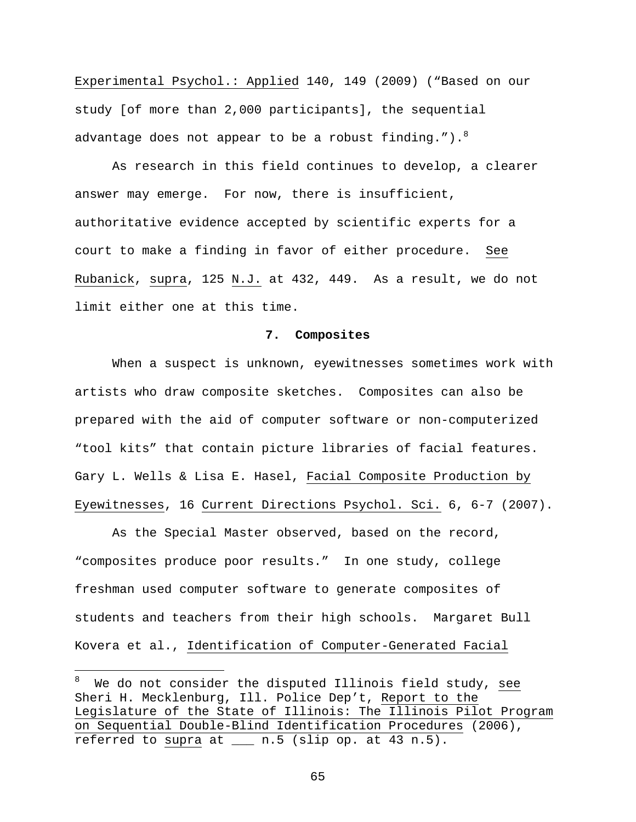Experimental Psychol.: Applied 140, 149 (2009) ("Based on our study [of more than 2,000 participants], the sequential advantage does not appear to be a robust finding."). $^8$ 

 As research in this field continues to develop, a clearer answer may emerge. For now, there is insufficient, authoritative evidence accepted by scientific experts for a court to make a finding in favor of either procedure. See Rubanick, supra, 125 N.J. at 432, 449. As a result, we do not limit either one at this time.

### **7. Composites**

When a suspect is unknown, eyewitnesses sometimes work with artists who draw composite sketches. Composites can also be prepared with the aid of computer software or non-computerized "tool kits" that contain picture libraries of facial features. Gary L. Wells & Lisa E. Hasel, Facial Composite Production by Eyewitnesses, 16 Current Directions Psychol. Sci. 6, 6-7 (2007).

As the Special Master observed, based on the record, "composites produce poor results." In one study, college freshman used computer software to generate composites of students and teachers from their high schools. Margaret Bull Kovera et al., Identification of Computer-Generated Facial

i<br>Li

<sup>8</sup> We do not consider the disputed Illinois field study, see Sheri H. Mecklenburg, Ill. Police Dep't, Report to the Legislature of the State of Illinois: The Illinois Pilot Program on Sequential Double-Blind Identification Procedures (2006), referred to supra at  $\_\_$  n.5 (slip op. at 43 n.5).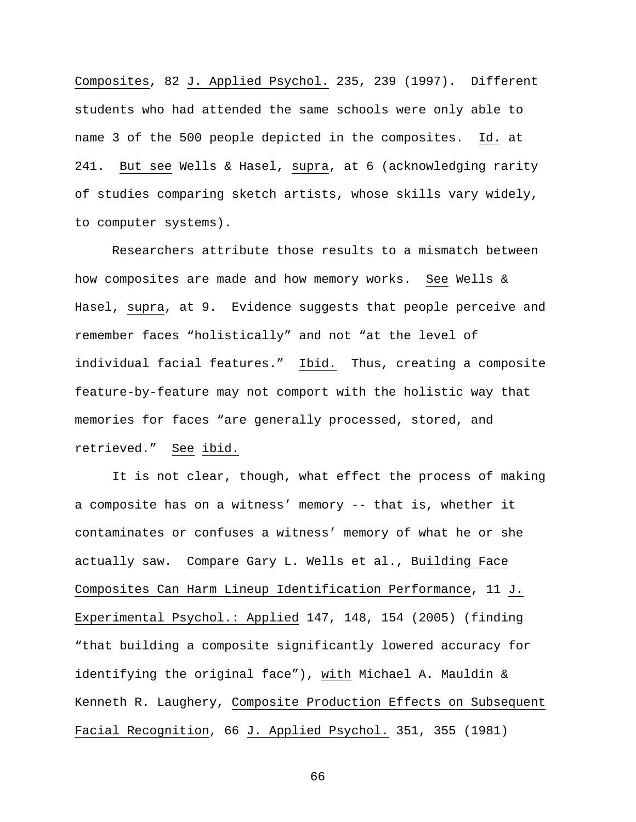Composites, 82 J. Applied Psychol. 235, 239 (1997). Different students who had attended the same schools were only able to name 3 of the 500 people depicted in the composites. Id. at 241. But see Wells & Hasel, supra, at 6 (acknowledging rarity of studies comparing sketch artists, whose skills vary widely, to computer systems).

Researchers attribute those results to a mismatch between how composites are made and how memory works. See Wells & Hasel, supra, at 9. Evidence suggests that people perceive and remember faces "holistically" and not "at the level of individual facial features." Ibid. Thus, creating a composite feature-by-feature may not comport with the holistic way that memories for faces "are generally processed, stored, and retrieved." See ibid.

 It is not clear, though, what effect the process of making a composite has on a witness' memory -- that is, whether it contaminates or confuses a witness' memory of what he or she actually saw. Compare Gary L. Wells et al., Building Face Composites Can Harm Lineup Identification Performance, 11 J. Experimental Psychol.: Applied 147, 148, 154 (2005) (finding "that building a composite significantly lowered accuracy for identifying the original face"), with Michael A. Mauldin & Kenneth R. Laughery, Composite Production Effects on Subsequent Facial Recognition, 66 J. Applied Psychol. 351, 355 (1981)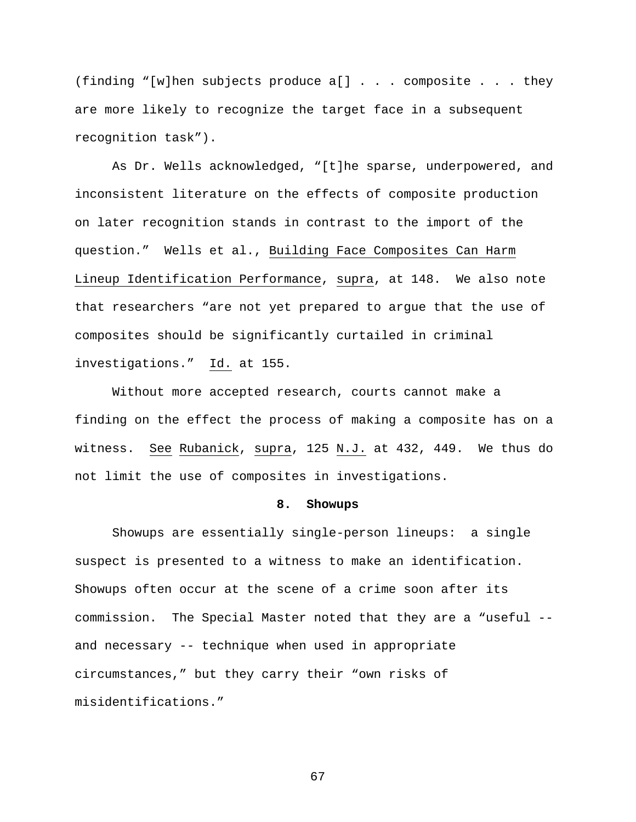(finding "[w]hen subjects produce a[] . . . composite . . . they are more likely to recognize the target face in a subsequent recognition task").

 As Dr. Wells acknowledged, "[t]he sparse, underpowered, and inconsistent literature on the effects of composite production on later recognition stands in contrast to the import of the question." Wells et al., Building Face Composites Can Harm Lineup Identification Performance, supra, at 148. We also note that researchers "are not yet prepared to argue that the use of composites should be significantly curtailed in criminal investigations." Id. at 155.

 Without more accepted research, courts cannot make a finding on the effect the process of making a composite has on a witness. See Rubanick, supra, 125 N.J. at 432, 449. We thus do not limit the use of composites in investigations.

### **8. Showups**

Showups are essentially single-person lineups: a single suspect is presented to a witness to make an identification. Showups often occur at the scene of a crime soon after its commission. The Special Master noted that they are a "useful - and necessary -- technique when used in appropriate circumstances," but they carry their "own risks of misidentifications."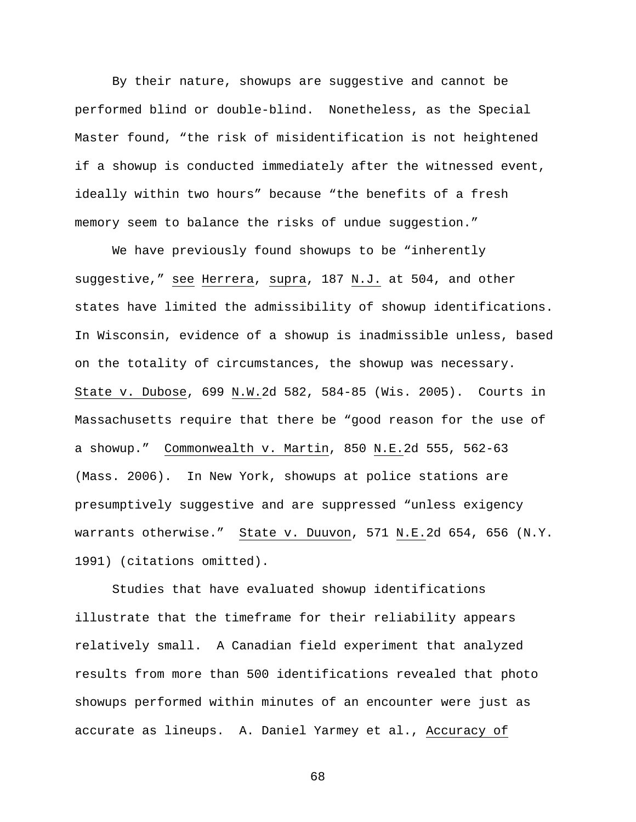By their nature, showups are suggestive and cannot be performed blind or double-blind. Nonetheless, as the Special Master found, "the risk of misidentification is not heightened if a showup is conducted immediately after the witnessed event, ideally within two hours" because "the benefits of a fresh memory seem to balance the risks of undue suggestion."

We have previously found showups to be "inherently suggestive," see Herrera, supra, 187 N.J. at 504, and other states have limited the admissibility of showup identifications. In Wisconsin, evidence of a showup is inadmissible unless, based on the totality of circumstances, the showup was necessary. State v. Dubose, 699 N.W.2d 582, 584-85 (Wis. 2005). Courts in Massachusetts require that there be "good reason for the use of a showup." Commonwealth v. Martin, 850 N.E.2d 555, 562-63 (Mass. 2006). In New York, showups at police stations are presumptively suggestive and are suppressed "unless exigency warrants otherwise." State v. Duuvon, 571 N.E.2d 654, 656 (N.Y. 1991) (citations omitted).

Studies that have evaluated showup identifications illustrate that the timeframe for their reliability appears relatively small. A Canadian field experiment that analyzed results from more than 500 identifications revealed that photo showups performed within minutes of an encounter were just as accurate as lineups. A. Daniel Yarmey et al., Accuracy of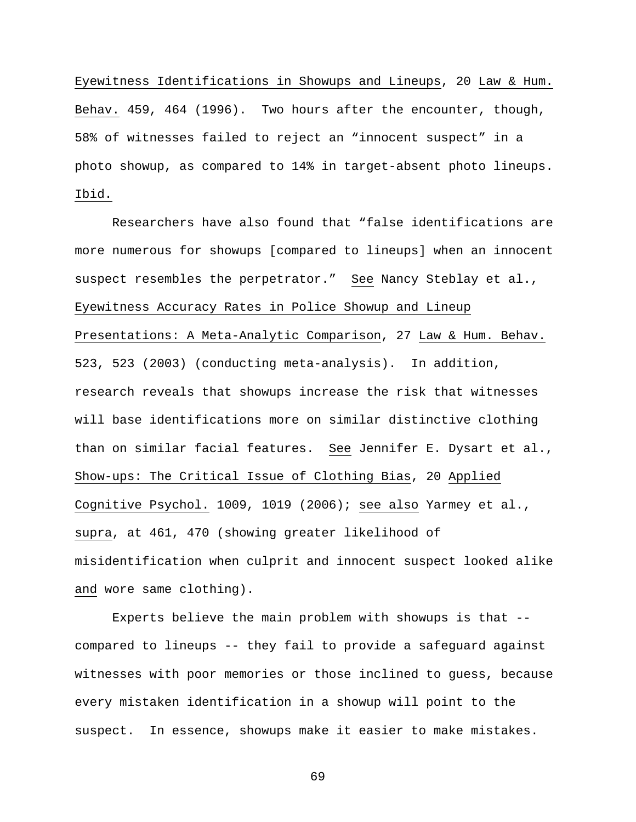Eyewitness Identifications in Showups and Lineups, 20 Law & Hum. Behav. 459, 464 (1996). Two hours after the encounter, though, 58% of witnesses failed to reject an "innocent suspect" in a photo showup, as compared to 14% in target-absent photo lineups. Ibid.

Researchers have also found that "false identifications are more numerous for showups [compared to lineups] when an innocent suspect resembles the perpetrator." See Nancy Steblay et al., Eyewitness Accuracy Rates in Police Showup and Lineup Presentations: A Meta-Analytic Comparison, 27 Law & Hum. Behav. 523, 523 (2003) (conducting meta-analysis). In addition, research reveals that showups increase the risk that witnesses will base identifications more on similar distinctive clothing than on similar facial features. See Jennifer E. Dysart et al., Show-ups: The Critical Issue of Clothing Bias, 20 Applied Cognitive Psychol. 1009, 1019 (2006); see also Yarmey et al., supra, at 461, 470 (showing greater likelihood of misidentification when culprit and innocent suspect looked alike and wore same clothing).

Experts believe the main problem with showups is that - compared to lineups -- they fail to provide a safeguard against witnesses with poor memories or those inclined to guess, because every mistaken identification in a showup will point to the suspect. In essence, showups make it easier to make mistakes.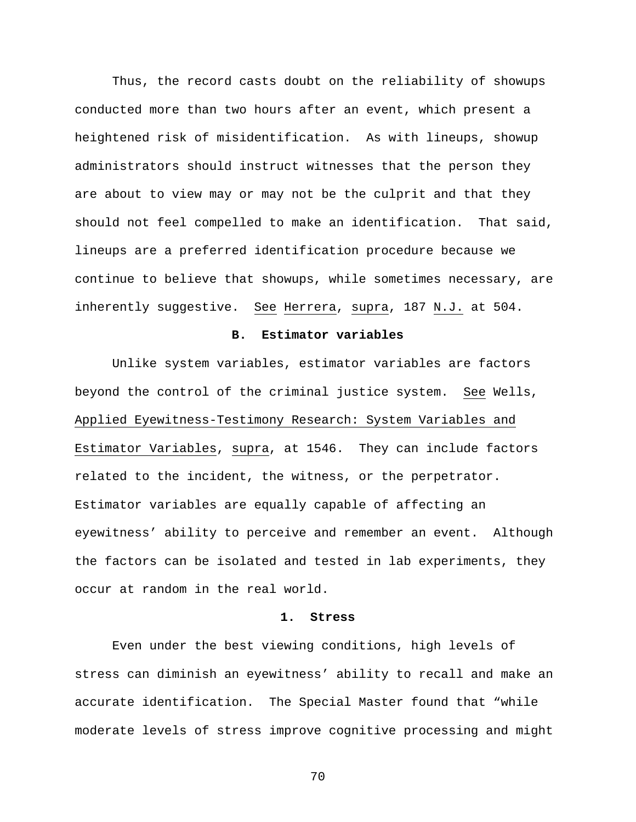Thus, the record casts doubt on the reliability of showups conducted more than two hours after an event, which present a heightened risk of misidentification. As with lineups, showup administrators should instruct witnesses that the person they are about to view may or may not be the culprit and that they should not feel compelled to make an identification. That said, lineups are a preferred identification procedure because we continue to believe that showups, while sometimes necessary, are inherently suggestive. See Herrera, supra, 187 N.J. at 504.

# **B. Estimator variables**

Unlike system variables, estimator variables are factors beyond the control of the criminal justice system. See Wells, Applied Eyewitness-Testimony Research: System Variables and Estimator Variables, supra, at 1546. They can include factors related to the incident, the witness, or the perpetrator. Estimator variables are equally capable of affecting an eyewitness' ability to perceive and remember an event. Although the factors can be isolated and tested in lab experiments, they occur at random in the real world.

#### **1. Stress**

 Even under the best viewing conditions, high levels of stress can diminish an eyewitness' ability to recall and make an accurate identification. The Special Master found that "while moderate levels of stress improve cognitive processing and might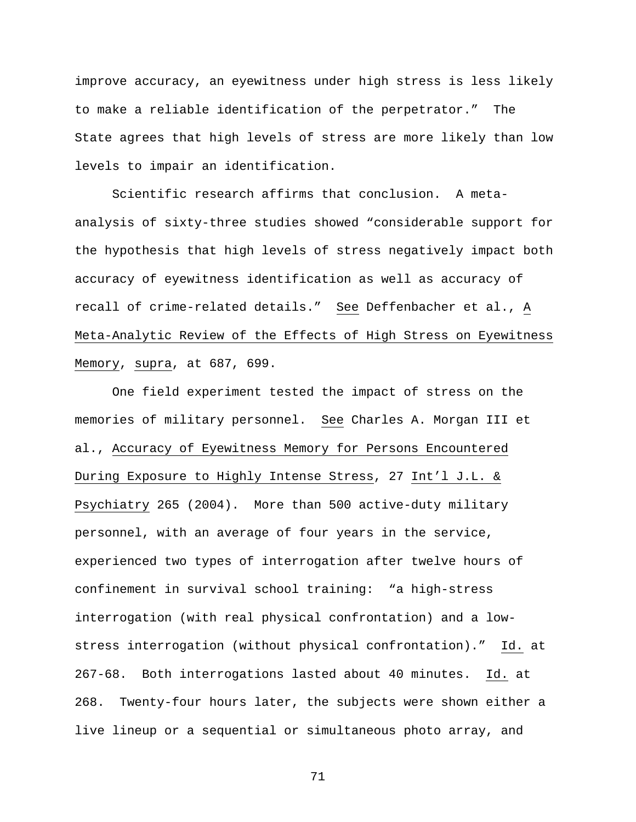improve accuracy, an eyewitness under high stress is less likely to make a reliable identification of the perpetrator." The State agrees that high levels of stress are more likely than low levels to impair an identification.

 Scientific research affirms that conclusion. A metaanalysis of sixty-three studies showed "considerable support for the hypothesis that high levels of stress negatively impact both accuracy of eyewitness identification as well as accuracy of recall of crime-related details." See Deffenbacher et al., A Meta-Analytic Review of the Effects of High Stress on Eyewitness Memory, supra, at 687, 699.

One field experiment tested the impact of stress on the memories of military personnel. See Charles A. Morgan III et al., Accuracy of Eyewitness Memory for Persons Encountered During Exposure to Highly Intense Stress, 27 Int'l J.L. & Psychiatry 265 (2004). More than 500 active-duty military personnel, with an average of four years in the service, experienced two types of interrogation after twelve hours of confinement in survival school training: "a high-stress interrogation (with real physical confrontation) and a lowstress interrogation (without physical confrontation)." Id. at 267-68. Both interrogations lasted about 40 minutes. Id. at 268. Twenty-four hours later, the subjects were shown either a live lineup or a sequential or simultaneous photo array, and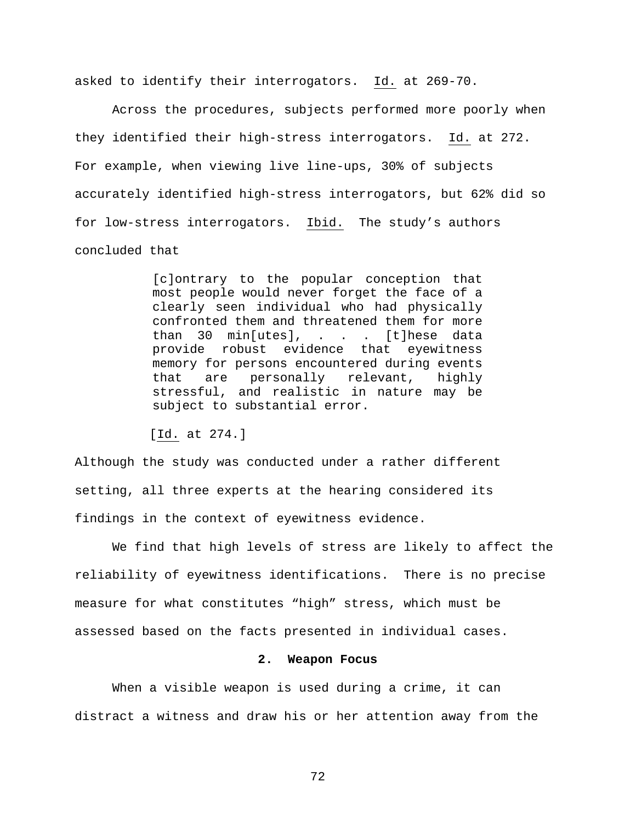asked to identify their interrogators. Id. at 269-70.

Across the procedures, subjects performed more poorly when they identified their high-stress interrogators. Id. at 272. For example, when viewing live line-ups, 30% of subjects accurately identified high-stress interrogators, but 62% did so for low-stress interrogators. Ibid. The study's authors concluded that

> [c]ontrary to the popular conception that most people would never forget the face of a clearly seen individual who had physically confronted them and threatened them for more than 30 min[utes], . . . [t]hese data provide robust evidence that eyewitness memory for persons encountered during events that are personally relevant, highly stressful, and realistic in nature may be subject to substantial error.

[Id. at 274.]

Although the study was conducted under a rather different setting, all three experts at the hearing considered its findings in the context of eyewitness evidence.

We find that high levels of stress are likely to affect the reliability of eyewitness identifications. There is no precise measure for what constitutes "high" stress, which must be assessed based on the facts presented in individual cases.

### **2. Weapon Focus**

 When a visible weapon is used during a crime, it can distract a witness and draw his or her attention away from the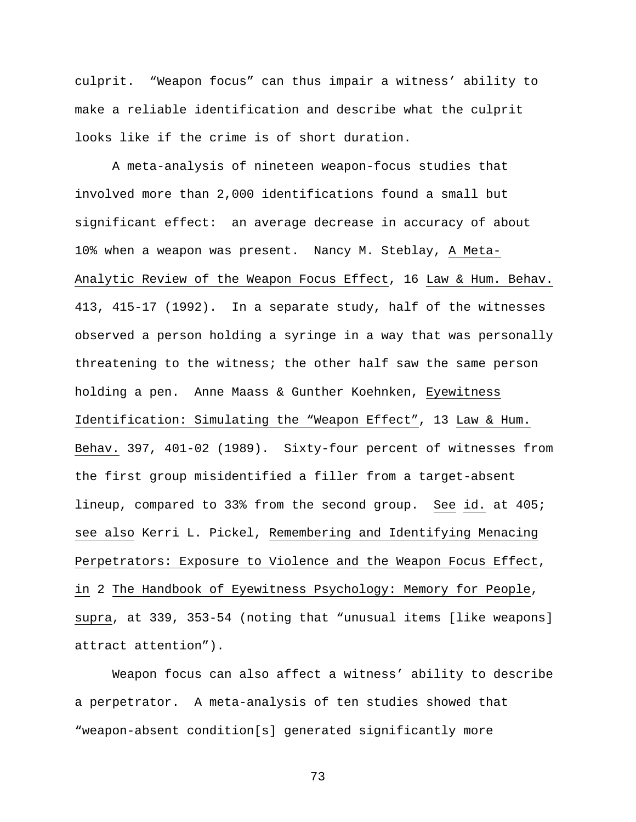culprit. "Weapon focus" can thus impair a witness' ability to make a reliable identification and describe what the culprit looks like if the crime is of short duration.

 A meta-analysis of nineteen weapon-focus studies that involved more than 2,000 identifications found a small but significant effect: an average decrease in accuracy of about 10% when a weapon was present. Nancy M. Steblay, A Meta-Analytic Review of the Weapon Focus Effect, 16 Law & Hum. Behav. 413, 415-17 (1992). In a separate study, half of the witnesses observed a person holding a syringe in a way that was personally threatening to the witness; the other half saw the same person holding a pen. Anne Maass & Gunther Koehnken, Eyewitness Identification: Simulating the "Weapon Effect", 13 Law & Hum. Behav. 397, 401-02 (1989). Sixty-four percent of witnesses from the first group misidentified a filler from a target-absent lineup, compared to 33% from the second group. See id. at 405; see also Kerri L. Pickel, Remembering and Identifying Menacing Perpetrators: Exposure to Violence and the Weapon Focus Effect, in 2 The Handbook of Eyewitness Psychology: Memory for People, supra, at 339, 353-54 (noting that "unusual items [like weapons] attract attention").

 Weapon focus can also affect a witness' ability to describe a perpetrator. A meta-analysis of ten studies showed that "weapon-absent condition[s] generated significantly more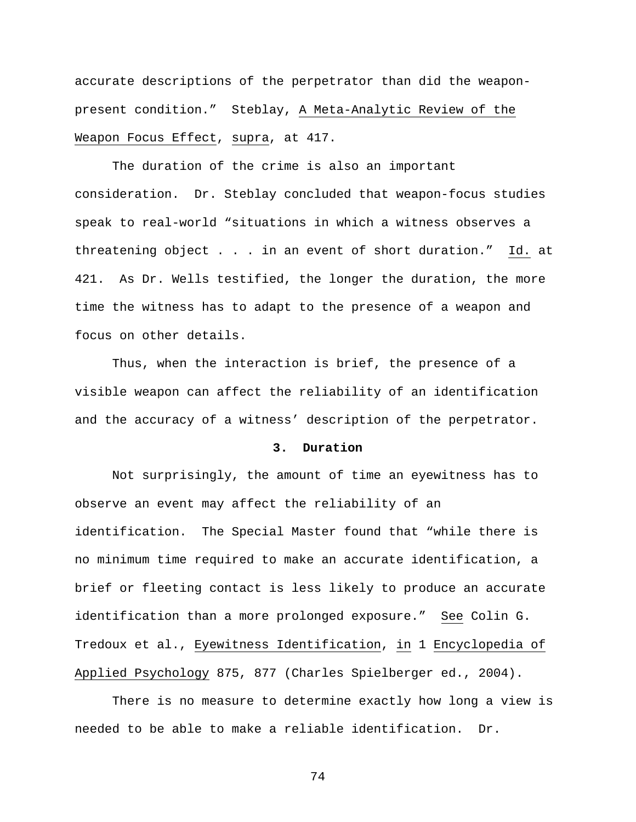accurate descriptions of the perpetrator than did the weaponpresent condition." Steblay, A Meta-Analytic Review of the Weapon Focus Effect, supra, at 417.

 The duration of the crime is also an important consideration. Dr. Steblay concluded that weapon-focus studies speak to real-world "situations in which a witness observes a threatening object . . . in an event of short duration." Id. at 421. As Dr. Wells testified, the longer the duration, the more time the witness has to adapt to the presence of a weapon and focus on other details.

 Thus, when the interaction is brief, the presence of a visible weapon can affect the reliability of an identification and the accuracy of a witness' description of the perpetrator.

# **3. Duration**

 Not surprisingly, the amount of time an eyewitness has to observe an event may affect the reliability of an identification. The Special Master found that "while there is no minimum time required to make an accurate identification, a brief or fleeting contact is less likely to produce an accurate identification than a more prolonged exposure." See Colin G. Tredoux et al., Eyewitness Identification, in 1 Encyclopedia of Applied Psychology 875, 877 (Charles Spielberger ed., 2004).

 There is no measure to determine exactly how long a view is needed to be able to make a reliable identification. Dr.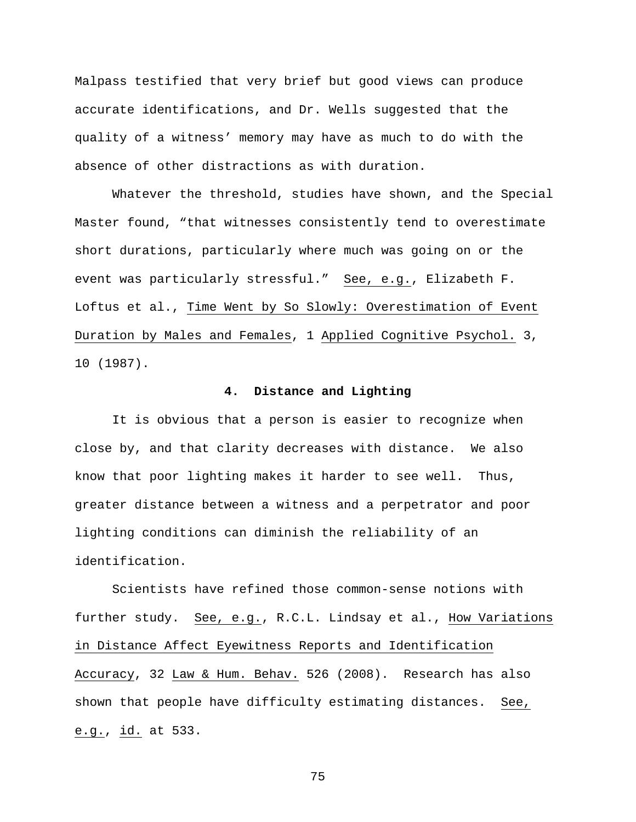Malpass testified that very brief but good views can produce accurate identifications, and Dr. Wells suggested that the quality of a witness' memory may have as much to do with the absence of other distractions as with duration.

 Whatever the threshold, studies have shown, and the Special Master found, "that witnesses consistently tend to overestimate short durations, particularly where much was going on or the event was particularly stressful." See, e.g., Elizabeth F. Loftus et al., Time Went by So Slowly: Overestimation of Event Duration by Males and Females, 1 Applied Cognitive Psychol. 3, 10 (1987).

### **4. Distance and Lighting**

 It is obvious that a person is easier to recognize when close by, and that clarity decreases with distance. We also know that poor lighting makes it harder to see well. Thus, greater distance between a witness and a perpetrator and poor lighting conditions can diminish the reliability of an identification.

 Scientists have refined those common-sense notions with further study. See, e.g., R.C.L. Lindsay et al., How Variations in Distance Affect Eyewitness Reports and Identification Accuracy, 32 Law & Hum. Behav. 526 (2008). Research has also shown that people have difficulty estimating distances. See, e.g., id. at 533.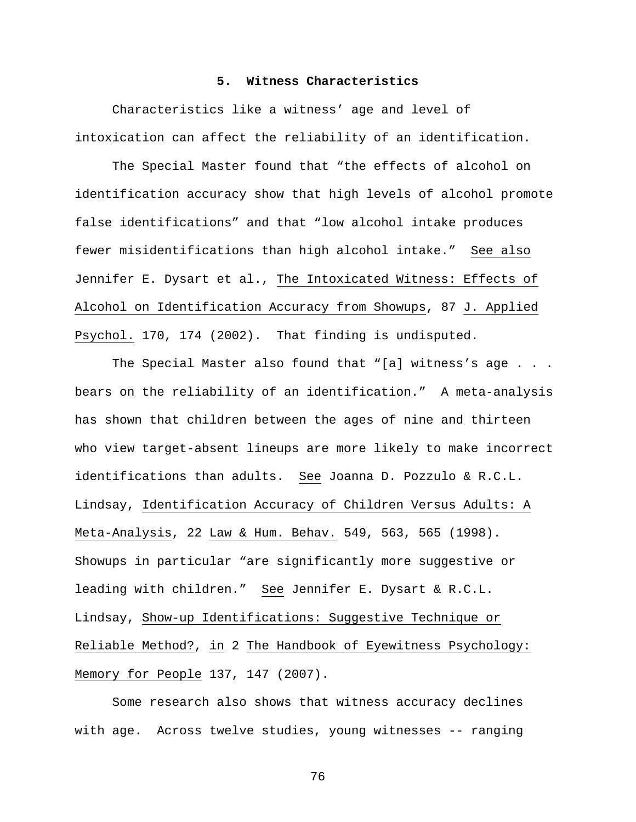### **5. Witness Characteristics**

Characteristics like a witness' age and level of intoxication can affect the reliability of an identification.

The Special Master found that "the effects of alcohol on identification accuracy show that high levels of alcohol promote false identifications" and that "low alcohol intake produces fewer misidentifications than high alcohol intake." See also Jennifer E. Dysart et al., The Intoxicated Witness: Effects of Alcohol on Identification Accuracy from Showups, 87 J. Applied Psychol. 170, 174 (2002). That finding is undisputed.

The Special Master also found that "[a] witness's age . . . bears on the reliability of an identification." A meta-analysis has shown that children between the ages of nine and thirteen who view target-absent lineups are more likely to make incorrect identifications than adults. See Joanna D. Pozzulo & R.C.L. Lindsay, Identification Accuracy of Children Versus Adults: A Meta-Analysis, 22 Law & Hum. Behav. 549, 563, 565 (1998). Showups in particular "are significantly more suggestive or leading with children." See Jennifer E. Dysart & R.C.L. Lindsay, Show-up Identifications: Suggestive Technique or Reliable Method?, in 2 The Handbook of Eyewitness Psychology: Memory for People 137, 147 (2007).

 Some research also shows that witness accuracy declines with age. Across twelve studies, young witnesses -- ranging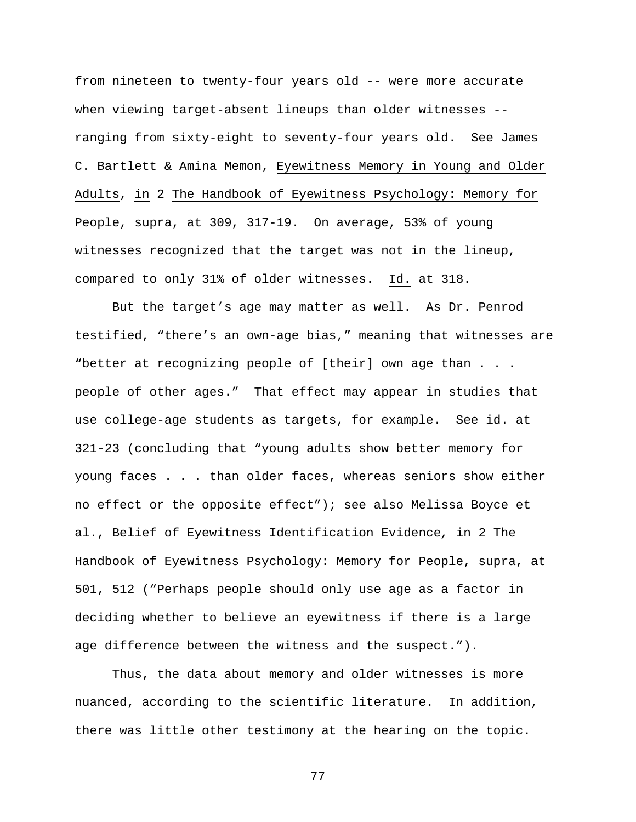from nineteen to twenty-four years old -- were more accurate when viewing target-absent lineups than older witnesses - ranging from sixty-eight to seventy-four years old. See James C. Bartlett & Amina Memon, Eyewitness Memory in Young and Older Adults, in 2 The Handbook of Eyewitness Psychology: Memory for People, supra, at 309, 317-19. On average, 53% of young witnesses recognized that the target was not in the lineup, compared to only 31% of older witnesses. Id. at 318.

 But the target's age may matter as well. As Dr. Penrod testified, "there's an own-age bias," meaning that witnesses are "better at recognizing people of [their] own age than . . . people of other ages." That effect may appear in studies that use college-age students as targets, for example. See id. at 321-23 (concluding that "young adults show better memory for young faces . . . than older faces, whereas seniors show either no effect or the opposite effect"); see also Melissa Boyce et al., Belief of Eyewitness Identification Evidence*,* in 2 The Handbook of Eyewitness Psychology: Memory for People, supra, at 501, 512 ("Perhaps people should only use age as a factor in deciding whether to believe an eyewitness if there is a large age difference between the witness and the suspect.").

 Thus, the data about memory and older witnesses is more nuanced, according to the scientific literature. In addition, there was little other testimony at the hearing on the topic.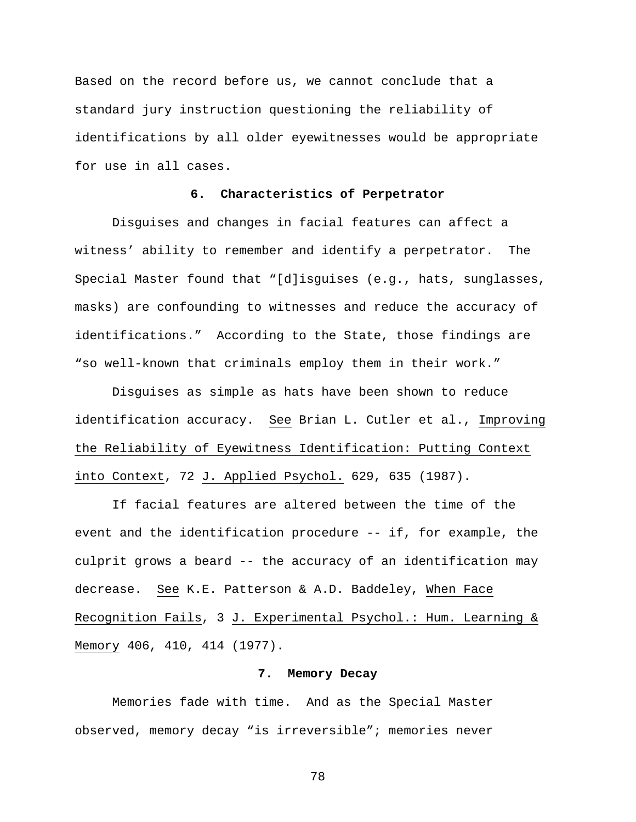Based on the record before us, we cannot conclude that a standard jury instruction questioning the reliability of identifications by all older eyewitnesses would be appropriate for use in all cases.

# **6. Characteristics of Perpetrator**

 Disguises and changes in facial features can affect a witness' ability to remember and identify a perpetrator. The Special Master found that "[d]isguises (e.g., hats, sunglasses, masks) are confounding to witnesses and reduce the accuracy of identifications." According to the State, those findings are "so well-known that criminals employ them in their work."

 Disguises as simple as hats have been shown to reduce identification accuracy. See Brian L. Cutler et al., Improving the Reliability of Eyewitness Identification: Putting Context into Context, 72 J. Applied Psychol. 629, 635 (1987).

 If facial features are altered between the time of the event and the identification procedure -- if, for example, the culprit grows a beard -- the accuracy of an identification may decrease. See K.E. Patterson & A.D. Baddeley, When Face Recognition Fails, 3 J. Experimental Psychol.: Hum. Learning & Memory 406, 410, 414 (1977).

### **7. Memory Decay**

 Memories fade with time. And as the Special Master observed, memory decay "is irreversible"; memories never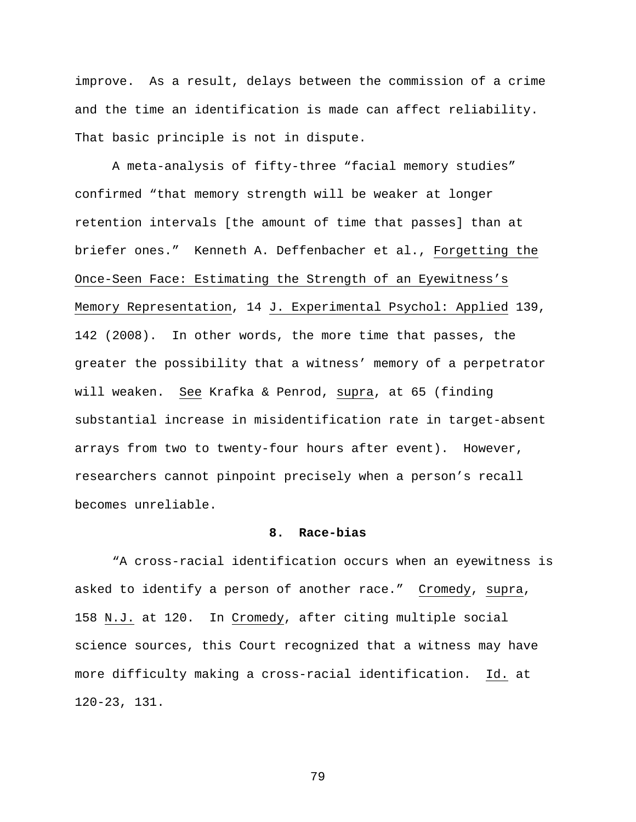improve. As a result, delays between the commission of a crime and the time an identification is made can affect reliability. That basic principle is not in dispute.

 A meta-analysis of fifty-three "facial memory studies" confirmed "that memory strength will be weaker at longer retention intervals [the amount of time that passes] than at briefer ones." Kenneth A. Deffenbacher et al., Forgetting the Once-Seen Face: Estimating the Strength of an Eyewitness's Memory Representation, 14 J. Experimental Psychol: Applied 139, 142 (2008). In other words, the more time that passes, the greater the possibility that a witness' memory of a perpetrator will weaken. See Krafka & Penrod, supra, at 65 (finding substantial increase in misidentification rate in target-absent arrays from two to twenty-four hours after event). However, researchers cannot pinpoint precisely when a person's recall becomes unreliable.

## **8. Race-bias**

 "A cross-racial identification occurs when an eyewitness is asked to identify a person of another race." Cromedy, supra, 158 N.J. at 120. In Cromedy, after citing multiple social science sources, this Court recognized that a witness may have more difficulty making a cross-racial identification. Id. at 120-23, 131.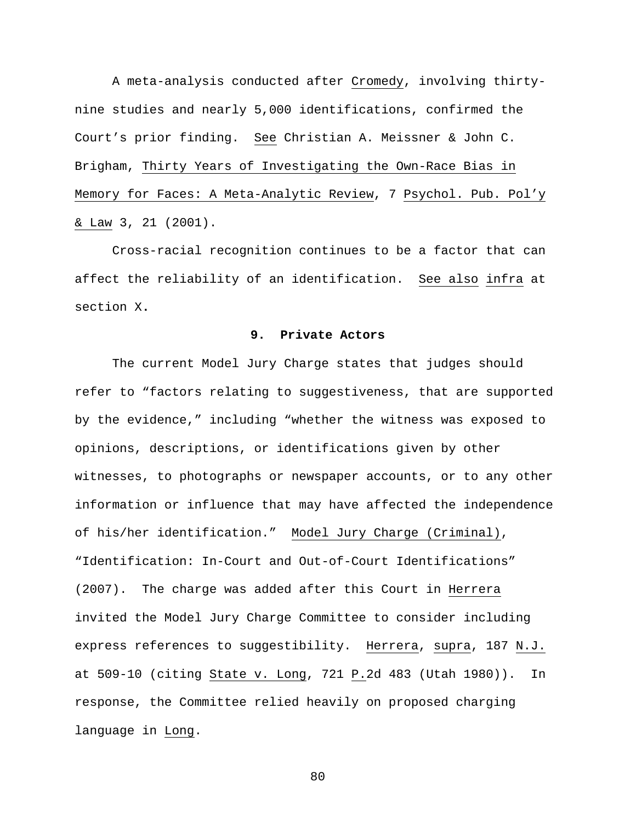A meta-analysis conducted after Cromedy, involving thirtynine studies and nearly 5,000 identifications, confirmed the Court's prior finding. See Christian A. Meissner & John C. Brigham, Thirty Years of Investigating the Own-Race Bias in Memory for Faces: A Meta-Analytic Review, 7 Psychol. Pub. Pol'y & Law 3, 21 (2001).

 Cross-racial recognition continues to be a factor that can affect the reliability of an identification. See also infra at section X**.** 

### **9. Private Actors**

 The current Model Jury Charge states that judges should refer to "factors relating to suggestiveness, that are supported by the evidence," including "whether the witness was exposed to opinions, descriptions, or identifications given by other witnesses, to photographs or newspaper accounts, or to any other information or influence that may have affected the independence of his/her identification." Model Jury Charge (Criminal), "Identification: In-Court and Out-of-Court Identifications" (2007).The charge was added after this Court in Herrera invited the Model Jury Charge Committee to consider including express references to suggestibility. Herrera, supra, 187 N.J. at 509-10 (citing State v. Long, 721 P.2d 483 (Utah 1980)). In response, the Committee relied heavily on proposed charging language in Long.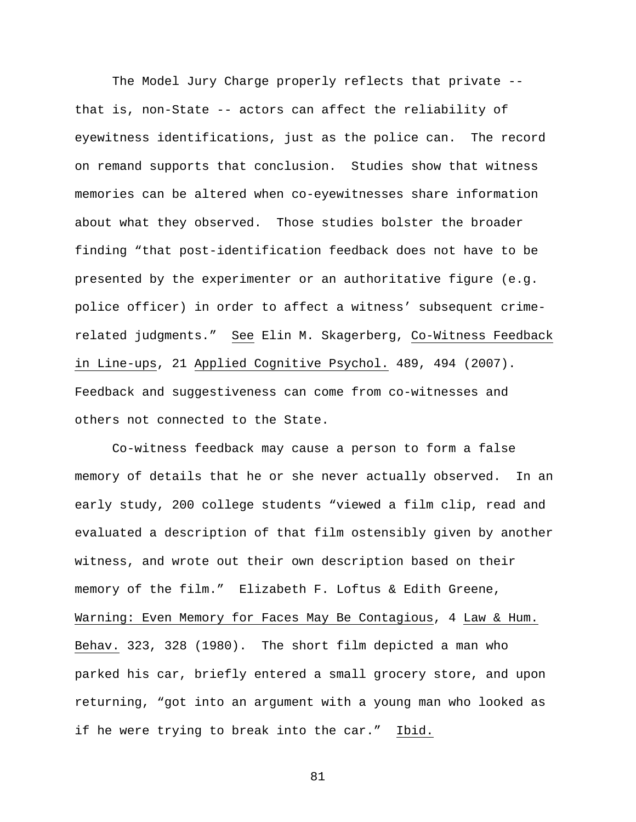The Model Jury Charge properly reflects that private - that is, non-State -- actors can affect the reliability of eyewitness identifications, just as the police can. The record on remand supports that conclusion. Studies show that witness memories can be altered when co-eyewitnesses share information about what they observed. Those studies bolster the broader finding "that post-identification feedback does not have to be presented by the experimenter or an authoritative figure (e.g. police officer) in order to affect a witness' subsequent crimerelated judgments." See Elin M. Skagerberg, Co-Witness Feedback in Line-ups, 21 Applied Cognitive Psychol. 489, 494 (2007). Feedback and suggestiveness can come from co-witnesses and others not connected to the State.

 Co-witness feedback may cause a person to form a false memory of details that he or she never actually observed. In an early study, 200 college students "viewed a film clip, read and evaluated a description of that film ostensibly given by another witness, and wrote out their own description based on their memory of the film." Elizabeth F. Loftus & Edith Greene, Warning: Even Memory for Faces May Be Contagious, 4 Law & Hum. Behav. 323, 328 (1980). The short film depicted a man who parked his car, briefly entered a small grocery store, and upon returning, "got into an argument with a young man who looked as if he were trying to break into the car." Ibid.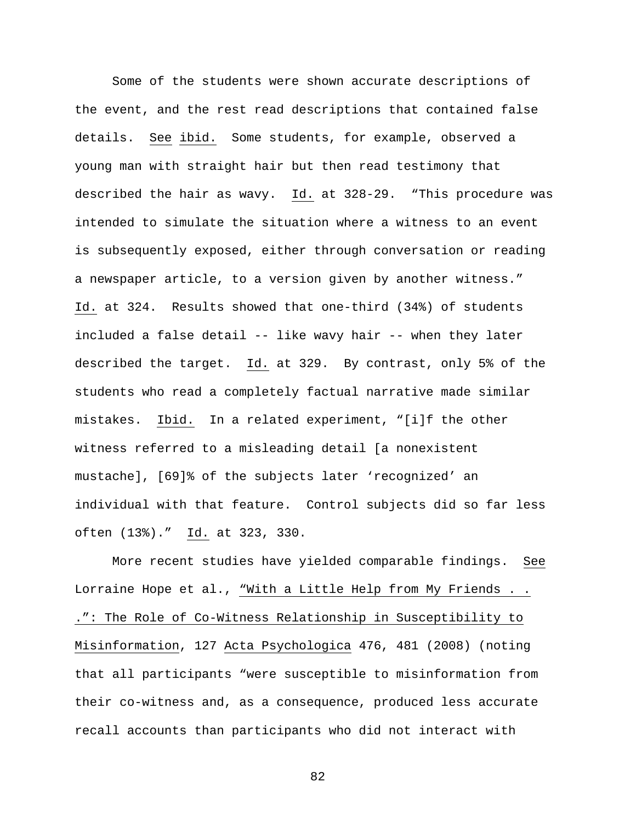Some of the students were shown accurate descriptions of the event, and the rest read descriptions that contained false details. See ibid. Some students, for example, observed a young man with straight hair but then read testimony that described the hair as wavy. Id. at 328-29. "This procedure was intended to simulate the situation where a witness to an event is subsequently exposed, either through conversation or reading a newspaper article, to a version given by another witness." Id. at 324. Results showed that one-third (34%) of students included a false detail -- like wavy hair -- when they later described the target. Id. at 329. By contrast, only 5% of the students who read a completely factual narrative made similar mistakes. Ibid. In a related experiment, "[i]f the other witness referred to a misleading detail [a nonexistent mustache], [69]% of the subjects later 'recognized' an individual with that feature. Control subjects did so far less often (13%)." Id. at 323, 330.

 More recent studies have yielded comparable findings. See Lorraine Hope et al., "With a Little Help from My Friends . . .": The Role of Co-Witness Relationship in Susceptibility to Misinformation, 127 Acta Psychologica 476, 481 (2008) (noting that all participants "were susceptible to misinformation from their co-witness and, as a consequence, produced less accurate recall accounts than participants who did not interact with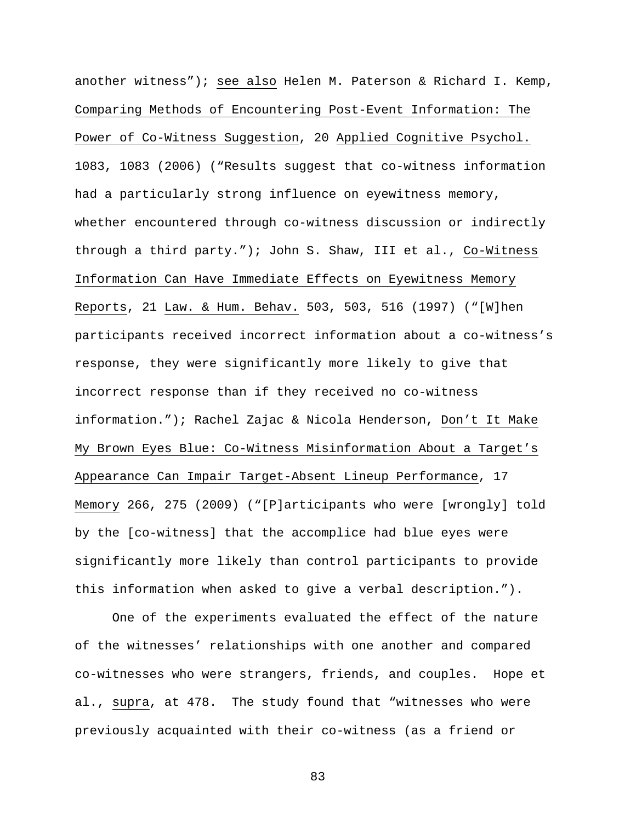another witness"); see also Helen M. Paterson & Richard I. Kemp, Comparing Methods of Encountering Post-Event Information: The Power of Co-Witness Suggestion, 20 Applied Cognitive Psychol. 1083, 1083 (2006) ("Results suggest that co-witness information had a particularly strong influence on eyewitness memory, whether encountered through co-witness discussion or indirectly through a third party."); John S. Shaw, III et al., Co-Witness Information Can Have Immediate Effects on Eyewitness Memory Reports, 21 Law. & Hum. Behav. 503, 503, 516 (1997) ("[W]hen participants received incorrect information about a co-witness's response, they were significantly more likely to give that incorrect response than if they received no co-witness information."); Rachel Zajac & Nicola Henderson, Don't It Make My Brown Eyes Blue: Co-Witness Misinformation About a Target's Appearance Can Impair Target-Absent Lineup Performance, 17 Memory 266, 275 (2009) ("[P]articipants who were [wrongly] told by the [co-witness] that the accomplice had blue eyes were significantly more likely than control participants to provide this information when asked to give a verbal description.").

 One of the experiments evaluated the effect of the nature of the witnesses' relationships with one another and compared co-witnesses who were strangers, friends, and couples. Hope et al., supra, at 478. The study found that "witnesses who were previously acquainted with their co-witness (as a friend or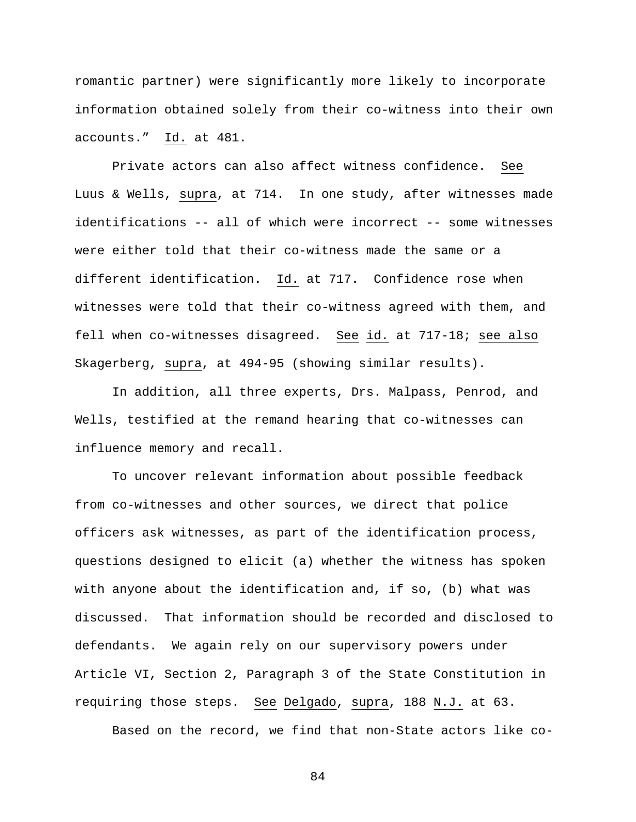romantic partner) were significantly more likely to incorporate information obtained solely from their co-witness into their own accounts." Id. at 481.

 Private actors can also affect witness confidence. See Luus & Wells, supra, at 714. In one study, after witnesses made identifications -- all of which were incorrect -- some witnesses were either told that their co-witness made the same or a different identification. Id. at 717. Confidence rose when witnesses were told that their co-witness agreed with them, and fell when co-witnesses disagreed. See id. at 717-18; see also Skagerberg, supra, at 494-95 (showing similar results).

 In addition, all three experts, Drs. Malpass, Penrod, and Wells, testified at the remand hearing that co-witnesses can influence memory and recall.

 To uncover relevant information about possible feedback from co-witnesses and other sources, we direct that police officers ask witnesses, as part of the identification process, questions designed to elicit (a) whether the witness has spoken with anyone about the identification and, if so, (b) what was discussed. That information should be recorded and disclosed to defendants. We again rely on our supervisory powers under Article VI, Section 2, Paragraph 3 of the State Constitution in requiring those steps. See Delgado, supra, 188 N.J. at 63.

Based on the record, we find that non-State actors like co-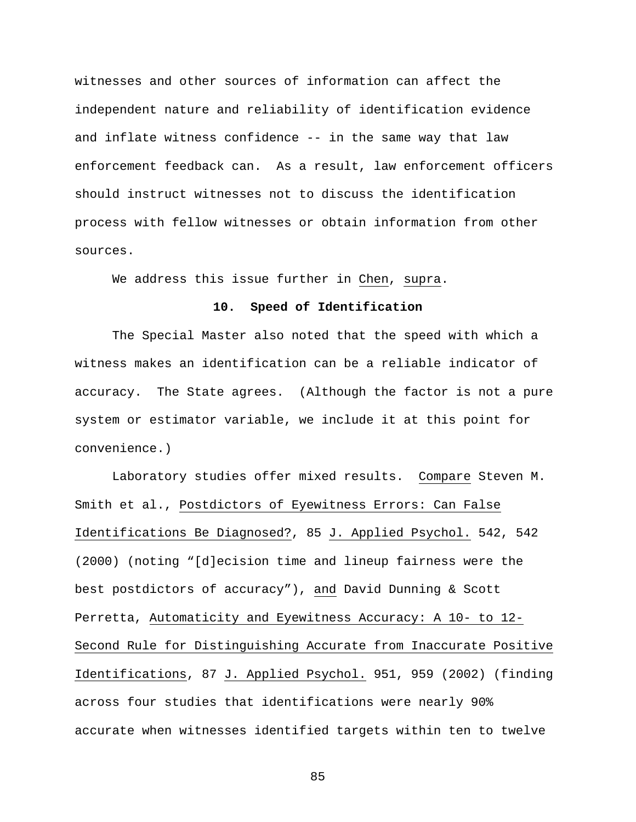witnesses and other sources of information can affect the independent nature and reliability of identification evidence and inflate witness confidence -- in the same way that law enforcement feedback can. As a result, law enforcement officers should instruct witnesses not to discuss the identification process with fellow witnesses or obtain information from other sources.

We address this issue further in Chen, supra.

### **10. Speed of Identification**

 The Special Master also noted that the speed with which a witness makes an identification can be a reliable indicator of accuracy. The State agrees. (Although the factor is not a pure system or estimator variable, we include it at this point for convenience.)

 Laboratory studies offer mixed results. Compare Steven M. Smith et al., Postdictors of Eyewitness Errors: Can False Identifications Be Diagnosed?, 85 J. Applied Psychol. 542, 542 (2000) (noting "[d]ecision time and lineup fairness were the best postdictors of accuracy"), and David Dunning & Scott Perretta, Automaticity and Eyewitness Accuracy: A 10- to 12- Second Rule for Distinguishing Accurate from Inaccurate Positive Identifications, 87 J. Applied Psychol. 951, 959 (2002) (finding across four studies that identifications were nearly 90% accurate when witnesses identified targets within ten to twelve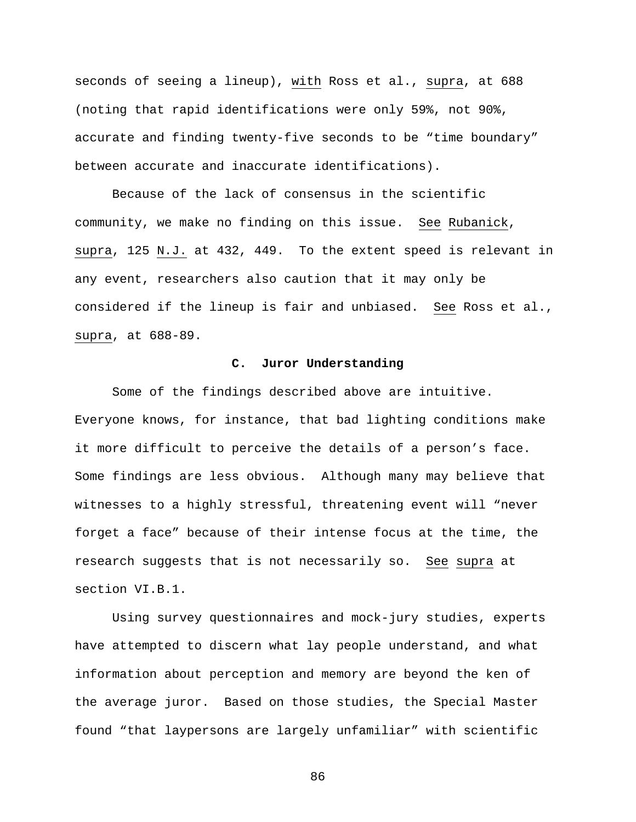seconds of seeing a lineup), with Ross et al., supra, at 688 (noting that rapid identifications were only 59%, not 90%, accurate and finding twenty-five seconds to be "time boundary" between accurate and inaccurate identifications).

 Because of the lack of consensus in the scientific community, we make no finding on this issue. See Rubanick, supra, 125 N.J. at 432, 449. To the extent speed is relevant in any event, researchers also caution that it may only be considered if the lineup is fair and unbiased. See Ross et al., supra, at 688-89.

### **C. Juror Understanding**

 Some of the findings described above are intuitive. Everyone knows, for instance, that bad lighting conditions make it more difficult to perceive the details of a person's face. Some findings are less obvious. Although many may believe that witnesses to a highly stressful, threatening event will "never forget a face" because of their intense focus at the time, the research suggests that is not necessarily so. See supra at section VI.B.1.

 Using survey questionnaires and mock-jury studies, experts have attempted to discern what lay people understand, and what information about perception and memory are beyond the ken of the average juror. Based on those studies, the Special Master found "that laypersons are largely unfamiliar" with scientific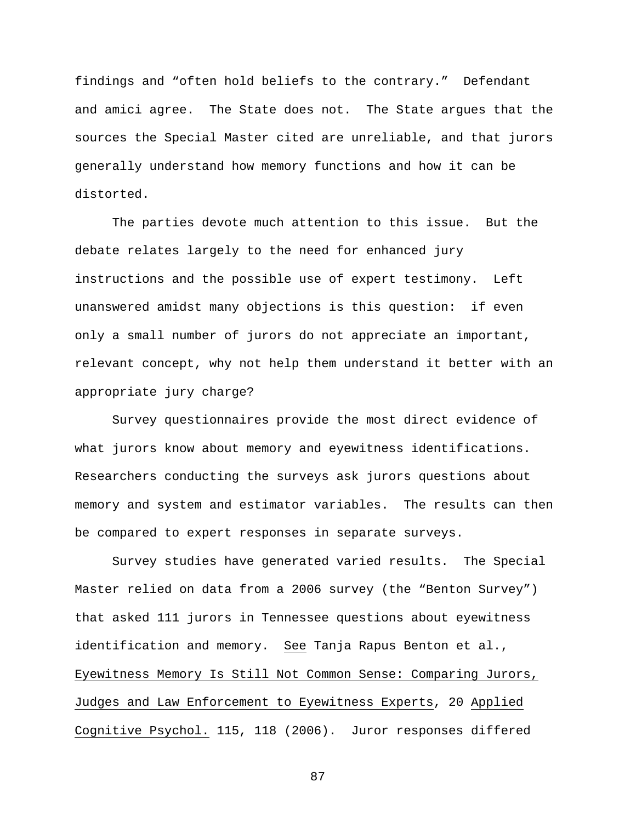findings and "often hold beliefs to the contrary." Defendant and amici agree. The State does not. The State argues that the sources the Special Master cited are unreliable, and that jurors generally understand how memory functions and how it can be distorted.

 The parties devote much attention to this issue. But the debate relates largely to the need for enhanced jury instructions and the possible use of expert testimony. Left unanswered amidst many objections is this question: if even only a small number of jurors do not appreciate an important, relevant concept, why not help them understand it better with an appropriate jury charge?

 Survey questionnaires provide the most direct evidence of what jurors know about memory and eyewitness identifications. Researchers conducting the surveys ask jurors questions about memory and system and estimator variables. The results can then be compared to expert responses in separate surveys.

 Survey studies have generated varied results. The Special Master relied on data from a 2006 survey (the "Benton Survey") that asked 111 jurors in Tennessee questions about eyewitness identification and memory. See Tanja Rapus Benton et al., Eyewitness Memory Is Still Not Common Sense: Comparing Jurors, Judges and Law Enforcement to Eyewitness Experts, 20 Applied Cognitive Psychol. 115, 118 (2006). Juror responses differed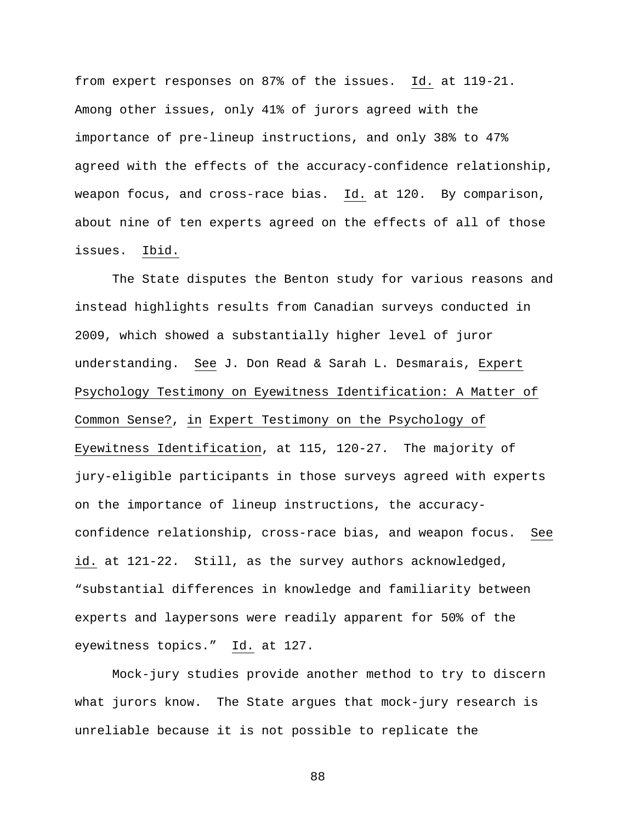from expert responses on 87% of the issues. Id. at 119-21. Among other issues, only 41% of jurors agreed with the importance of pre-lineup instructions, and only 38% to 47% agreed with the effects of the accuracy-confidence relationship, weapon focus, and cross-race bias. Id. at 120. By comparison, about nine of ten experts agreed on the effects of all of those issues. Ibid.

The State disputes the Benton study for various reasons and instead highlights results from Canadian surveys conducted in 2009, which showed a substantially higher level of juror understanding. See J. Don Read & Sarah L. Desmarais, Expert Psychology Testimony on Eyewitness Identification: A Matter of Common Sense?, in Expert Testimony on the Psychology of Eyewitness Identification, at 115, 120-27. The majority of jury-eligible participants in those surveys agreed with experts on the importance of lineup instructions, the accuracyconfidence relationship, cross-race bias, and weapon focus. See id. at 121-22. Still, as the survey authors acknowledged, "substantial differences in knowledge and familiarity between experts and laypersons were readily apparent for 50% of the eyewitness topics." Id. at 127.

 Mock-jury studies provide another method to try to discern what jurors know. The State argues that mock-jury research is unreliable because it is not possible to replicate the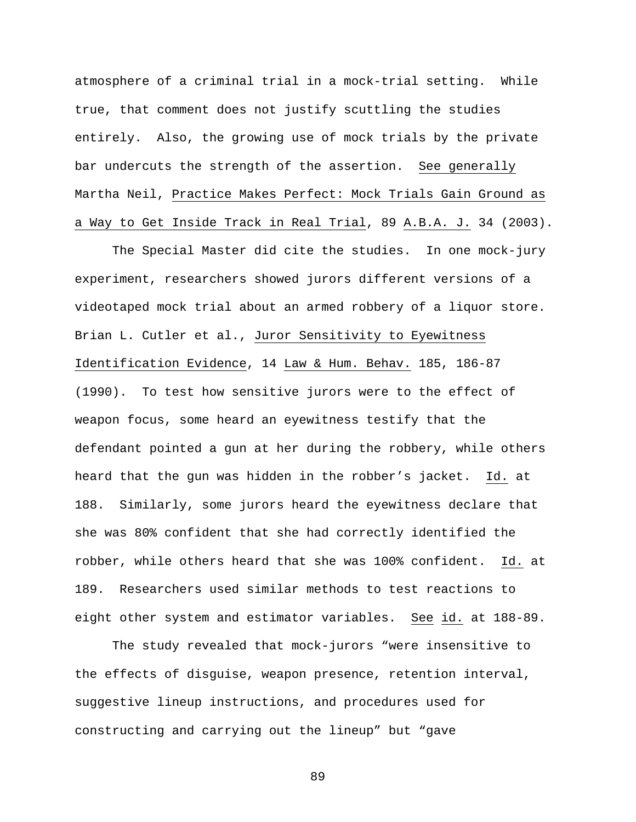atmosphere of a criminal trial in a mock-trial setting. While true, that comment does not justify scuttling the studies entirely. Also, the growing use of mock trials by the private bar undercuts the strength of the assertion. See generally Martha Neil, Practice Makes Perfect: Mock Trials Gain Ground as a Way to Get Inside Track in Real Trial, 89 A.B.A. J. 34 (2003).

The Special Master did cite the studies. In one mock-jury experiment, researchers showed jurors different versions of a videotaped mock trial about an armed robbery of a liquor store. Brian L. Cutler et al., Juror Sensitivity to Eyewitness Identification Evidence, 14 Law & Hum. Behav. 185, 186-87 (1990). To test how sensitive jurors were to the effect of weapon focus, some heard an eyewitness testify that the defendant pointed a gun at her during the robbery, while others heard that the gun was hidden in the robber's jacket. Id. at 188. Similarly, some jurors heard the eyewitness declare that she was 80% confident that she had correctly identified the robber, while others heard that she was 100% confident. Id. at 189. Researchers used similar methods to test reactions to eight other system and estimator variables. See id. at 188-89.

 The study revealed that mock-jurors "were insensitive to the effects of disguise, weapon presence, retention interval, suggestive lineup instructions, and procedures used for constructing and carrying out the lineup" but "gave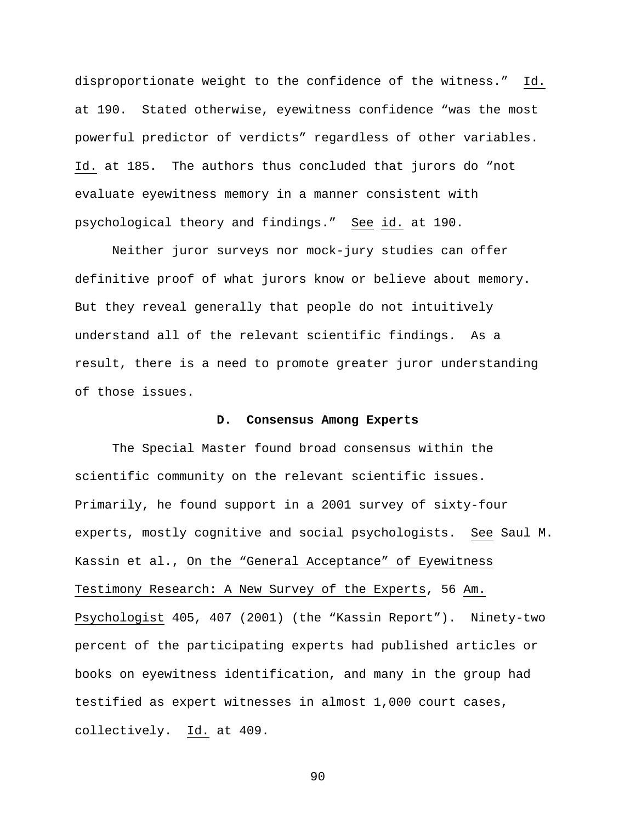disproportionate weight to the confidence of the witness." Id. at 190. Stated otherwise, eyewitness confidence "was the most powerful predictor of verdicts" regardless of other variables. Id. at 185. The authors thus concluded that jurors do "not evaluate eyewitness memory in a manner consistent with psychological theory and findings." See id. at 190.

Neither juror surveys nor mock-jury studies can offer definitive proof of what jurors know or believe about memory. But they reveal generally that people do not intuitively understand all of the relevant scientific findings. As a result, there is a need to promote greater juror understanding of those issues.

#### **D. Consensus Among Experts**

The Special Master found broad consensus within the scientific community on the relevant scientific issues. Primarily, he found support in a 2001 survey of sixty-four experts, mostly cognitive and social psychologists. See Saul M. Kassin et al., On the "General Acceptance" of Eyewitness Testimony Research: A New Survey of the Experts, 56 Am. Psychologist 405, 407 (2001) (the "Kassin Report"). Ninety-two percent of the participating experts had published articles or books on eyewitness identification, and many in the group had testified as expert witnesses in almost 1,000 court cases, collectively. Id. at 409.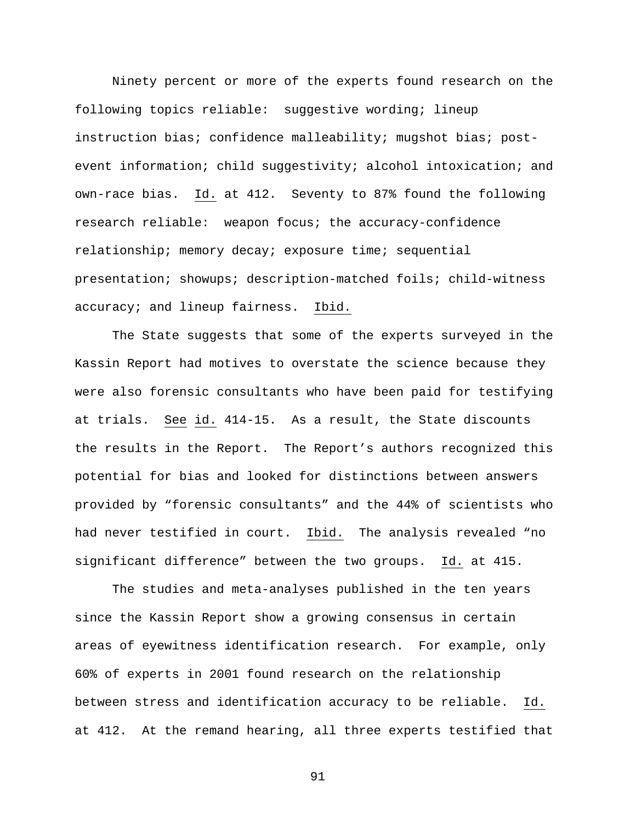Ninety percent or more of the experts found research on the following topics reliable: suggestive wording; lineup instruction bias; confidence malleability; mugshot bias; postevent information; child suggestivity; alcohol intoxication; and own-race bias. Id. at 412. Seventy to 87% found the following research reliable: weapon focus; the accuracy-confidence relationship; memory decay; exposure time; sequential presentation; showups; description-matched foils; child-witness accuracy; and lineup fairness. Ibid.

The State suggests that some of the experts surveyed in the Kassin Report had motives to overstate the science because they were also forensic consultants who have been paid for testifying at trials. See id. 414-15. As a result, the State discounts the results in the Report. The Report's authors recognized this potential for bias and looked for distinctions between answers provided by "forensic consultants" and the 44% of scientists who had never testified in court. Ibid. The analysis revealed "no significant difference" between the two groups. Id. at 415.

The studies and meta-analyses published in the ten years since the Kassin Report show a growing consensus in certain areas of eyewitness identification research. For example, only 60% of experts in 2001 found research on the relationship between stress and identification accuracy to be reliable. Id. at 412. At the remand hearing, all three experts testified that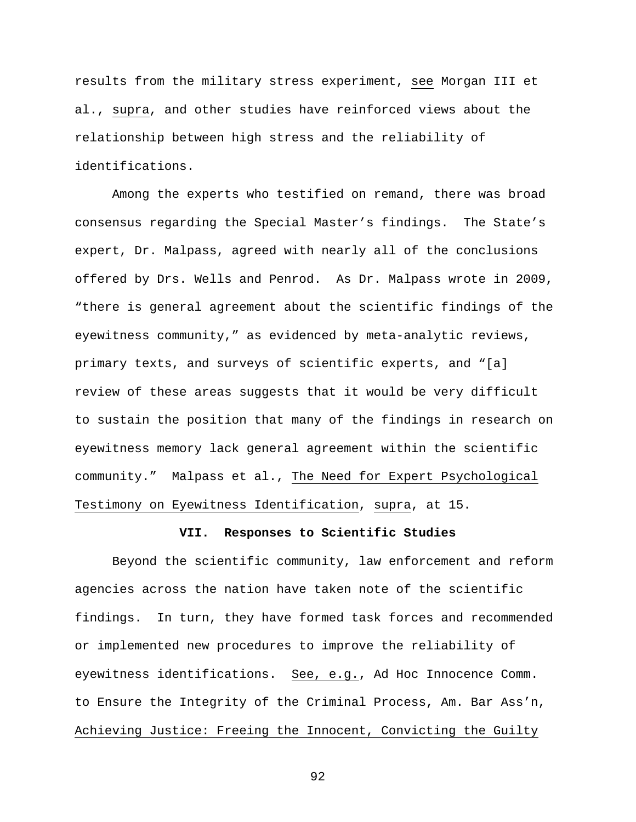results from the military stress experiment, see Morgan III et al., supra, and other studies have reinforced views about the relationship between high stress and the reliability of identifications.

 Among the experts who testified on remand, there was broad consensus regarding the Special Master's findings. The State's expert, Dr. Malpass, agreed with nearly all of the conclusions offered by Drs. Wells and Penrod. As Dr. Malpass wrote in 2009, "there is general agreement about the scientific findings of the eyewitness community," as evidenced by meta-analytic reviews, primary texts, and surveys of scientific experts, and "[a] review of these areas suggests that it would be very difficult to sustain the position that many of the findings in research on eyewitness memory lack general agreement within the scientific community." Malpass et al., The Need for Expert Psychological Testimony on Eyewitness Identification, supra, at 15.

## **VII. Responses to Scientific Studies**

 Beyond the scientific community, law enforcement and reform agencies across the nation have taken note of the scientific findings. In turn, they have formed task forces and recommended or implemented new procedures to improve the reliability of eyewitness identifications. See, e.g., Ad Hoc Innocence Comm. to Ensure the Integrity of the Criminal Process, Am. Bar Ass'n, Achieving Justice: Freeing the Innocent, Convicting the Guilty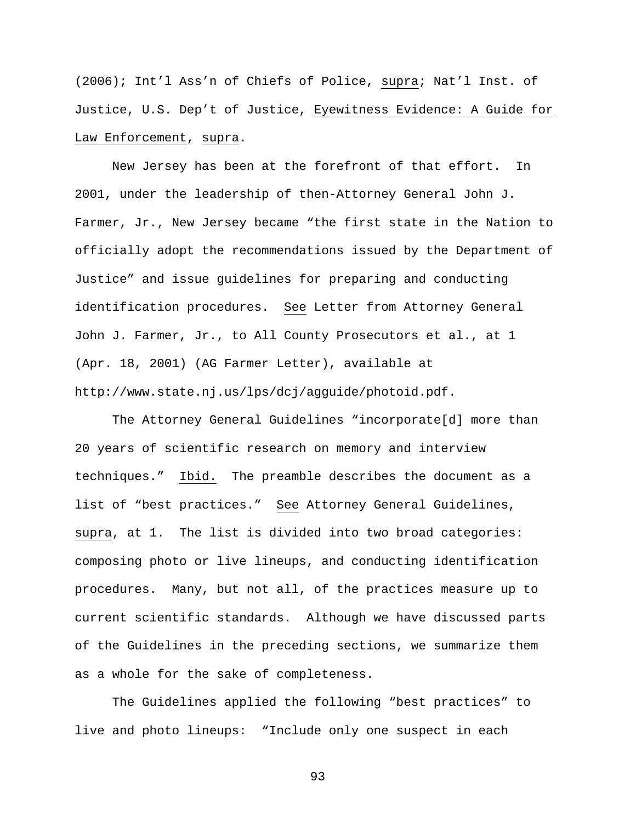(2006); Int'l Ass'n of Chiefs of Police, supra; Nat'l Inst. of Justice, U.S. Dep't of Justice, Eyewitness Evidence: A Guide for Law Enforcement, supra.

 New Jersey has been at the forefront of that effort. In 2001, under the leadership of then-Attorney General John J. Farmer, Jr., New Jersey became "the first state in the Nation to officially adopt the recommendations issued by the Department of Justice" and issue guidelines for preparing and conducting identification procedures. See Letter from Attorney General John J. Farmer, Jr., to All County Prosecutors et al., at 1 (Apr. 18, 2001) (AG Farmer Letter), available at http://www.state.nj.us/lps/dcj/agguide/photoid.pdf.

 The Attorney General Guidelines "incorporate[d] more than 20 years of scientific research on memory and interview techniques." Ibid. The preamble describes the document as a list of "best practices." See Attorney General Guidelines, supra, at 1. The list is divided into two broad categories: composing photo or live lineups, and conducting identification procedures. Many, but not all, of the practices measure up to current scientific standards. Although we have discussed parts of the Guidelines in the preceding sections, we summarize them as a whole for the sake of completeness.

 The Guidelines applied the following "best practices" to live and photo lineups: "Include only one suspect in each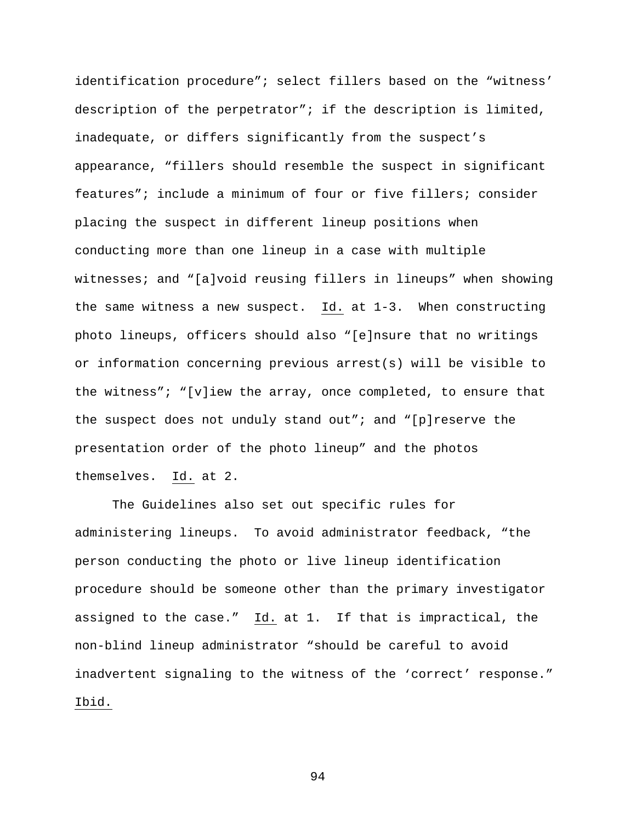identification procedure"; select fillers based on the "witness' description of the perpetrator"; if the description is limited, inadequate, or differs significantly from the suspect's appearance, "fillers should resemble the suspect in significant features"; include a minimum of four or five fillers; consider placing the suspect in different lineup positions when conducting more than one lineup in a case with multiple witnesses; and "[a]void reusing fillers in lineups" when showing the same witness a new suspect. Id. at 1-3. When constructing photo lineups, officers should also "[e]nsure that no writings or information concerning previous arrest(s) will be visible to the witness"; "[v]iew the array, once completed, to ensure that the suspect does not unduly stand out"; and "[p]reserve the presentation order of the photo lineup" and the photos themselves. Id. at 2.

 The Guidelines also set out specific rules for administering lineups. To avoid administrator feedback, "the person conducting the photo or live lineup identification procedure should be someone other than the primary investigator assigned to the case." Id. at 1. If that is impractical, the non-blind lineup administrator "should be careful to avoid inadvertent signaling to the witness of the 'correct' response." Ibid.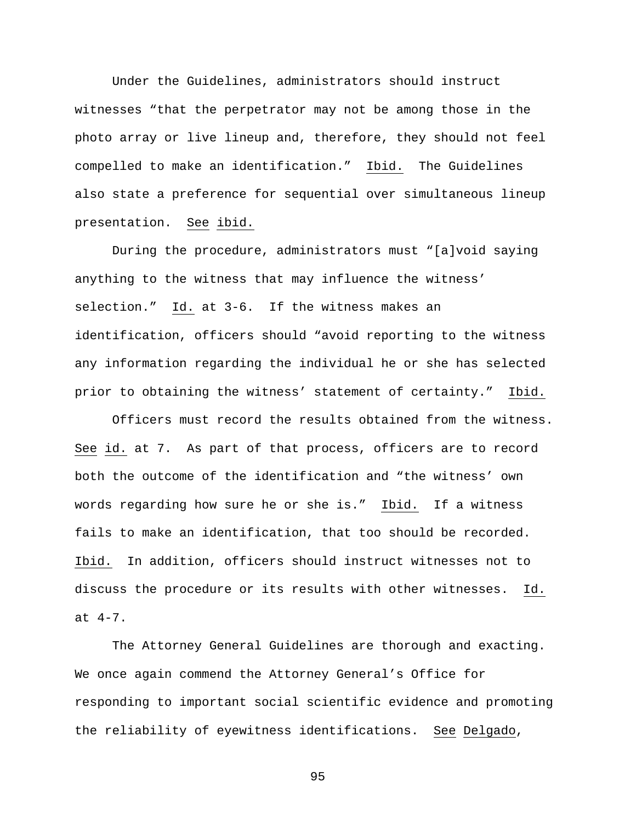Under the Guidelines, administrators should instruct witnesses "that the perpetrator may not be among those in the photo array or live lineup and, therefore, they should not feel compelled to make an identification." Ibid. The Guidelines also state a preference for sequential over simultaneous lineup presentation. See ibid.

 During the procedure, administrators must "[a]void saying anything to the witness that may influence the witness' selection." Id. at 3-6. If the witness makes an identification, officers should "avoid reporting to the witness any information regarding the individual he or she has selected prior to obtaining the witness' statement of certainty." Ibid.

 Officers must record the results obtained from the witness. See id. at 7. As part of that process, officers are to record both the outcome of the identification and "the witness' own words regarding how sure he or she is." Ibid. If a witness fails to make an identification, that too should be recorded. Ibid. In addition, officers should instruct witnesses not to discuss the procedure or its results with other witnesses. Id. at 4-7.

 The Attorney General Guidelines are thorough and exacting. We once again commend the Attorney General's Office for responding to important social scientific evidence and promoting the reliability of eyewitness identifications. See Delgado,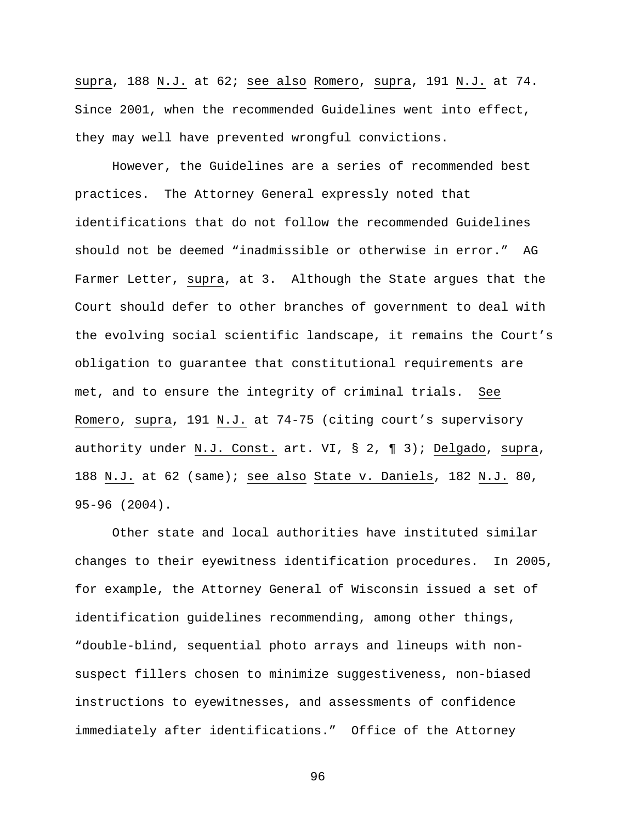supra, 188 N.J. at 62; see also Romero, supra, 191 N.J. at 74. Since 2001, when the recommended Guidelines went into effect, they may well have prevented wrongful convictions.

 However, the Guidelines are a series of recommended best practices. The Attorney General expressly noted that identifications that do not follow the recommended Guidelines should not be deemed "inadmissible or otherwise in error." AG Farmer Letter, supra, at 3. Although the State argues that the Court should defer to other branches of government to deal with the evolving social scientific landscape, it remains the Court's obligation to guarantee that constitutional requirements are met, and to ensure the integrity of criminal trials. See Romero, supra, 191 N.J. at 74-75 (citing court's supervisory authority under N.J. Const. art. VI, § 2, ¶ 3); Delgado, supra, 188 N.J. at 62 (same); see also State v. Daniels, 182 N.J. 80, 95-96 (2004).

 Other state and local authorities have instituted similar changes to their eyewitness identification procedures. In 2005, for example, the Attorney General of Wisconsin issued a set of identification guidelines recommending, among other things, "double-blind, sequential photo arrays and lineups with nonsuspect fillers chosen to minimize suggestiveness, non-biased instructions to eyewitnesses, and assessments of confidence immediately after identifications." Office of the Attorney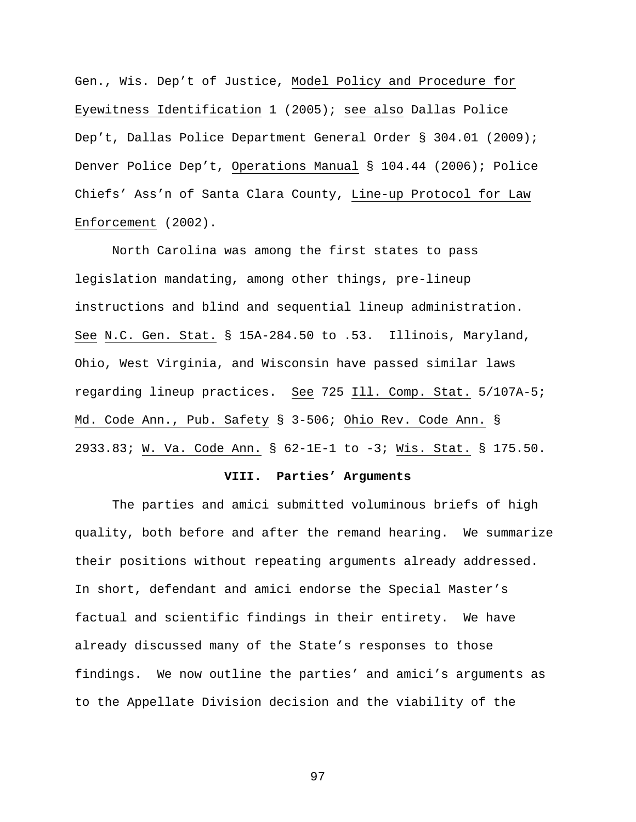Gen., Wis. Dep't of Justice, Model Policy and Procedure for Eyewitness Identification 1 (2005); see also Dallas Police Dep't, Dallas Police Department General Order § 304.01 (2009); Denver Police Dep't, Operations Manual § 104.44 (2006); Police Chiefs' Ass'n of Santa Clara County, Line-up Protocol for Law Enforcement (2002).

 North Carolina was among the first states to pass legislation mandating, among other things, pre-lineup instructions and blind and sequential lineup administration. See N.C. Gen. Stat. § 15A-284.50 to .53. Illinois, Maryland, Ohio, West Virginia, and Wisconsin have passed similar laws regarding lineup practices. See 725 Ill. Comp. Stat. 5/107A-5; Md. Code Ann., Pub. Safety § 3-506; Ohio Rev. Code Ann. § 2933.83; W. Va. Code Ann. § 62-1E-1 to -3; Wis. Stat. § 175.50.

#### **VIII. Parties' Arguments**

The parties and amici submitted voluminous briefs of high quality, both before and after the remand hearing. We summarize their positions without repeating arguments already addressed. In short, defendant and amici endorse the Special Master's factual and scientific findings in their entirety. We have already discussed many of the State's responses to those findings. We now outline the parties' and amici's arguments as to the Appellate Division decision and the viability of the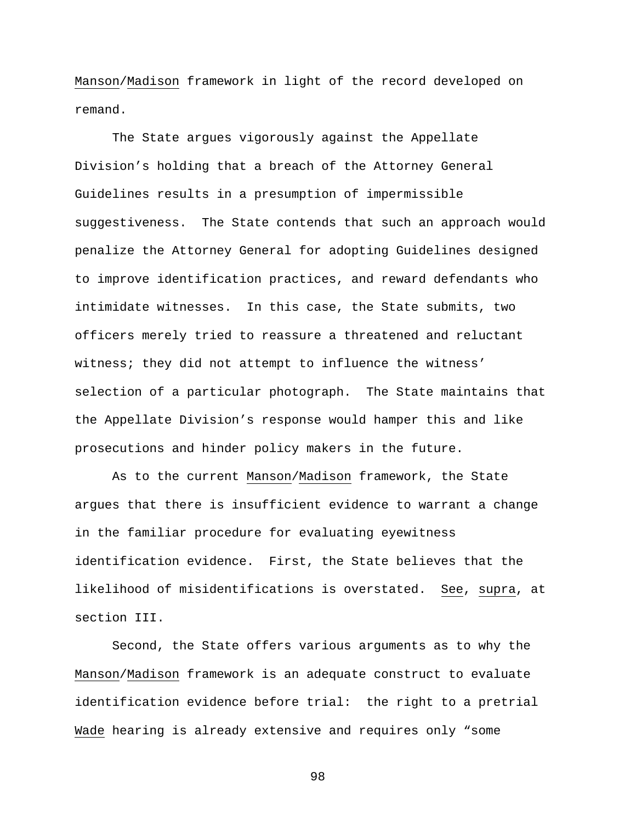Manson/Madison framework in light of the record developed on remand.

The State argues vigorously against the Appellate Division's holding that a breach of the Attorney General Guidelines results in a presumption of impermissible suggestiveness. The State contends that such an approach would penalize the Attorney General for adopting Guidelines designed to improve identification practices, and reward defendants who intimidate witnesses. In this case, the State submits, two officers merely tried to reassure a threatened and reluctant witness; they did not attempt to influence the witness' selection of a particular photograph. The State maintains that the Appellate Division's response would hamper this and like prosecutions and hinder policy makers in the future.

As to the current Manson/Madison framework, the State argues that there is insufficient evidence to warrant a change in the familiar procedure for evaluating eyewitness identification evidence. First, the State believes that the likelihood of misidentifications is overstated. See, supra, at section III.

 Second, the State offers various arguments as to why the Manson/Madison framework is an adequate construct to evaluate identification evidence before trial: the right to a pretrial Wade hearing is already extensive and requires only "some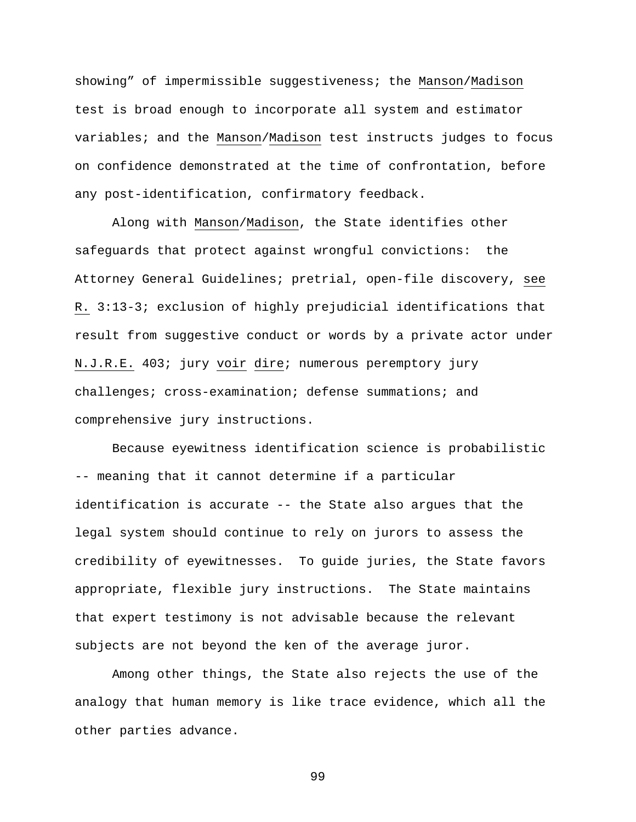showing" of impermissible suggestiveness; the Manson/Madison test is broad enough to incorporate all system and estimator variables; and the Manson/Madison test instructs judges to focus on confidence demonstrated at the time of confrontation, before any post-identification, confirmatory feedback.

 Along with Manson/Madison, the State identifies other safeguards that protect against wrongful convictions: the Attorney General Guidelines; pretrial, open-file discovery, see R. 3:13-3; exclusion of highly prejudicial identifications that result from suggestive conduct or words by a private actor under N.J.R.E. 403; jury voir dire; numerous peremptory jury challenges; cross-examination; defense summations; and comprehensive jury instructions.

 Because eyewitness identification science is probabilistic -- meaning that it cannot determine if a particular identification is accurate -- the State also argues that the legal system should continue to rely on jurors to assess the credibility of eyewitnesses. To guide juries, the State favors appropriate, flexible jury instructions. The State maintains that expert testimony is not advisable because the relevant subjects are not beyond the ken of the average juror.

 Among other things, the State also rejects the use of the analogy that human memory is like trace evidence, which all the other parties advance.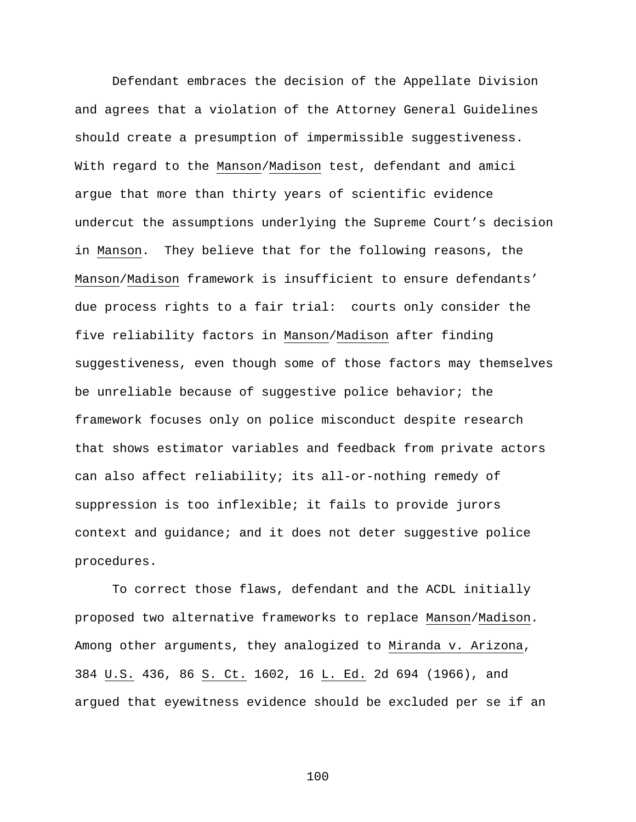Defendant embraces the decision of the Appellate Division and agrees that a violation of the Attorney General Guidelines should create a presumption of impermissible suggestiveness. With regard to the Manson/Madison test, defendant and amici argue that more than thirty years of scientific evidence undercut the assumptions underlying the Supreme Court's decision in Manson. They believe that for the following reasons, the Manson/Madison framework is insufficient to ensure defendants' due process rights to a fair trial: courts only consider the five reliability factors in Manson/Madison after finding suggestiveness, even though some of those factors may themselves be unreliable because of suggestive police behavior; the framework focuses only on police misconduct despite research that shows estimator variables and feedback from private actors can also affect reliability; its all-or-nothing remedy of suppression is too inflexible; it fails to provide jurors context and guidance; and it does not deter suggestive police procedures.

 To correct those flaws, defendant and the ACDL initially proposed two alternative frameworks to replace Manson/Madison. Among other arguments, they analogized to Miranda v. Arizona, 384 U.S. 436, 86 S. Ct. 1602, 16 L. Ed. 2d 694 (1966), and argued that eyewitness evidence should be excluded per se if an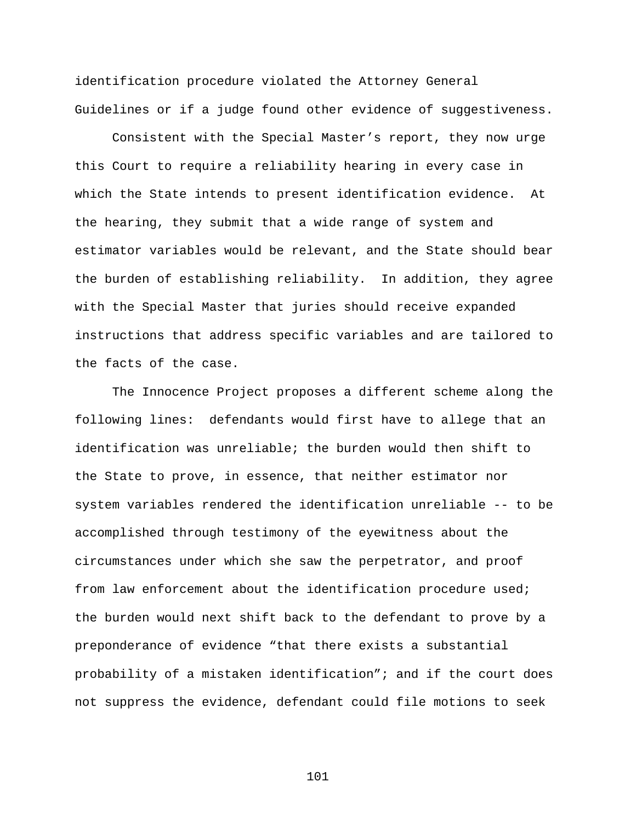identification procedure violated the Attorney General Guidelines or if a judge found other evidence of suggestiveness.

 Consistent with the Special Master's report, they now urge this Court to require a reliability hearing in every case in which the State intends to present identification evidence. At the hearing, they submit that a wide range of system and estimator variables would be relevant, and the State should bear the burden of establishing reliability. In addition, they agree with the Special Master that juries should receive expanded instructions that address specific variables and are tailored to the facts of the case.

 The Innocence Project proposes a different scheme along the following lines: defendants would first have to allege that an identification was unreliable; the burden would then shift to the State to prove, in essence, that neither estimator nor system variables rendered the identification unreliable -- to be accomplished through testimony of the eyewitness about the circumstances under which she saw the perpetrator, and proof from law enforcement about the identification procedure used; the burden would next shift back to the defendant to prove by a preponderance of evidence "that there exists a substantial probability of a mistaken identification"; and if the court does not suppress the evidence, defendant could file motions to seek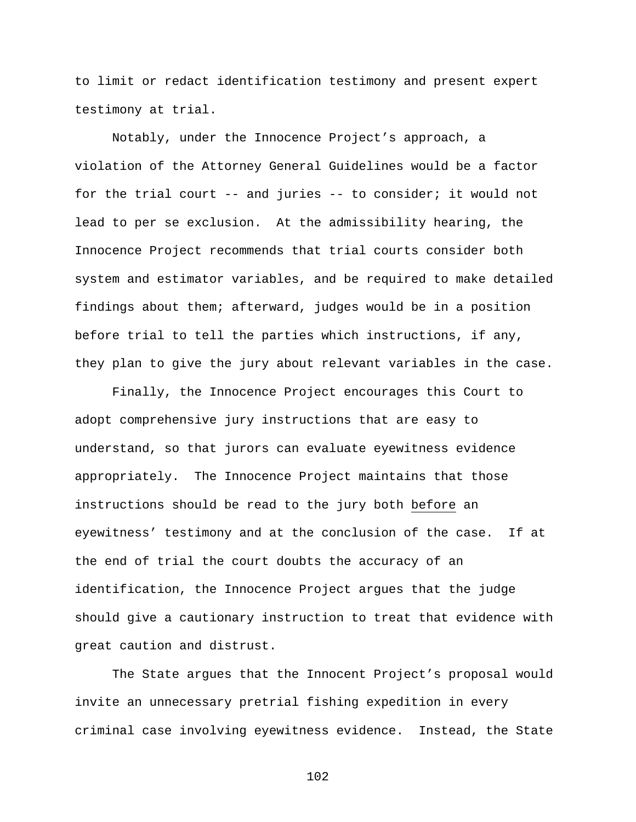to limit or redact identification testimony and present expert testimony at trial.

 Notably, under the Innocence Project's approach, a violation of the Attorney General Guidelines would be a factor for the trial court -- and juries -- to consider; it would not lead to per se exclusion. At the admissibility hearing, the Innocence Project recommends that trial courts consider both system and estimator variables, and be required to make detailed findings about them; afterward, judges would be in a position before trial to tell the parties which instructions, if any, they plan to give the jury about relevant variables in the case.

 Finally, the Innocence Project encourages this Court to adopt comprehensive jury instructions that are easy to understand, so that jurors can evaluate eyewitness evidence appropriately. The Innocence Project maintains that those instructions should be read to the jury both before an eyewitness' testimony and at the conclusion of the case. If at the end of trial the court doubts the accuracy of an identification, the Innocence Project argues that the judge should give a cautionary instruction to treat that evidence with great caution and distrust.

The State argues that the Innocent Project's proposal would invite an unnecessary pretrial fishing expedition in every criminal case involving eyewitness evidence. Instead, the State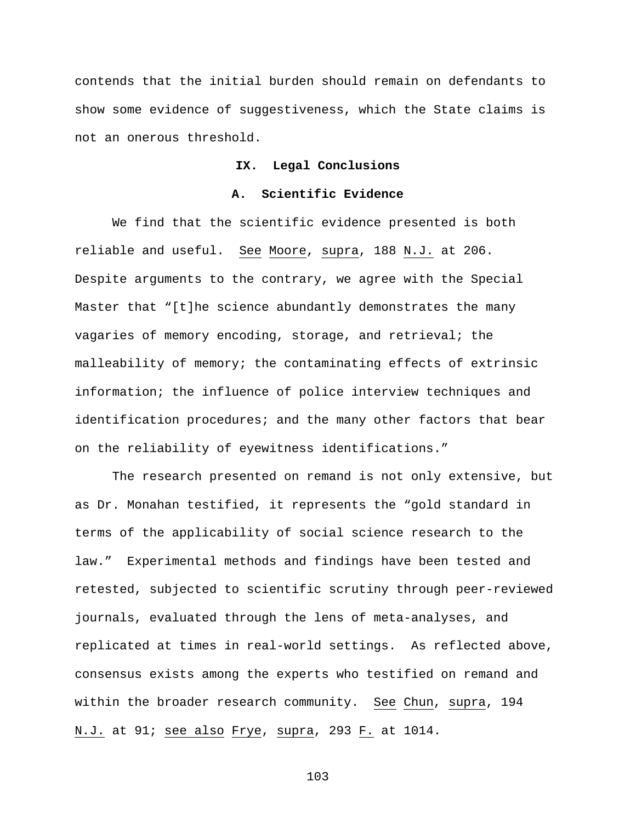contends that the initial burden should remain on defendants to show some evidence of suggestiveness, which the State claims is not an onerous threshold.

# **IX. Legal Conclusions**

# **A. Scientific Evidence**

 We find that the scientific evidence presented is both reliable and useful. See Moore, supra, 188 N.J. at 206. Despite arguments to the contrary, we agree with the Special Master that "[t]he science abundantly demonstrates the many vagaries of memory encoding, storage, and retrieval; the malleability of memory; the contaminating effects of extrinsic information; the influence of police interview techniques and identification procedures; and the many other factors that bear on the reliability of eyewitness identifications."

 The research presented on remand is not only extensive, but as Dr. Monahan testified, it represents the "gold standard in terms of the applicability of social science research to the law." Experimental methods and findings have been tested and retested, subjected to scientific scrutiny through peer-reviewed journals, evaluated through the lens of meta-analyses, and replicated at times in real-world settings. As reflected above, consensus exists among the experts who testified on remand and within the broader research community. See Chun, supra, 194 N.J. at 91; see also Frye, supra, 293 F. at 1014.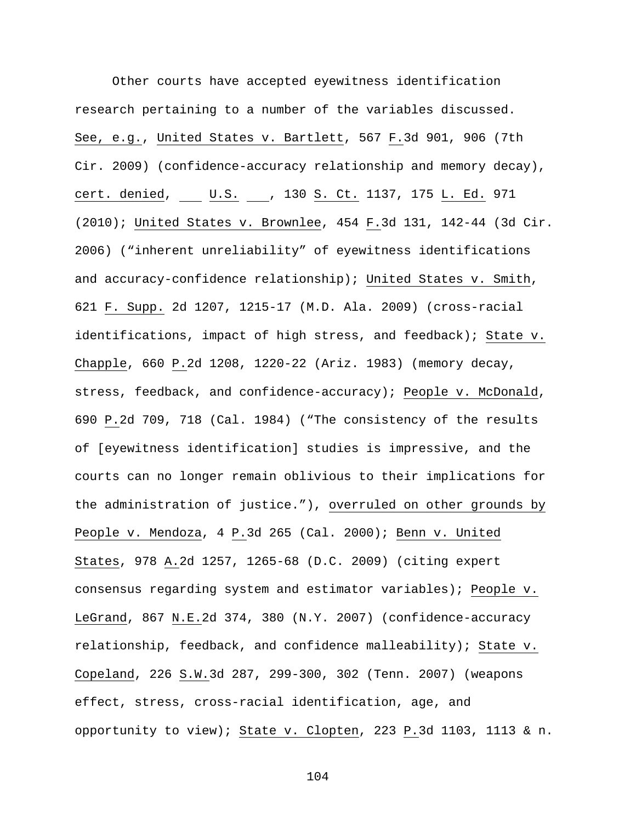Other courts have accepted eyewitness identification research pertaining to a number of the variables discussed. See, e.g., United States v. Bartlett, 567 F.3d 901, 906 (7th Cir. 2009) (confidence-accuracy relationship and memory decay), cert. denied, U.S. , 130 S. Ct. 1137, 175 L. Ed. 971 (2010); United States v. Brownlee, 454 F.3d 131, 142-44 (3d Cir. 2006) ("inherent unreliability" of eyewitness identifications and accuracy-confidence relationship); United States v. Smith, 621 F. Supp. 2d 1207, 1215-17 (M.D. Ala. 2009) (cross-racial identifications, impact of high stress, and feedback); State v. Chapple, 660 P.2d 1208, 1220-22 (Ariz. 1983) (memory decay, stress, feedback, and confidence-accuracy); People v. McDonald, 690 P.2d 709, 718 (Cal. 1984) ("The consistency of the results of [eyewitness identification] studies is impressive, and the courts can no longer remain oblivious to their implications for the administration of justice."), overruled on other grounds by People v. Mendoza, 4 P.3d 265 (Cal. 2000); Benn v. United States, 978 A.2d 1257, 1265-68 (D.C. 2009) (citing expert consensus regarding system and estimator variables); People v. LeGrand, 867 N.E.2d 374, 380 (N.Y. 2007) (confidence-accuracy relationship, feedback, and confidence malleability); State v. Copeland, 226 S.W.3d 287, 299-300, 302 (Tenn. 2007) (weapons effect, stress, cross-racial identification, age, and opportunity to view); State v. Clopten, 223 P.3d 1103, 1113 & n.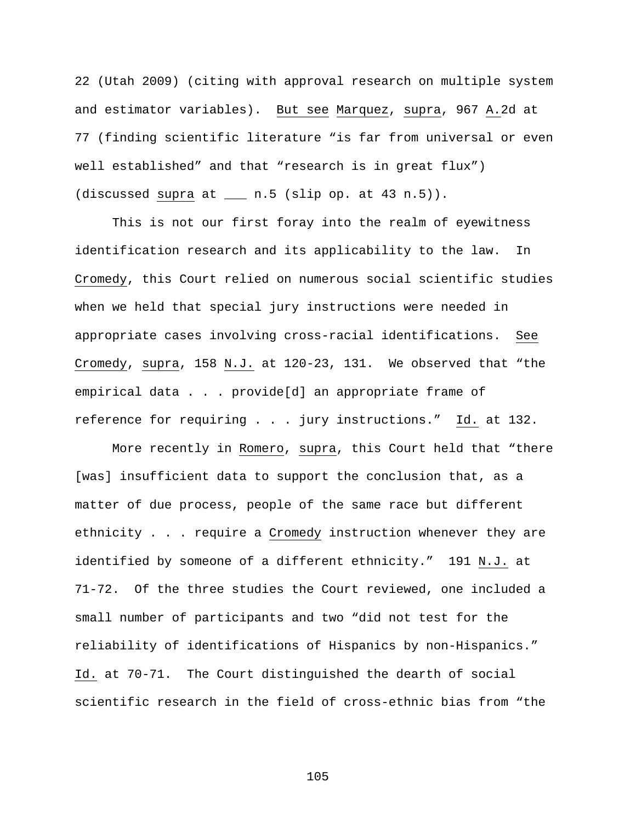22 (Utah 2009) (citing with approval research on multiple system and estimator variables). But see Marquez, supra, 967 A.2d at 77 (finding scientific literature "is far from universal or even well established" and that "research is in great flux") (discussed supra at \_\_\_ n.5 (slip op. at 43 n.5)).

 This is not our first foray into the realm of eyewitness identification research and its applicability to the law. In Cromedy, this Court relied on numerous social scientific studies when we held that special jury instructions were needed in appropriate cases involving cross-racial identifications. See Cromedy, supra, 158 N.J. at 120-23, 131. We observed that "the empirical data . . . provide[d] an appropriate frame of reference for requiring . . . jury instructions." Id. at 132.

 More recently in Romero, supra, this Court held that "there [was] insufficient data to support the conclusion that, as a matter of due process, people of the same race but different ethnicity . . . require a Cromedy instruction whenever they are identified by someone of a different ethnicity." 191 N.J. at 71-72. Of the three studies the Court reviewed, one included a small number of participants and two "did not test for the reliability of identifications of Hispanics by non-Hispanics." Id. at 70-71. The Court distinguished the dearth of social scientific research in the field of cross-ethnic bias from "the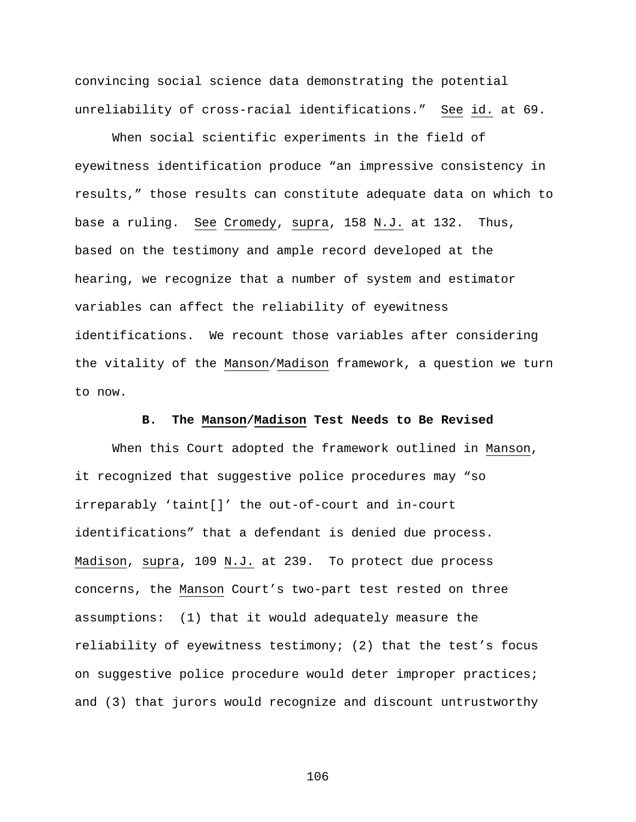convincing social science data demonstrating the potential unreliability of cross-racial identifications." See id. at 69.

 When social scientific experiments in the field of eyewitness identification produce "an impressive consistency in results," those results can constitute adequate data on which to base a ruling. See Cromedy, supra, 158 N.J. at 132. Thus, based on the testimony and ample record developed at the hearing, we recognize that a number of system and estimator variables can affect the reliability of eyewitness identifications. We recount those variables after considering the vitality of the Manson/Madison framework, a question we turn to now.

### **B. The Manson/Madison Test Needs to Be Revised**

 When this Court adopted the framework outlined in Manson, it recognized that suggestive police procedures may "so irreparably 'taint[]' the out-of-court and in-court identifications" that a defendant is denied due process. Madison, supra, 109 N.J. at 239. To protect due process concerns, the Manson Court's two-part test rested on three assumptions: (1) that it would adequately measure the reliability of eyewitness testimony; (2) that the test's focus on suggestive police procedure would deter improper practices; and (3) that jurors would recognize and discount untrustworthy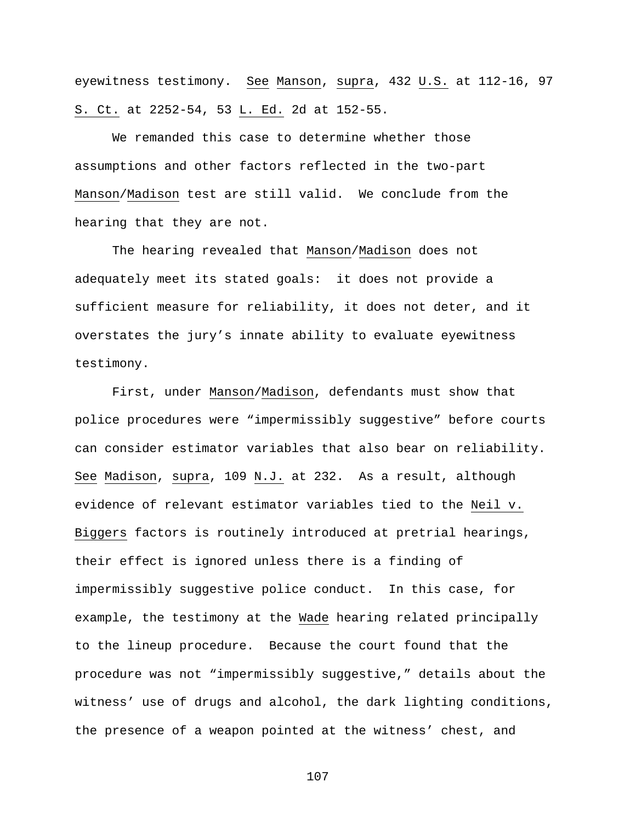eyewitness testimony. See Manson, supra, 432 U.S. at 112-16, 97 S. Ct. at 2252-54, 53 L. Ed. 2d at 152-55.

We remanded this case to determine whether those assumptions and other factors reflected in the two-part Manson/Madison test are still valid. We conclude from the hearing that they are not.

 The hearing revealed that Manson/Madison does not adequately meet its stated goals: it does not provide a sufficient measure for reliability, it does not deter, and it overstates the jury's innate ability to evaluate eyewitness testimony.

 First, under Manson/Madison, defendants must show that police procedures were "impermissibly suggestive" before courts can consider estimator variables that also bear on reliability. See Madison, supra, 109 N.J. at 232. As a result, although evidence of relevant estimator variables tied to the Neil v. Biggers factors is routinely introduced at pretrial hearings, their effect is ignored unless there is a finding of impermissibly suggestive police conduct. In this case, for example, the testimony at the Wade hearing related principally to the lineup procedure. Because the court found that the procedure was not "impermissibly suggestive," details about the witness' use of drugs and alcohol, the dark lighting conditions, the presence of a weapon pointed at the witness' chest, and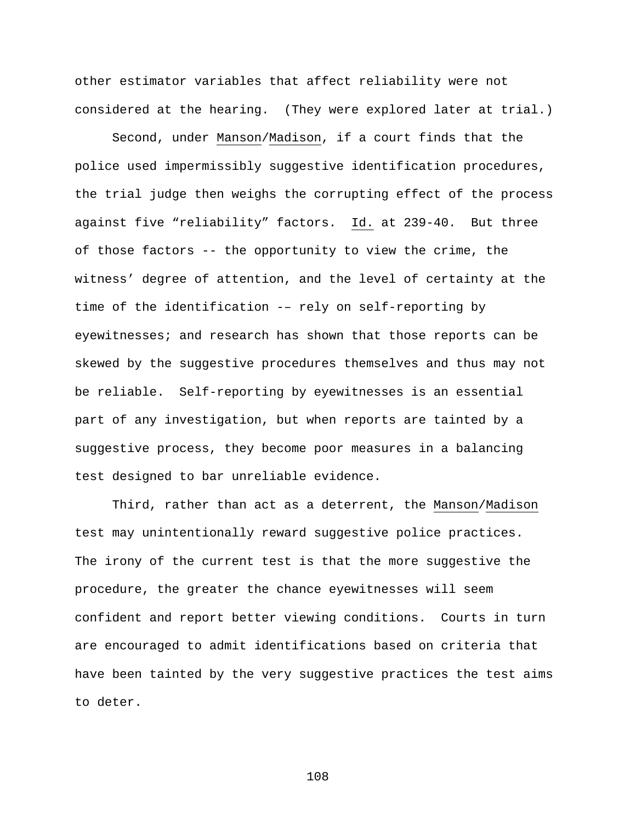other estimator variables that affect reliability were not considered at the hearing. (They were explored later at trial.)

 Second, under Manson/Madison, if a court finds that the police used impermissibly suggestive identification procedures, the trial judge then weighs the corrupting effect of the process against five "reliability" factors. Id. at 239-40. But three of those factors -- the opportunity to view the crime, the witness' degree of attention, and the level of certainty at the time of the identification -– rely on self-reporting by eyewitnesses; and research has shown that those reports can be skewed by the suggestive procedures themselves and thus may not be reliable. Self-reporting by eyewitnesses is an essential part of any investigation, but when reports are tainted by a suggestive process, they become poor measures in a balancing test designed to bar unreliable evidence.

 Third, rather than act as a deterrent, the Manson/Madison test may unintentionally reward suggestive police practices. The irony of the current test is that the more suggestive the procedure, the greater the chance eyewitnesses will seem confident and report better viewing conditions. Courts in turn are encouraged to admit identifications based on criteria that have been tainted by the very suggestive practices the test aims to deter.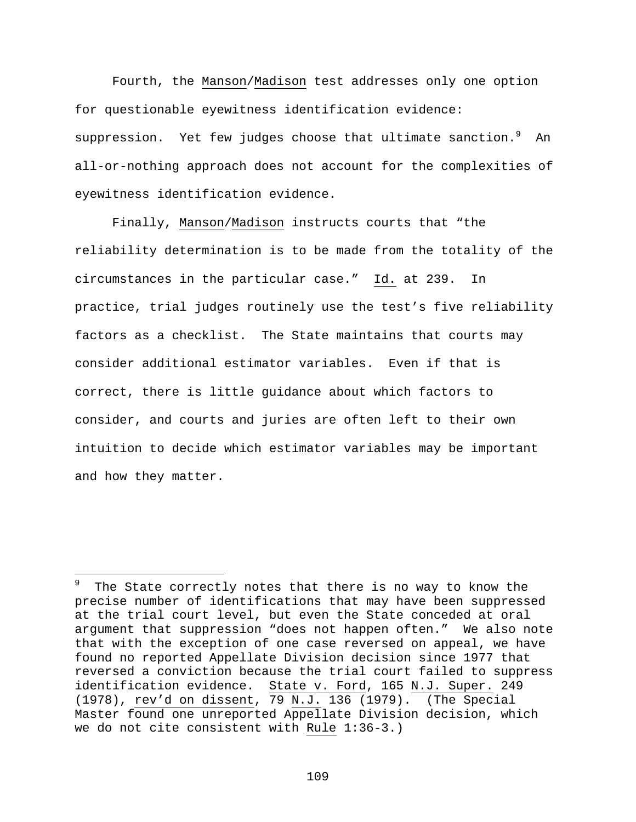Fourth, the Manson/Madison test addresses only one option for questionable eyewitness identification evidence: suppression. Yet few judges choose that ultimate sanction. An all-or-nothing approach does not account for the complexities of eyewitness identification evidence.

 Finally, Manson/Madison instructs courts that "the reliability determination is to be made from the totality of the circumstances in the particular case." Id. at 239. In practice, trial judges routinely use the test's five reliability factors as a checklist. The State maintains that courts may consider additional estimator variables. Even if that is correct, there is little guidance about which factors to consider, and courts and juries are often left to their own intuition to decide which estimator variables may be important and how they matter.

i

<sup>9</sup> The State correctly notes that there is no way to know the precise number of identifications that may have been suppressed at the trial court level, but even the State conceded at oral argument that suppression "does not happen often." We also note that with the exception of one case reversed on appeal, we have found no reported Appellate Division decision since 1977 that reversed a conviction because the trial court failed to suppress identification evidence. State v. Ford, 165 N.J. Super. 249 (1978), rev'd on dissent, 79 N.J. 136 (1979).(The Special Master found one unreported Appellate Division decision, which we do not cite consistent with Rule 1:36-3.)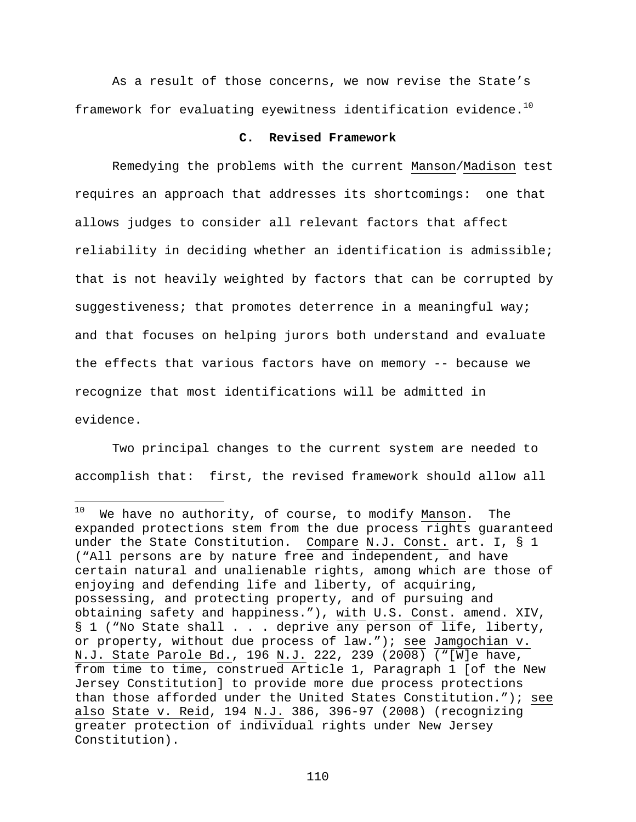As a result of those concerns, we now revise the State's framework for evaluating eyewitness identification evidence.<sup>10</sup>

# **C. Revised Framework**

 Remedying the problems with the current Manson/Madison test requires an approach that addresses its shortcomings: one that allows judges to consider all relevant factors that affect reliability in deciding whether an identification is admissible; that is not heavily weighted by factors that can be corrupted by suggestiveness; that promotes deterrence in a meaningful way; and that focuses on helping jurors both understand and evaluate the effects that various factors have on memory -- because we recognize that most identifications will be admitted in evidence.

 Two principal changes to the current system are needed to accomplish that: first, the revised framework should allow all

 $10$ We have no authority, of course, to modify Manson. The expanded protections stem from the due process rights guaranteed under the State Constitution. Compare N.J. Const. art. I, § 1 ("All persons are by nature free and independent, and have certain natural and unalienable rights, among which are those of enjoying and defending life and liberty, of acquiring, possessing, and protecting property, and of pursuing and obtaining safety and happiness."), with U.S. Const. amend. XIV, § 1 ("No State shall . . . deprive any person of life, liberty, or property, without due process of law."); see Jamgochian v. N.J. State Parole Bd., 196 N.J. 222, 239 (2008) ("[W]e have, from time to time, construed Article 1, Paragraph 1 [of the New Jersey Constitution] to provide more due process protections than those afforded under the United States Constitution."); see also State v. Reid, 194 N.J. 386, 396-97 (2008) (recognizing greater protection of individual rights under New Jersey Constitution).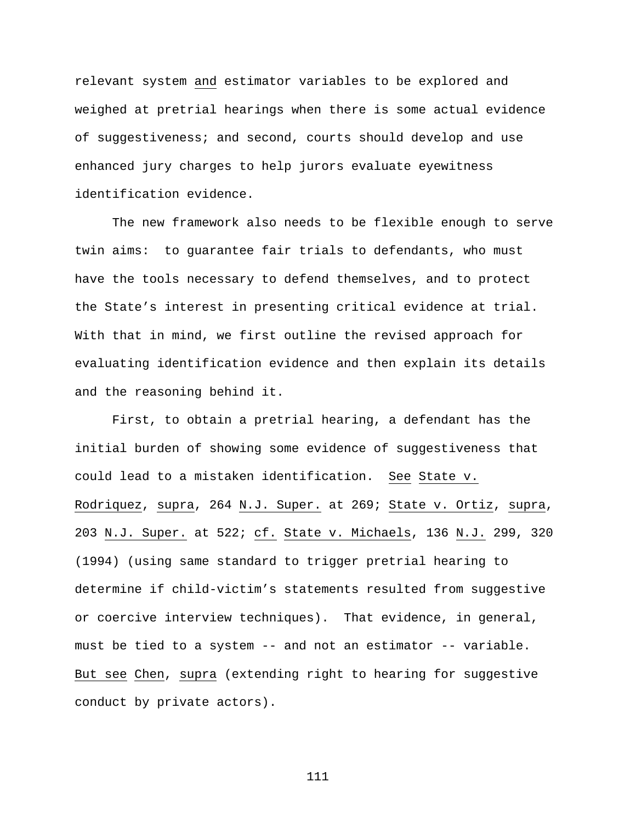relevant system and estimator variables to be explored and weighed at pretrial hearings when there is some actual evidence of suggestiveness; and second, courts should develop and use enhanced jury charges to help jurors evaluate eyewitness identification evidence.

 The new framework also needs to be flexible enough to serve twin aims: to guarantee fair trials to defendants, who must have the tools necessary to defend themselves, and to protect the State's interest in presenting critical evidence at trial. With that in mind, we first outline the revised approach for evaluating identification evidence and then explain its details and the reasoning behind it.

 First, to obtain a pretrial hearing, a defendant has the initial burden of showing some evidence of suggestiveness that could lead to a mistaken identification. See State v. Rodriquez, supra, 264 N.J. Super. at 269; State v. Ortiz, supra, 203 N.J. Super. at 522; cf. State v. Michaels, 136 N.J. 299, 320 (1994) (using same standard to trigger pretrial hearing to determine if child-victim's statements resulted from suggestive or coercive interview techniques). That evidence, in general, must be tied to a system -- and not an estimator -- variable. But see Chen, supra (extending right to hearing for suggestive conduct by private actors).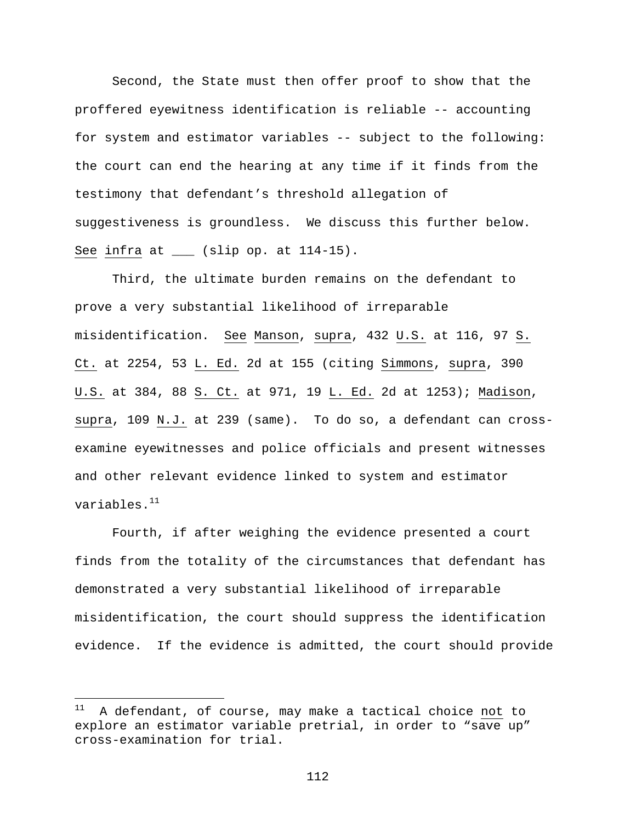Second, the State must then offer proof to show that the proffered eyewitness identification is reliable -- accounting for system and estimator variables -- subject to the following: the court can end the hearing at any time if it finds from the testimony that defendant's threshold allegation of suggestiveness is groundless. We discuss this further below. See infra at \_\_\_ (slip op. at 114-15).

 Third, the ultimate burden remains on the defendant to prove a very substantial likelihood of irreparable misidentification. See Manson, supra, 432 U.S. at 116, 97 S. Ct. at 2254, 53 L. Ed. 2d at 155 (citing Simmons, supra, 390 U.S. at 384, 88 S. Ct. at 971, 19 L. Ed. 2d at 1253); Madison, supra, 109 N.J. at 239 (same). To do so, a defendant can crossexamine eyewitnesses and police officials and present witnesses and other relevant evidence linked to system and estimator variables.11

 Fourth, if after weighing the evidence presented a court finds from the totality of the circumstances that defendant has demonstrated a very substantial likelihood of irreparable misidentification, the court should suppress the identification evidence. If the evidence is admitted, the court should provide

i

 $11$  A defendant, of course, may make a tactical choice not to explore an estimator variable pretrial, in order to "save up" cross-examination for trial.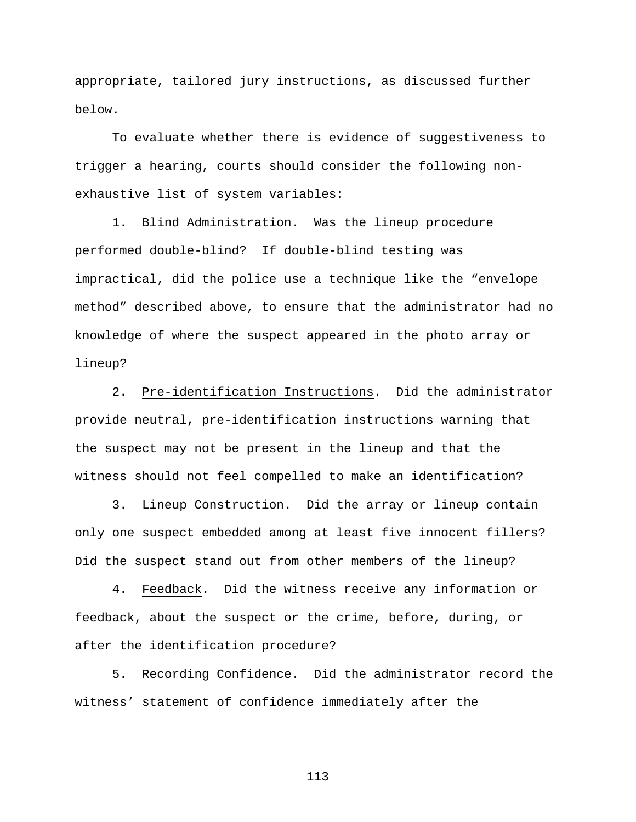appropriate, tailored jury instructions, as discussed further below.

 To evaluate whether there is evidence of suggestiveness to trigger a hearing, courts should consider the following nonexhaustive list of system variables:

 1. Blind Administration. Was the lineup procedure performed double-blind? If double-blind testing was impractical, did the police use a technique like the "envelope method" described above, to ensure that the administrator had no knowledge of where the suspect appeared in the photo array or lineup?

 2. Pre-identification Instructions.Did the administrator provide neutral, pre-identification instructions warning that the suspect may not be present in the lineup and that the witness should not feel compelled to make an identification?

 3. Lineup Construction.Did the array or lineup contain only one suspect embedded among at least five innocent fillers? Did the suspect stand out from other members of the lineup?

 4. Feedback. Did the witness receive any information or feedback, about the suspect or the crime, before, during, or after the identification procedure?

 5. Recording Confidence. Did the administrator record the witness' statement of confidence immediately after the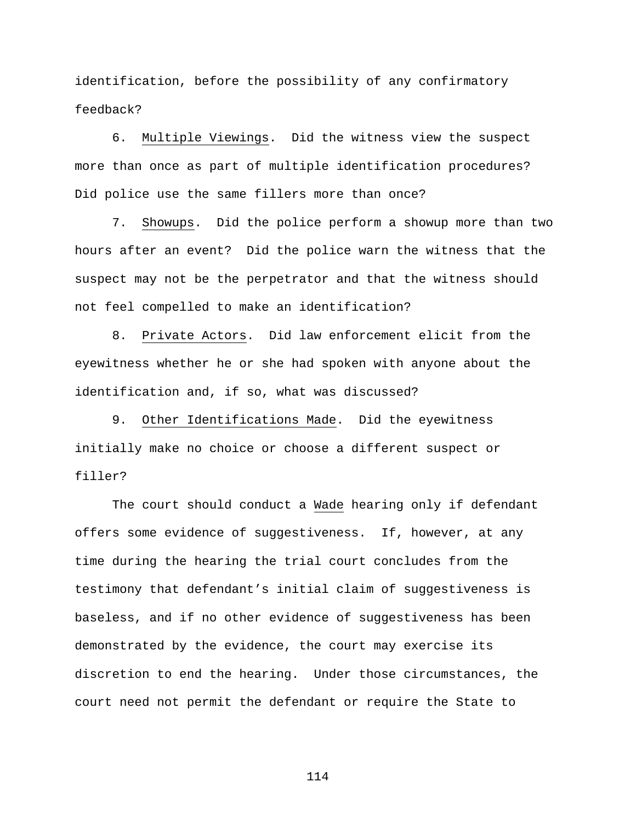identification, before the possibility of any confirmatory feedback?

 6. Multiple Viewings. Did the witness view the suspect more than once as part of multiple identification procedures? Did police use the same fillers more than once?

 7. Showups. Did the police perform a showup more than two hours after an event? Did the police warn the witness that the suspect may not be the perpetrator and that the witness should not feel compelled to make an identification?

 8. Private Actors. Did law enforcement elicit from the eyewitness whether he or she had spoken with anyone about the identification and, if so, what was discussed?

 9. Other Identifications Made. Did the eyewitness initially make no choice or choose a different suspect or filler?

 The court should conduct a Wade hearing only if defendant offers some evidence of suggestiveness. If, however, at any time during the hearing the trial court concludes from the testimony that defendant's initial claim of suggestiveness is baseless, and if no other evidence of suggestiveness has been demonstrated by the evidence, the court may exercise its discretion to end the hearing. Under those circumstances, the court need not permit the defendant or require the State to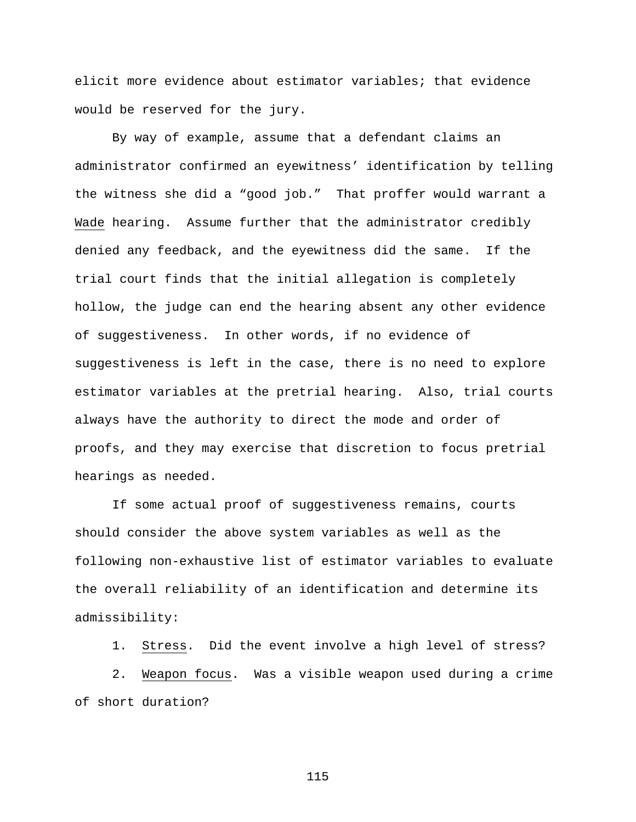elicit more evidence about estimator variables; that evidence would be reserved for the jury.

 By way of example, assume that a defendant claims an administrator confirmed an eyewitness' identification by telling the witness she did a "good job." That proffer would warrant a Wade hearing. Assume further that the administrator credibly denied any feedback, and the eyewitness did the same. If the trial court finds that the initial allegation is completely hollow, the judge can end the hearing absent any other evidence of suggestiveness. In other words, if no evidence of suggestiveness is left in the case, there is no need to explore estimator variables at the pretrial hearing. Also, trial courts always have the authority to direct the mode and order of proofs, and they may exercise that discretion to focus pretrial hearings as needed.

 If some actual proof of suggestiveness remains, courts should consider the above system variables as well as the following non-exhaustive list of estimator variables to evaluate the overall reliability of an identification and determine its admissibility:

1. Stress. Did the event involve a high level of stress?

 2. Weapon focus. Was a visible weapon used during a crime of short duration?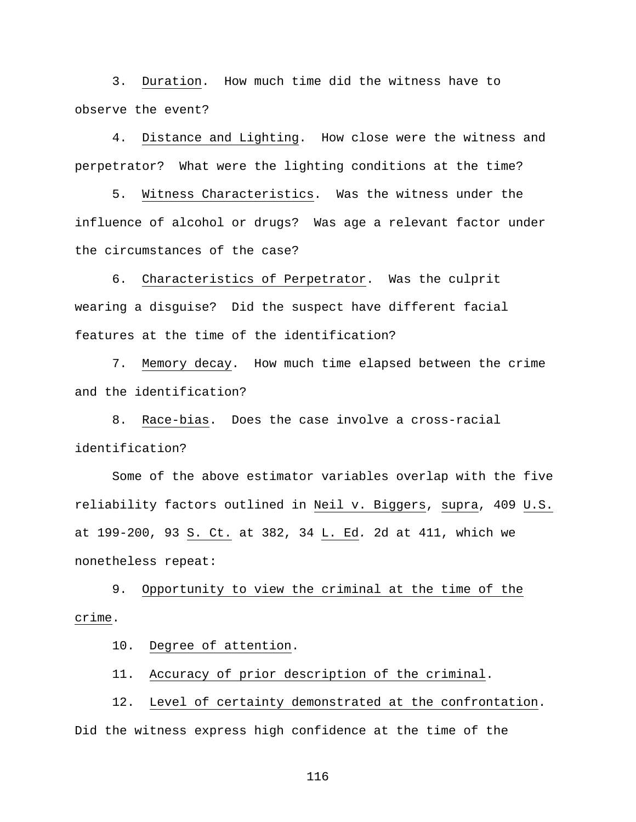3. Duration. How much time did the witness have to observe the event?

 4. Distance and Lighting. How close were the witness and perpetrator? What were the lighting conditions at the time?

 5. Witness Characteristics. Was the witness under the influence of alcohol or drugs? Was age a relevant factor under the circumstances of the case?

 6. Characteristics of Perpetrator. Was the culprit wearing a disguise? Did the suspect have different facial features at the time of the identification?

 7. Memory decay. How much time elapsed between the crime and the identification?

 8. Race-bias. Does the case involve a cross-racial identification?

 Some of the above estimator variables overlap with the five reliability factors outlined in Neil v. Biggers, supra, 409 U.S. at 199-200, 93 S. Ct. at 382, 34 L. Ed*.* 2d at 411, which we nonetheless repeat:

 9. Opportunity to view the criminal at the time of the crime.

10. Degree of attention.

11. Accuracy of prior description of the criminal.

 12. Level of certainty demonstrated at the confrontation. Did the witness express high confidence at the time of the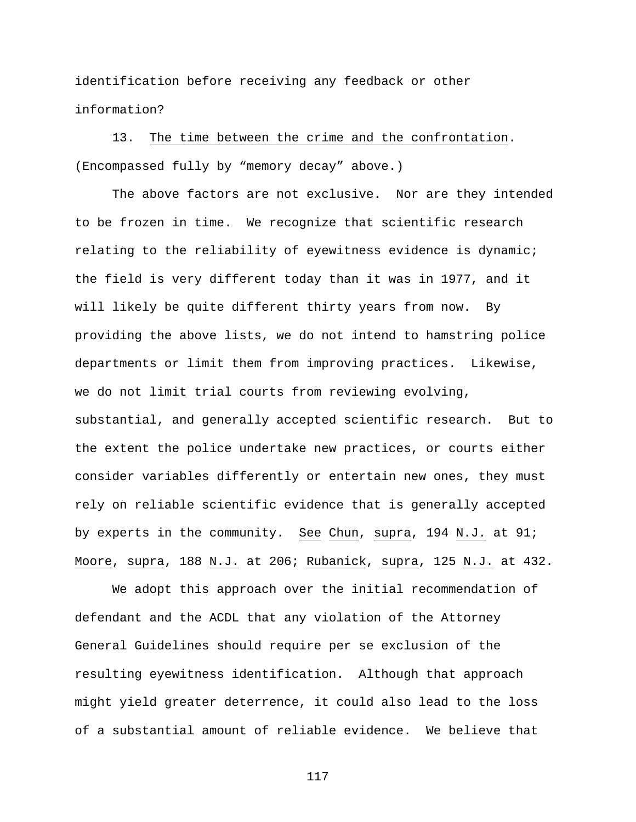identification before receiving any feedback or other information?

 13. The time between the crime and the confrontation. (Encompassed fully by "memory decay" above.)

 The above factors are not exclusive. Nor are they intended to be frozen in time. We recognize that scientific research relating to the reliability of eyewitness evidence is dynamic; the field is very different today than it was in 1977, and it will likely be quite different thirty years from now. By providing the above lists, we do not intend to hamstring police departments or limit them from improving practices. Likewise, we do not limit trial courts from reviewing evolving, substantial, and generally accepted scientific research. But to the extent the police undertake new practices, or courts either consider variables differently or entertain new ones, they must rely on reliable scientific evidence that is generally accepted by experts in the community. See Chun, supra, 194 N.J. at 91; Moore, supra, 188 N.J. at 206; Rubanick, supra, 125 N.J. at 432.

 We adopt this approach over the initial recommendation of defendant and the ACDL that any violation of the Attorney General Guidelines should require per se exclusion of the resulting eyewitness identification. Although that approach might yield greater deterrence, it could also lead to the loss of a substantial amount of reliable evidence. We believe that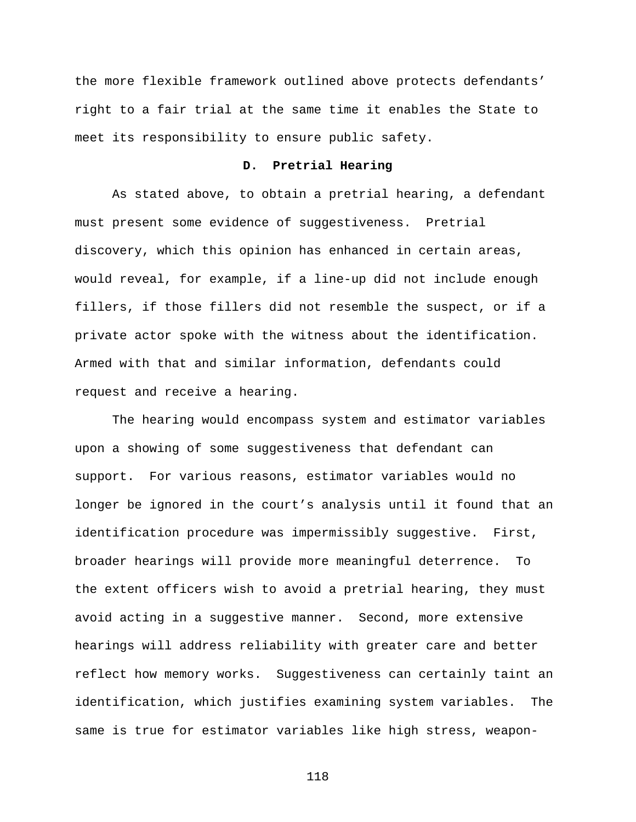the more flexible framework outlined above protects defendants' right to a fair trial at the same time it enables the State to meet its responsibility to ensure public safety.

### **D. Pretrial Hearing**

 As stated above, to obtain a pretrial hearing, a defendant must present some evidence of suggestiveness. Pretrial discovery, which this opinion has enhanced in certain areas, would reveal, for example, if a line-up did not include enough fillers, if those fillers did not resemble the suspect, or if a private actor spoke with the witness about the identification. Armed with that and similar information, defendants could request and receive a hearing.

 The hearing would encompass system and estimator variables upon a showing of some suggestiveness that defendant can support. For various reasons, estimator variables would no longer be ignored in the court's analysis until it found that an identification procedure was impermissibly suggestive. First, broader hearings will provide more meaningful deterrence. To the extent officers wish to avoid a pretrial hearing, they must avoid acting in a suggestive manner. Second, more extensive hearings will address reliability with greater care and better reflect how memory works. Suggestiveness can certainly taint an identification, which justifies examining system variables. The same is true for estimator variables like high stress, weapon-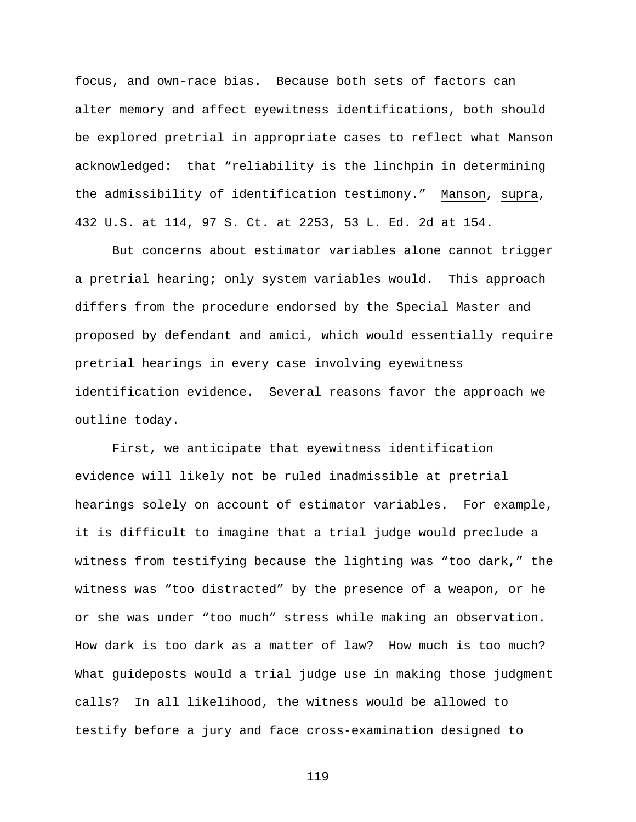focus, and own-race bias. Because both sets of factors can alter memory and affect eyewitness identifications, both should be explored pretrial in appropriate cases to reflect what Manson acknowledged: that "reliability is the linchpin in determining the admissibility of identification testimony." Manson, supra, 432 U.S. at 114, 97 S. Ct. at 2253, 53 L. Ed. 2d at 154.

 But concerns about estimator variables alone cannot trigger a pretrial hearing; only system variables would. This approach differs from the procedure endorsed by the Special Master and proposed by defendant and amici, which would essentially require pretrial hearings in every case involving eyewitness identification evidence. Several reasons favor the approach we outline today.

 First, we anticipate that eyewitness identification evidence will likely not be ruled inadmissible at pretrial hearings solely on account of estimator variables. For example, it is difficult to imagine that a trial judge would preclude a witness from testifying because the lighting was "too dark," the witness was "too distracted" by the presence of a weapon, or he or she was under "too much" stress while making an observation. How dark is too dark as a matter of law? How much is too much? What guideposts would a trial judge use in making those judgment calls? In all likelihood, the witness would be allowed to testify before a jury and face cross-examination designed to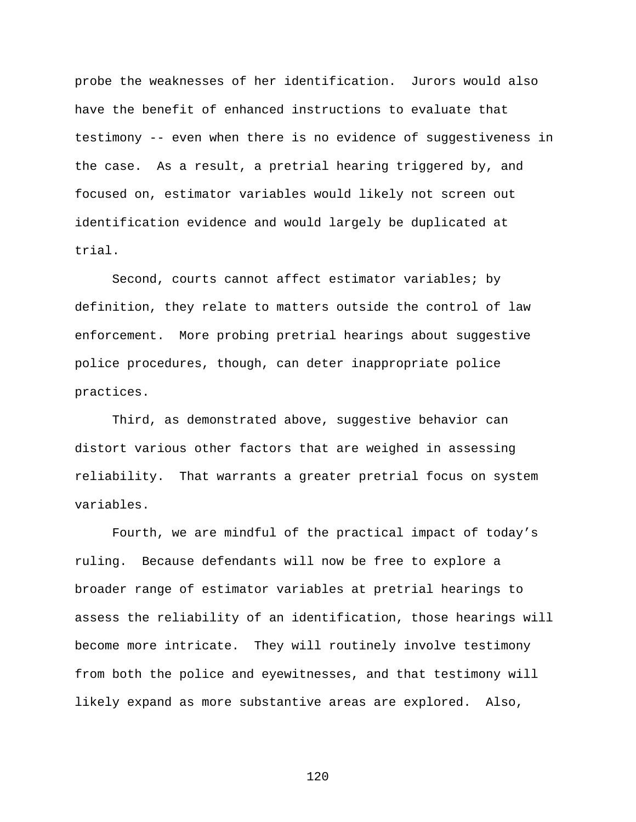probe the weaknesses of her identification. Jurors would also have the benefit of enhanced instructions to evaluate that testimony -- even when there is no evidence of suggestiveness in the case. As a result, a pretrial hearing triggered by, and focused on, estimator variables would likely not screen out identification evidence and would largely be duplicated at trial.

 Second, courts cannot affect estimator variables; by definition, they relate to matters outside the control of law enforcement. More probing pretrial hearings about suggestive police procedures, though, can deter inappropriate police practices.

 Third, as demonstrated above, suggestive behavior can distort various other factors that are weighed in assessing reliability. That warrants a greater pretrial focus on system variables.

 Fourth, we are mindful of the practical impact of today's ruling. Because defendants will now be free to explore a broader range of estimator variables at pretrial hearings to assess the reliability of an identification, those hearings will become more intricate. They will routinely involve testimony from both the police and eyewitnesses, and that testimony will likely expand as more substantive areas are explored. Also,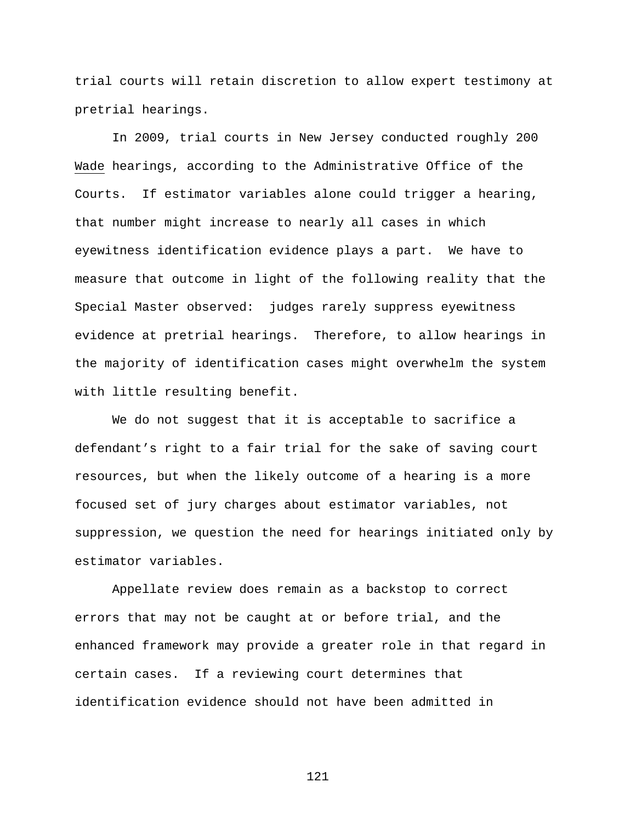trial courts will retain discretion to allow expert testimony at pretrial hearings.

 In 2009, trial courts in New Jersey conducted roughly 200 Wade hearings, according to the Administrative Office of the Courts. If estimator variables alone could trigger a hearing, that number might increase to nearly all cases in which eyewitness identification evidence plays a part. We have to measure that outcome in light of the following reality that the Special Master observed: judges rarely suppress eyewitness evidence at pretrial hearings. Therefore, to allow hearings in the majority of identification cases might overwhelm the system with little resulting benefit.

 We do not suggest that it is acceptable to sacrifice a defendant's right to a fair trial for the sake of saving court resources, but when the likely outcome of a hearing is a more focused set of jury charges about estimator variables, not suppression, we question the need for hearings initiated only by estimator variables.

 Appellate review does remain as a backstop to correct errors that may not be caught at or before trial, and the enhanced framework may provide a greater role in that regard in certain cases. If a reviewing court determines that identification evidence should not have been admitted in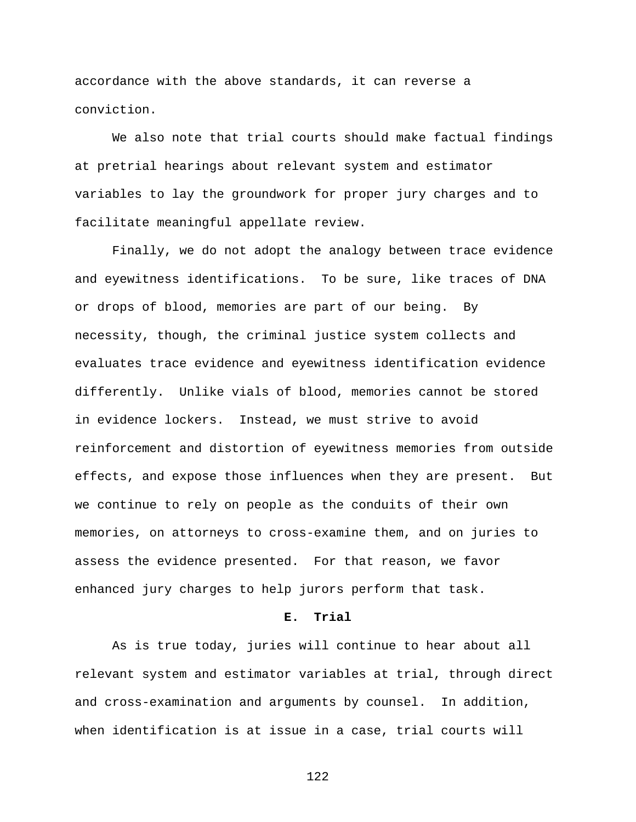accordance with the above standards, it can reverse a conviction.

 We also note that trial courts should make factual findings at pretrial hearings about relevant system and estimator variables to lay the groundwork for proper jury charges and to facilitate meaningful appellate review.

 Finally, we do not adopt the analogy between trace evidence and eyewitness identifications. To be sure, like traces of DNA or drops of blood, memories are part of our being. By necessity, though, the criminal justice system collects and evaluates trace evidence and eyewitness identification evidence differently. Unlike vials of blood, memories cannot be stored in evidence lockers. Instead, we must strive to avoid reinforcement and distortion of eyewitness memories from outside effects, and expose those influences when they are present. But we continue to rely on people as the conduits of their own memories, on attorneys to cross-examine them, and on juries to assess the evidence presented. For that reason, we favor enhanced jury charges to help jurors perform that task.

### **E. Trial**

As is true today, juries will continue to hear about all relevant system and estimator variables at trial, through direct and cross-examination and arguments by counsel. In addition, when identification is at issue in a case, trial courts will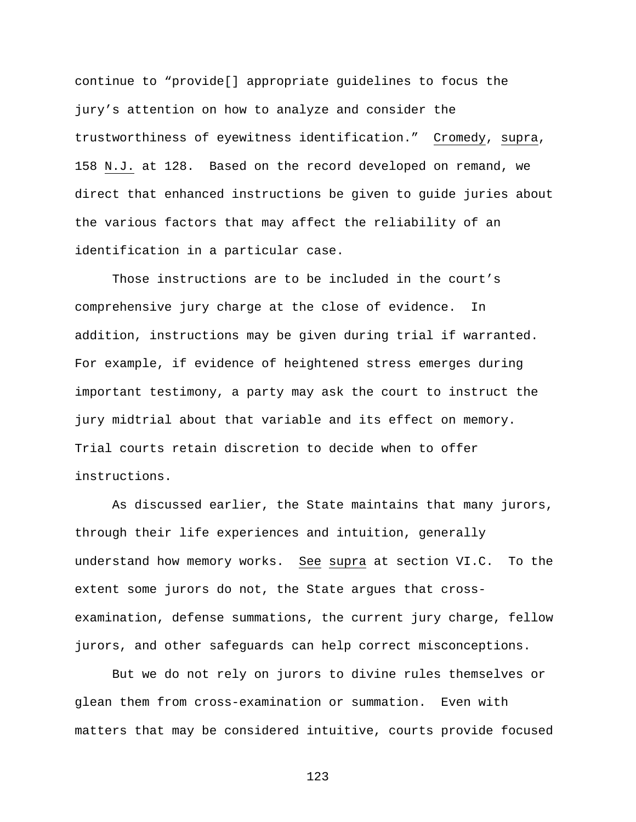continue to "provide[] appropriate guidelines to focus the jury's attention on how to analyze and consider the trustworthiness of eyewitness identification." Cromedy, supra, 158 N.J. at 128. Based on the record developed on remand, we direct that enhanced instructions be given to guide juries about the various factors that may affect the reliability of an identification in a particular case.

 Those instructions are to be included in the court's comprehensive jury charge at the close of evidence. In addition, instructions may be given during trial if warranted. For example, if evidence of heightened stress emerges during important testimony, a party may ask the court to instruct the jury midtrial about that variable and its effect on memory. Trial courts retain discretion to decide when to offer instructions.

 As discussed earlier, the State maintains that many jurors, through their life experiences and intuition, generally understand how memory works. See supra at section VI.C. To the extent some jurors do not, the State argues that crossexamination, defense summations, the current jury charge, fellow jurors, and other safeguards can help correct misconceptions.

 But we do not rely on jurors to divine rules themselves or glean them from cross-examination or summation. Even with matters that may be considered intuitive, courts provide focused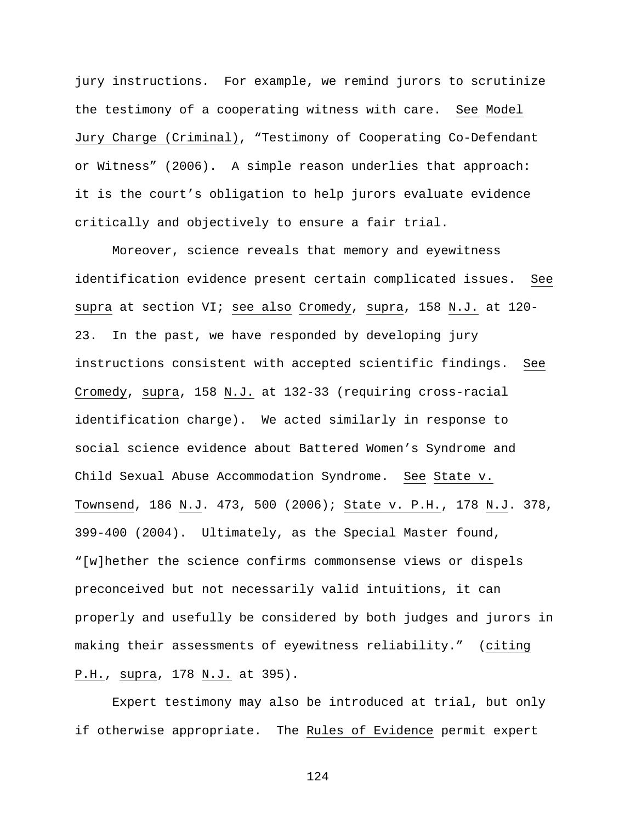jury instructions. For example, we remind jurors to scrutinize the testimony of a cooperating witness with care. See Model Jury Charge (Criminal), "Testimony of Cooperating Co-Defendant or Witness" (2006). A simple reason underlies that approach: it is the court's obligation to help jurors evaluate evidence critically and objectively to ensure a fair trial.

 Moreover, science reveals that memory and eyewitness identification evidence present certain complicated issues. See supra at section VI; see also Cromedy, supra, 158 N.J. at 120- 23. In the past, we have responded by developing jury instructions consistent with accepted scientific findings. See Cromedy, supra, 158 N.J. at 132-33 (requiring cross-racial identification charge). We acted similarly in response to social science evidence about Battered Women's Syndrome and Child Sexual Abuse Accommodation Syndrome. See State v. Townsend, 186 N.J. 473, 500 (2006); State v. P.H., 178 N.J. 378, 399-400 (2004). Ultimately, as the Special Master found, "[w]hether the science confirms commonsense views or dispels preconceived but not necessarily valid intuitions, it can properly and usefully be considered by both judges and jurors in making their assessments of eyewitness reliability." (citing P.H., supra, 178 N.J. at 395).

 Expert testimony may also be introduced at trial, but only if otherwise appropriate. The Rules of Evidence permit expert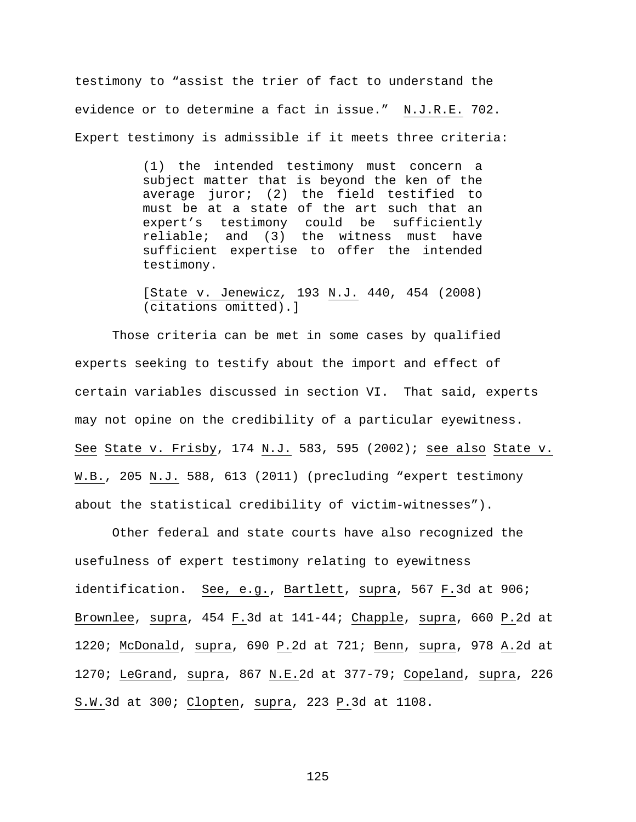testimony to "assist the trier of fact to understand the evidence or to determine a fact in issue." N.J.R.E. 702. Expert testimony is admissible if it meets three criteria:

> (1) the intended testimony must concern a subject matter that is beyond the ken of the average juror; (2) the field testified to must be at a state of the art such that an expert's testimony could be sufficiently reliable; and (3) the witness must have sufficient expertise to offer the intended testimony.

> [State v. Jenewicz*,* 193 N.J. 440, 454 (2008) (citations omitted).]

 Those criteria can be met in some cases by qualified experts seeking to testify about the import and effect of certain variables discussed in section VI. That said, experts may not opine on the credibility of a particular eyewitness. See State v. Frisby, 174 N.J. 583, 595 (2002); see also State v. W.B., 205 N.J. 588, 613 (2011) (precluding "expert testimony about the statistical credibility of victim-witnesses").

 Other federal and state courts have also recognized the usefulness of expert testimony relating to eyewitness identification. See, e.g., Bartlett, supra, 567 F.3d at 906; Brownlee, supra, 454 F.3d at 141-44; Chapple, supra, 660 P.2d at 1220; McDonald, supra, 690 P.2d at 721; Benn, supra, 978 A.2d at 1270; LeGrand, supra, 867 N.E.2d at 377-79; Copeland, supra, 226 S.W.3d at 300; Clopten, supra, 223 P.3d at 1108.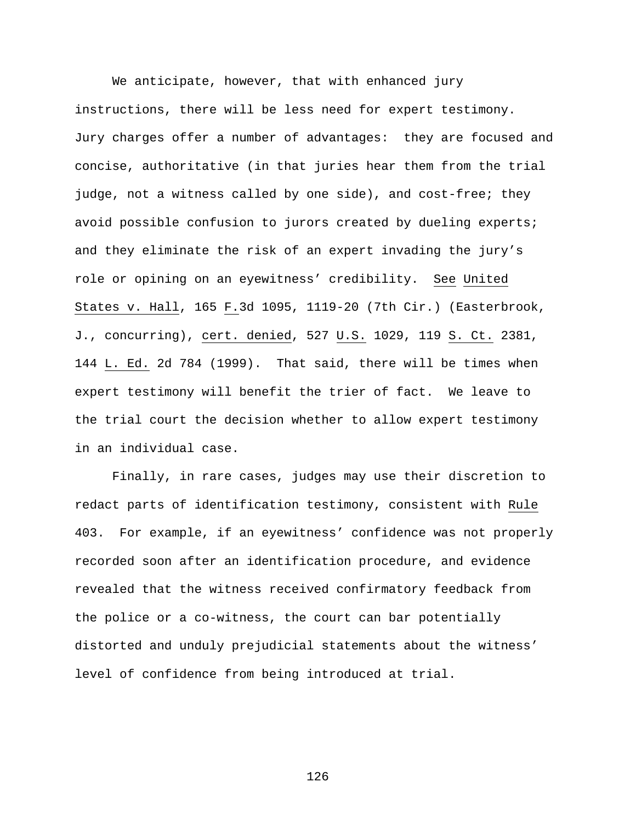We anticipate, however, that with enhanced jury instructions, there will be less need for expert testimony. Jury charges offer a number of advantages: they are focused and concise, authoritative (in that juries hear them from the trial judge, not a witness called by one side), and cost-free; they avoid possible confusion to jurors created by dueling experts; and they eliminate the risk of an expert invading the jury's role or opining on an eyewitness' credibility. See United States v. Hall, 165 F.3d 1095, 1119-20 (7th Cir.) (Easterbrook, J., concurring), cert. denied, 527 U.S. 1029, 119 S. Ct. 2381, 144 L. Ed. 2d 784 (1999). That said, there will be times when expert testimony will benefit the trier of fact. We leave to the trial court the decision whether to allow expert testimony in an individual case.

 Finally, in rare cases, judges may use their discretion to redact parts of identification testimony, consistent with Rule 403. For example, if an eyewitness' confidence was not properly recorded soon after an identification procedure, and evidence revealed that the witness received confirmatory feedback from the police or a co-witness, the court can bar potentially distorted and unduly prejudicial statements about the witness' level of confidence from being introduced at trial.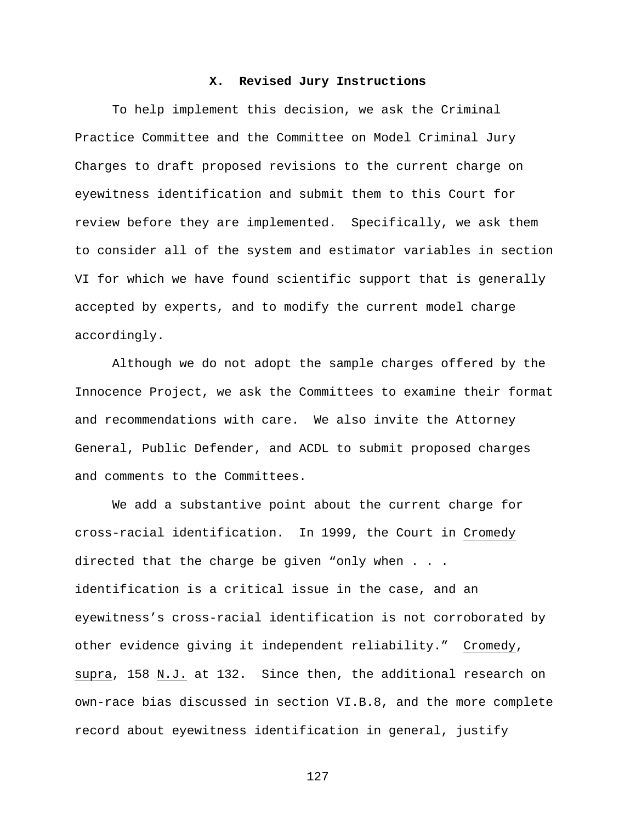## **X. Revised Jury Instructions**

 To help implement this decision, we ask the Criminal Practice Committee and the Committee on Model Criminal Jury Charges to draft proposed revisions to the current charge on eyewitness identification and submit them to this Court for review before they are implemented. Specifically, we ask them to consider all of the system and estimator variables in section VI for which we have found scientific support that is generally accepted by experts, and to modify the current model charge accordingly.

 Although we do not adopt the sample charges offered by the Innocence Project, we ask the Committees to examine their format and recommendations with care. We also invite the Attorney General, Public Defender, and ACDL to submit proposed charges and comments to the Committees.

 We add a substantive point about the current charge for cross-racial identification. In 1999, the Court in Cromedy directed that the charge be given "only when . . . identification is a critical issue in the case, and an eyewitness's cross-racial identification is not corroborated by other evidence giving it independent reliability." Cromedy, supra, 158 N.J. at 132. Since then, the additional research on own-race bias discussed in section VI.B.8, and the more complete record about eyewitness identification in general, justify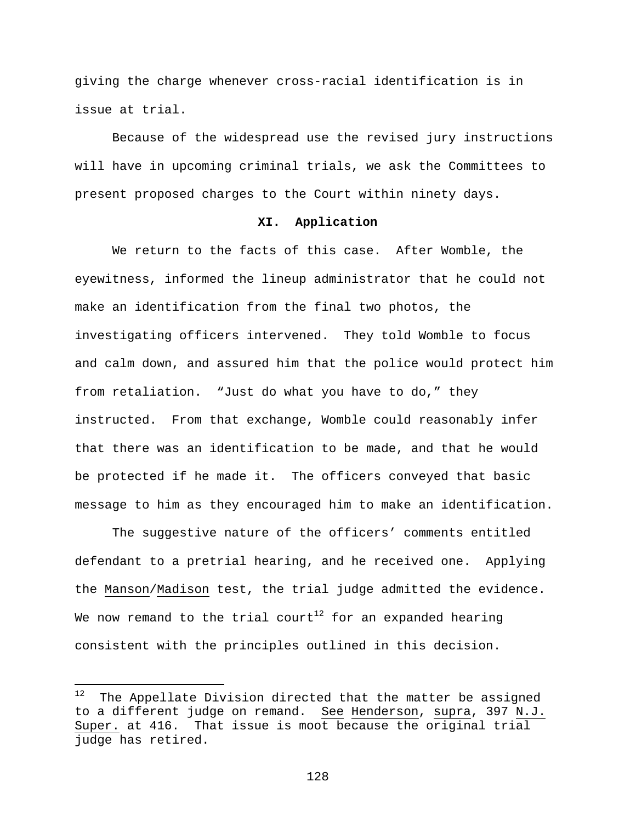giving the charge whenever cross-racial identification is in issue at trial.

 Because of the widespread use the revised jury instructions will have in upcoming criminal trials, we ask the Committees to present proposed charges to the Court within ninety days.

# **XI. Application**

 We return to the facts of this case. After Womble, the eyewitness, informed the lineup administrator that he could not make an identification from the final two photos, the investigating officers intervened. They told Womble to focus and calm down, and assured him that the police would protect him from retaliation. "Just do what you have to do," they instructed. From that exchange, Womble could reasonably infer that there was an identification to be made, and that he would be protected if he made it. The officers conveyed that basic message to him as they encouraged him to make an identification.

 The suggestive nature of the officers' comments entitled defendant to a pretrial hearing, and he received one. Applying the Manson/Madison test, the trial judge admitted the evidence. We now remand to the trial court<sup>12</sup> for an expanded hearing consistent with the principles outlined in this decision.

i

 $12$  The Appellate Division directed that the matter be assigned to a different judge on remand. See Henderson, supra, 397 N.J. Super. at 416. That issue is moot because the original trial judge has retired.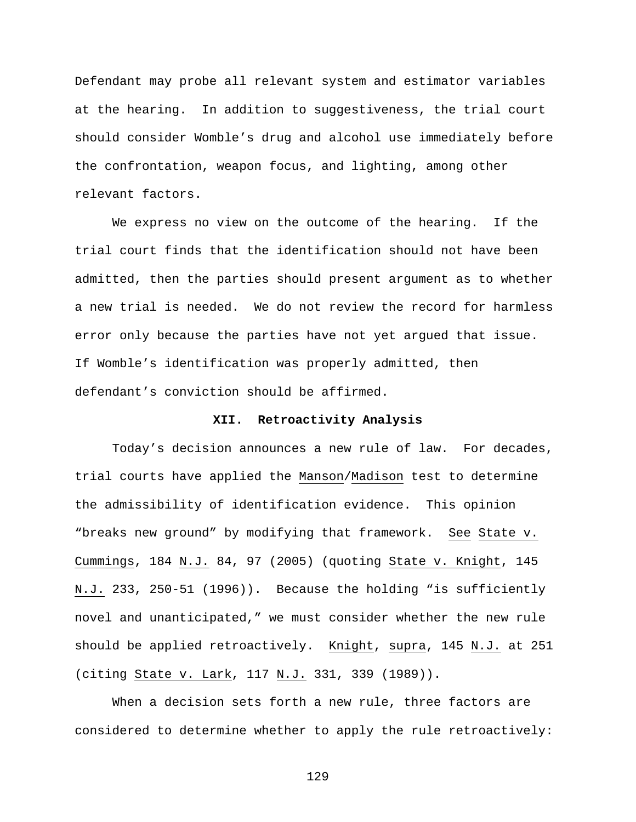Defendant may probe all relevant system and estimator variables at the hearing. In addition to suggestiveness, the trial court should consider Womble's drug and alcohol use immediately before the confrontation, weapon focus, and lighting, among other relevant factors.

 We express no view on the outcome of the hearing. If the trial court finds that the identification should not have been admitted, then the parties should present argument as to whether a new trial is needed. We do not review the record for harmless error only because the parties have not yet argued that issue. If Womble's identification was properly admitted, then defendant's conviction should be affirmed.

#### **XII. Retroactivity Analysis**

 Today's decision announces a new rule of law. For decades, trial courts have applied the Manson/Madison test to determine the admissibility of identification evidence. This opinion "breaks new ground" by modifying that framework. See State v. Cummings, 184 N.J. 84, 97 (2005) (quoting State v. Knight, 145 N.J. 233, 250-51 (1996)). Because the holding "is sufficiently novel and unanticipated," we must consider whether the new rule should be applied retroactively. Knight, supra, 145 N.J. at 251 (citing State v. Lark, 117 N.J. 331, 339 (1989)).

 When a decision sets forth a new rule, three factors are considered to determine whether to apply the rule retroactively: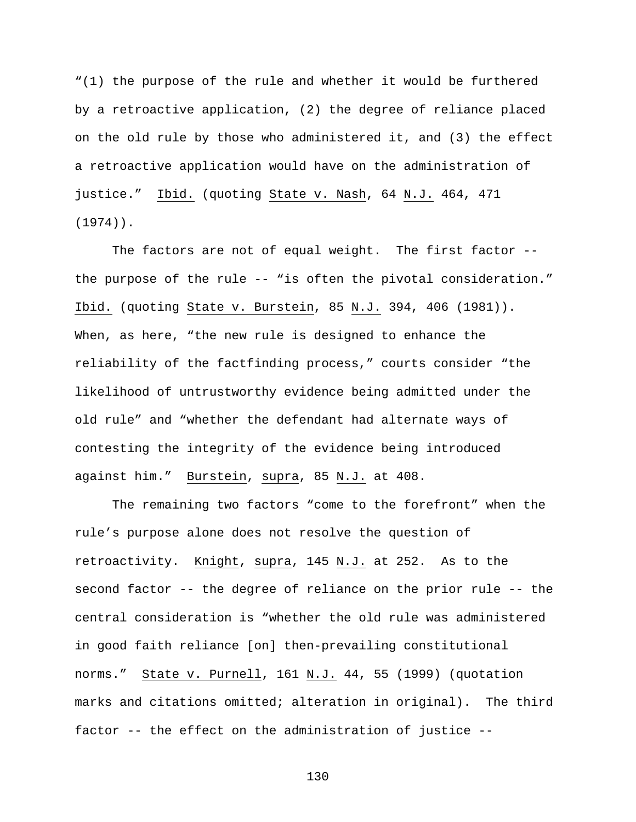"(1) the purpose of the rule and whether it would be furthered by a retroactive application, (2) the degree of reliance placed on the old rule by those who administered it, and (3) the effect a retroactive application would have on the administration of justice." Ibid. (quoting State v. Nash, 64 N.J. 464, 471 (1974)).

The factors are not of equal weight. The first factor -the purpose of the rule -- "is often the pivotal consideration." Ibid. (quoting State v. Burstein, 85 N.J. 394, 406 (1981)). When, as here, "the new rule is designed to enhance the reliability of the factfinding process," courts consider "the likelihood of untrustworthy evidence being admitted under the old rule" and "whether the defendant had alternate ways of contesting the integrity of the evidence being introduced against him." Burstein, supra, 85 N.J. at 408.

The remaining two factors "come to the forefront" when the rule's purpose alone does not resolve the question of retroactivity. Knight, supra, 145 N.J. at 252. As to the second factor -- the degree of reliance on the prior rule -- the central consideration is "whether the old rule was administered in good faith reliance [on] then-prevailing constitutional norms." State v. Purnell, 161 N.J. 44, 55 (1999) (quotation marks and citations omitted; alteration in original). The third factor -- the effect on the administration of justice --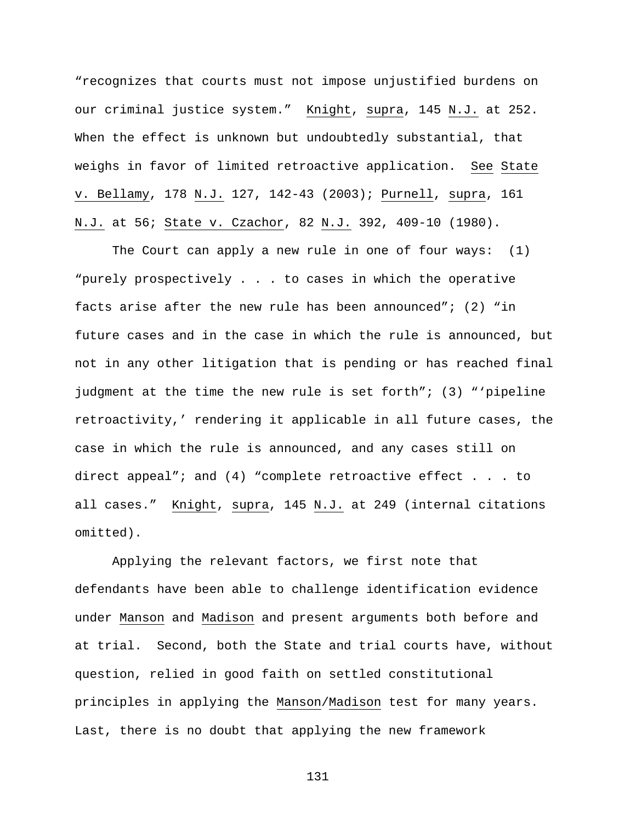"recognizes that courts must not impose unjustified burdens on our criminal justice system." Knight, supra, 145 N.J. at 252. When the effect is unknown but undoubtedly substantial, that weighs in favor of limited retroactive application. See State v. Bellamy, 178 N.J. 127, 142-43 (2003); Purnell, supra, 161 N.J. at 56; State v. Czachor, 82 N.J. 392, 409-10 (1980).

 The Court can apply a new rule in one of four ways: (1) "purely prospectively . . . to cases in which the operative facts arise after the new rule has been announced"; (2) "in future cases and in the case in which the rule is announced, but not in any other litigation that is pending or has reached final judgment at the time the new rule is set forth"; (3) "'pipeline retroactivity,' rendering it applicable in all future cases, the case in which the rule is announced, and any cases still on direct appeal"; and (4) "complete retroactive effect . . . to all cases." Knight, supra, 145 N.J. at 249 (internal citations omitted).

 Applying the relevant factors, we first note that defendants have been able to challenge identification evidence under Manson and Madison and present arguments both before and at trial. Second, both the State and trial courts have, without question, relied in good faith on settled constitutional principles in applying the Manson/Madison test for many years. Last, there is no doubt that applying the new framework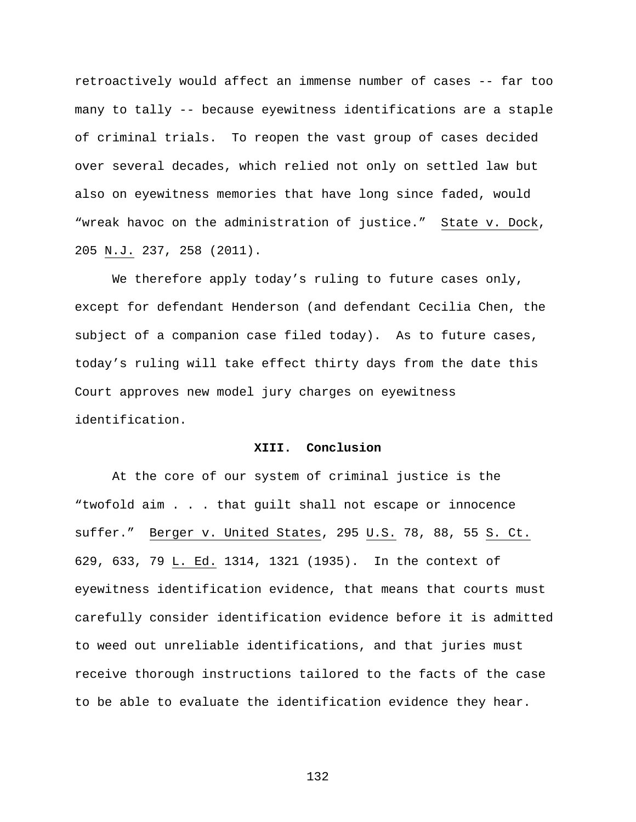retroactively would affect an immense number of cases -- far too many to tally -- because eyewitness identifications are a staple of criminal trials. To reopen the vast group of cases decided over several decades, which relied not only on settled law but also on eyewitness memories that have long since faded, would "wreak havoc on the administration of justice." State v. Dock, 205 N.J. 237, 258 (2011).

 We therefore apply today's ruling to future cases only, except for defendant Henderson (and defendant Cecilia Chen, the subject of a companion case filed today). As to future cases, today's ruling will take effect thirty days from the date this Court approves new model jury charges on eyewitness identification.

# **XIII. Conclusion**

 At the core of our system of criminal justice is the "twofold aim . . . that guilt shall not escape or innocence suffer." Berger v. United States, 295 U.S. 78, 88, 55 S. Ct. 629, 633, 79 L. Ed. 1314, 1321 (1935). In the context of eyewitness identification evidence, that means that courts must carefully consider identification evidence before it is admitted to weed out unreliable identifications, and that juries must receive thorough instructions tailored to the facts of the case to be able to evaluate the identification evidence they hear.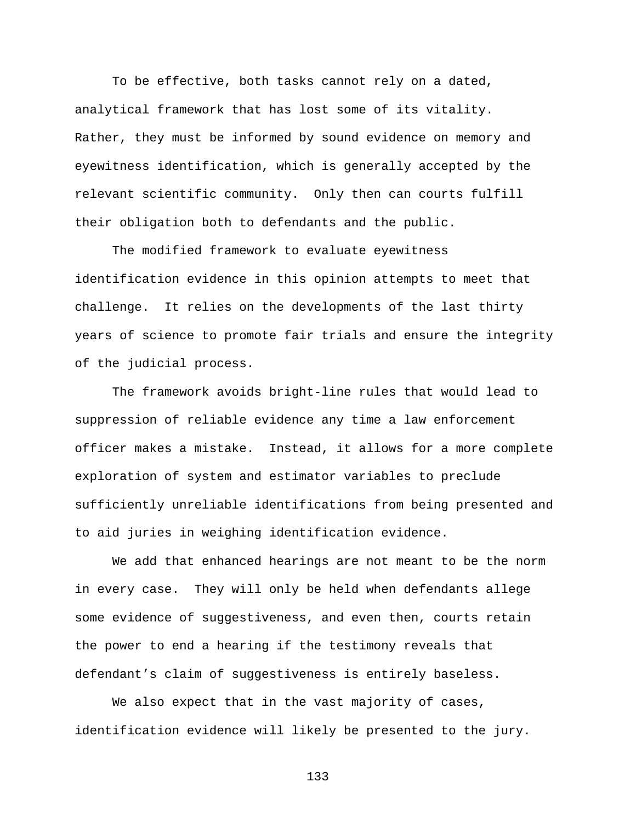To be effective, both tasks cannot rely on a dated, analytical framework that has lost some of its vitality. Rather, they must be informed by sound evidence on memory and eyewitness identification, which is generally accepted by the relevant scientific community. Only then can courts fulfill their obligation both to defendants and the public.

 The modified framework to evaluate eyewitness identification evidence in this opinion attempts to meet that challenge. It relies on the developments of the last thirty years of science to promote fair trials and ensure the integrity of the judicial process.

 The framework avoids bright-line rules that would lead to suppression of reliable evidence any time a law enforcement officer makes a mistake. Instead, it allows for a more complete exploration of system and estimator variables to preclude sufficiently unreliable identifications from being presented and to aid juries in weighing identification evidence.

 We add that enhanced hearings are not meant to be the norm in every case. They will only be held when defendants allege some evidence of suggestiveness, and even then, courts retain the power to end a hearing if the testimony reveals that defendant's claim of suggestiveness is entirely baseless.

 We also expect that in the vast majority of cases, identification evidence will likely be presented to the jury.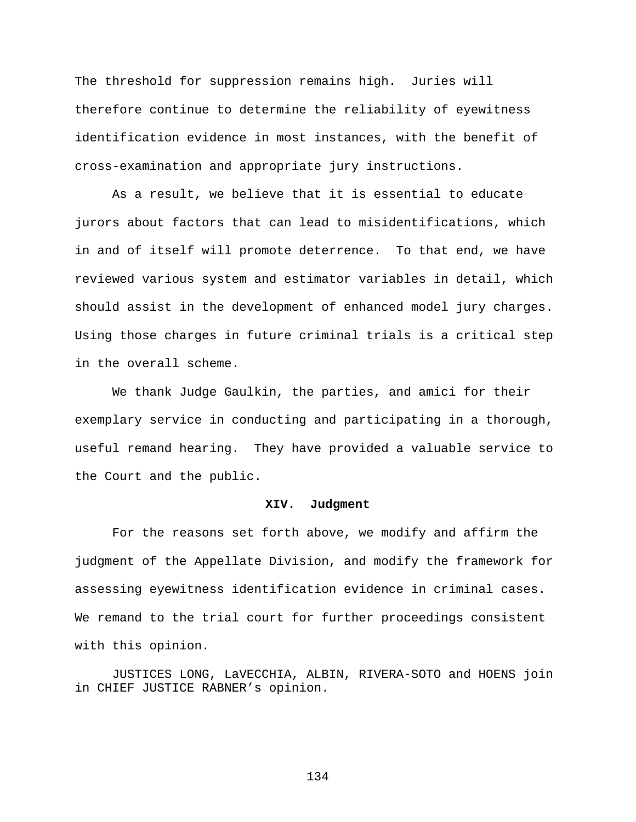The threshold for suppression remains high. Juries will therefore continue to determine the reliability of eyewitness identification evidence in most instances, with the benefit of cross-examination and appropriate jury instructions.

 As a result, we believe that it is essential to educate jurors about factors that can lead to misidentifications, which in and of itself will promote deterrence. To that end, we have reviewed various system and estimator variables in detail, which should assist in the development of enhanced model jury charges. Using those charges in future criminal trials is a critical step in the overall scheme.

 We thank Judge Gaulkin, the parties, and amici for their exemplary service in conducting and participating in a thorough, useful remand hearing. They have provided a valuable service to the Court and the public.

#### **XIV. Judgment**

 For the reasons set forth above, we modify and affirm the judgment of the Appellate Division, and modify the framework for assessing eyewitness identification evidence in criminal cases. We remand to the trial court for further proceedings consistent with this opinion.

 JUSTICES LONG, LaVECCHIA, ALBIN, RIVERA-SOTO and HOENS join in CHIEF JUSTICE RABNER's opinion.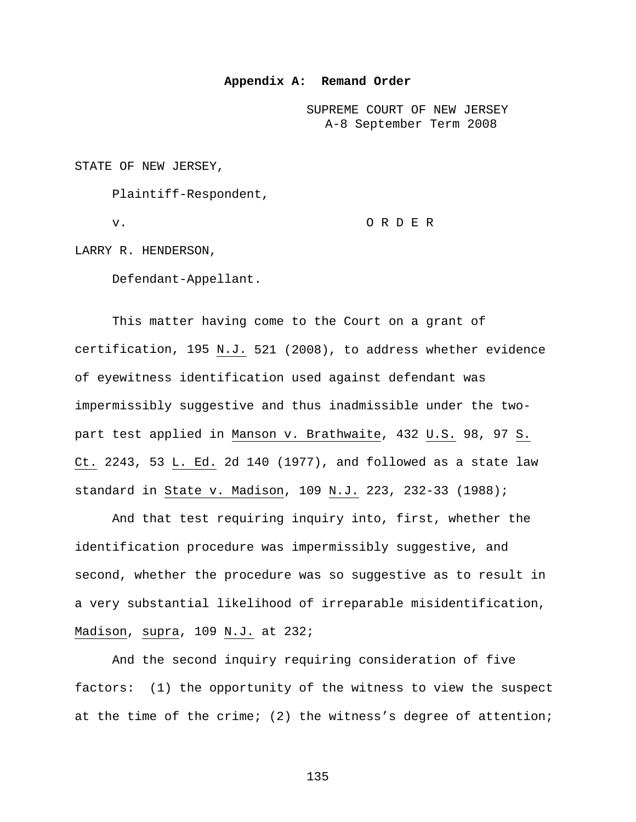### **Appendix A: Remand Order**

SUPREME COURT OF NEW JERSEY A-8 September Term 2008

STATE OF NEW JERSEY,

Plaintiff-Respondent,

# v. O R D E R

LARRY R. HENDERSON,

Defendant-Appellant.

This matter having come to the Court on a grant of certification, 195 N.J. 521 (2008), to address whether evidence of eyewitness identification used against defendant was impermissibly suggestive and thus inadmissible under the twopart test applied in Manson v. Brathwaite, 432 U.S. 98, 97 S. Ct. 2243, 53 L. Ed. 2d 140 (1977), and followed as a state law standard in State v. Madison, 109 N.J. 223, 232-33 (1988);

And that test requiring inquiry into, first, whether the identification procedure was impermissibly suggestive, and second, whether the procedure was so suggestive as to result in a very substantial likelihood of irreparable misidentification, Madison, supra, 109 N.J. at 232;

And the second inquiry requiring consideration of five factors: (1) the opportunity of the witness to view the suspect at the time of the crime; (2) the witness's degree of attention;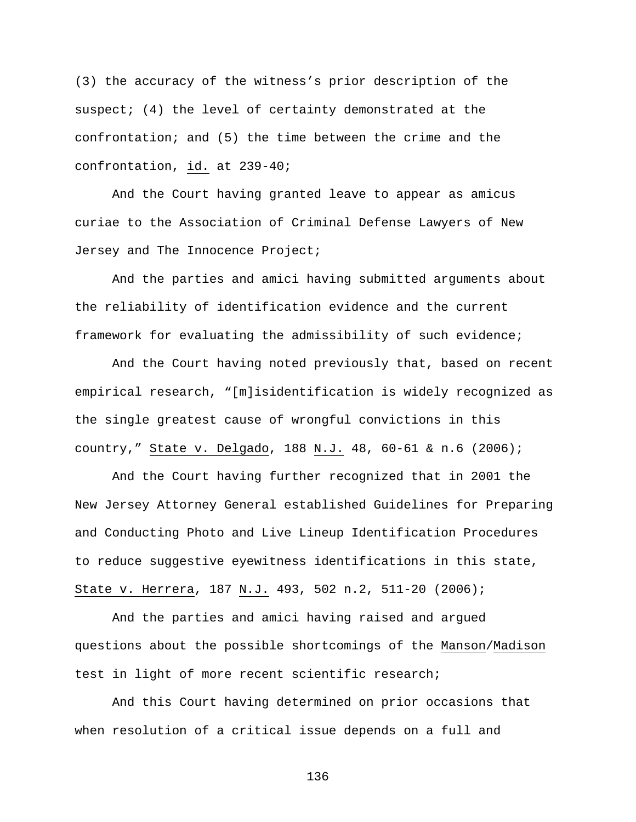(3) the accuracy of the witness's prior description of the suspect; (4) the level of certainty demonstrated at the confrontation; and (5) the time between the crime and the confrontation, id. at 239-40;

And the Court having granted leave to appear as amicus curiae to the Association of Criminal Defense Lawyers of New Jersey and The Innocence Project;

And the parties and amici having submitted arguments about the reliability of identification evidence and the current framework for evaluating the admissibility of such evidence;

And the Court having noted previously that, based on recent empirical research, "[m]isidentification is widely recognized as the single greatest cause of wrongful convictions in this country," State v. Delgado, 188 N.J. 48, 60-61 & n.6 (2006);

And the Court having further recognized that in 2001 the New Jersey Attorney General established Guidelines for Preparing and Conducting Photo and Live Lineup Identification Procedures to reduce suggestive eyewitness identifications in this state, State v. Herrera, 187 N.J. 493, 502 n.2, 511-20 (2006);

And the parties and amici having raised and argued questions about the possible shortcomings of the Manson/Madison test in light of more recent scientific research;

And this Court having determined on prior occasions that when resolution of a critical issue depends on a full and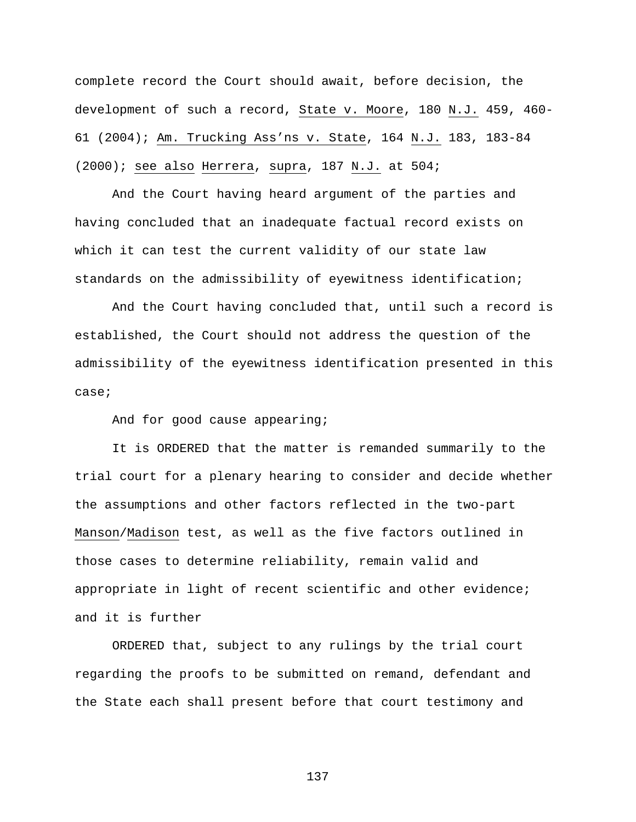complete record the Court should await, before decision, the development of such a record, State v. Moore, 180 N.J. 459, 460- 61 (2004); Am. Trucking Ass'ns v. State, 164 N.J. 183, 183-84 (2000); see also Herrera, supra, 187 N.J. at 504;

And the Court having heard argument of the parties and having concluded that an inadequate factual record exists on which it can test the current validity of our state law standards on the admissibility of eyewitness identification;

And the Court having concluded that, until such a record is established, the Court should not address the question of the admissibility of the eyewitness identification presented in this case;

And for good cause appearing;

It is ORDERED that the matter is remanded summarily to the trial court for a plenary hearing to consider and decide whether the assumptions and other factors reflected in the two-part Manson/Madison test, as well as the five factors outlined in those cases to determine reliability, remain valid and appropriate in light of recent scientific and other evidence; and it is further

ORDERED that, subject to any rulings by the trial court regarding the proofs to be submitted on remand, defendant and the State each shall present before that court testimony and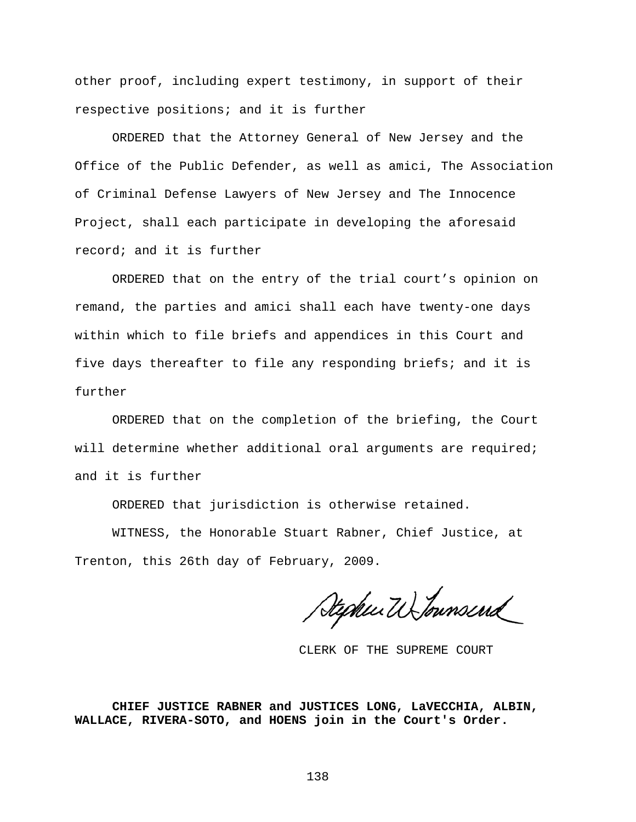other proof, including expert testimony, in support of their respective positions; and it is further

ORDERED that the Attorney General of New Jersey and the Office of the Public Defender, as well as amici, The Association of Criminal Defense Lawyers of New Jersey and The Innocence Project, shall each participate in developing the aforesaid record; and it is further

ORDERED that on the entry of the trial court's opinion on remand, the parties and amici shall each have twenty-one days within which to file briefs and appendices in this Court and five days thereafter to file any responding briefs; and it is further

ORDERED that on the completion of the briefing, the Court will determine whether additional oral arguments are required; and it is further

ORDERED that jurisdiction is otherwise retained.

WITNESS, the Honorable Stuart Rabner, Chief Justice, at Trenton, this 26th day of February, 2009.

Stephen Wommsend

CLERK OF THE SUPREME COURT

**CHIEF JUSTICE RABNER and JUSTICES LONG, LaVECCHIA, ALBIN, WALLACE, RIVERA-SOTO, and HOENS join in the Court's Order.**